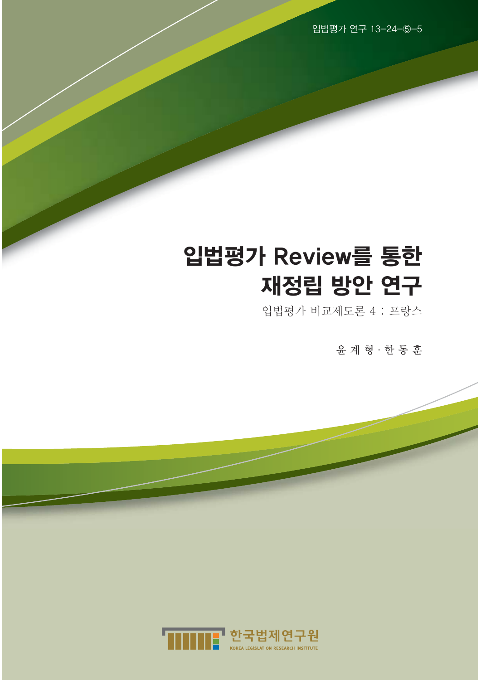입법평가 연구 13-24-⑤-5

# 입법평가 Review를 통한 재정립 방안 연구

입법평가 비교제도론 4 : 프랑스

윤 계 형·한 동 훈

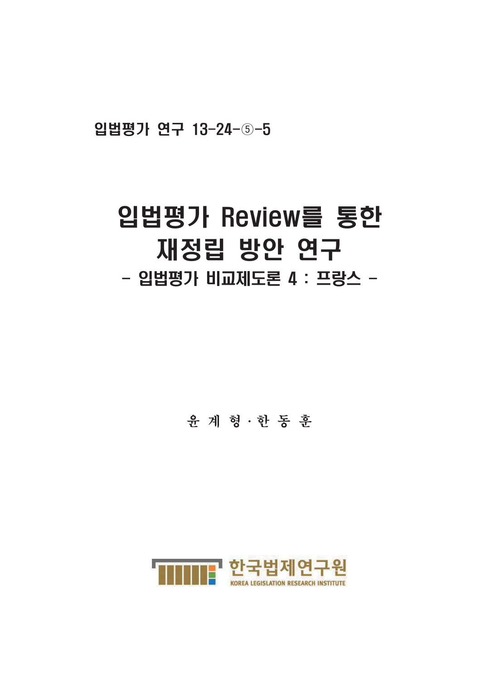입법평가 연구 13-24-5-5

# 입법평가 Review를 통한 재정립 방안 연구 - 입법평가 비교제도론 4 : 프랑스 -

윤 계 형 · 한 동 훈

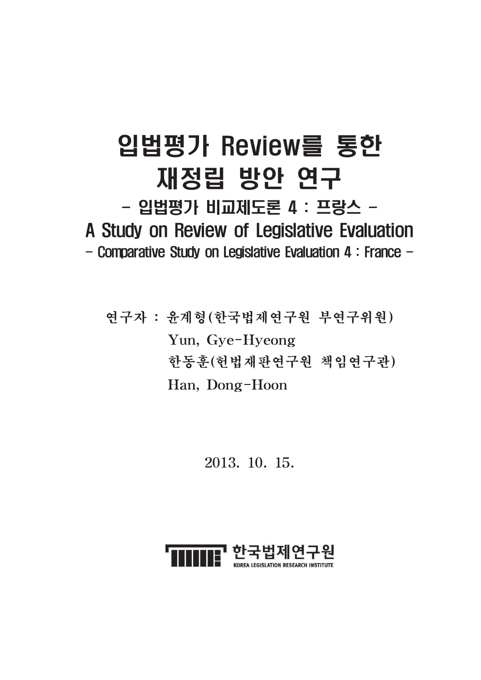# 입법평가 Review를 통한 재정립 방안 연구 - 입법평가 비교제도론 4 : 프랑스 -A Study on Review of Legislative Evaluation - Comparative Study on Legislative Evaluation 4 : France -

연구자 : 윤계형(한국법제연구원 부연구위원) Yun, Gye-Hyeong 한동훈(헌법재판연구원 책임연구관) Han, Dong-Hoon

2013. 10. 15.

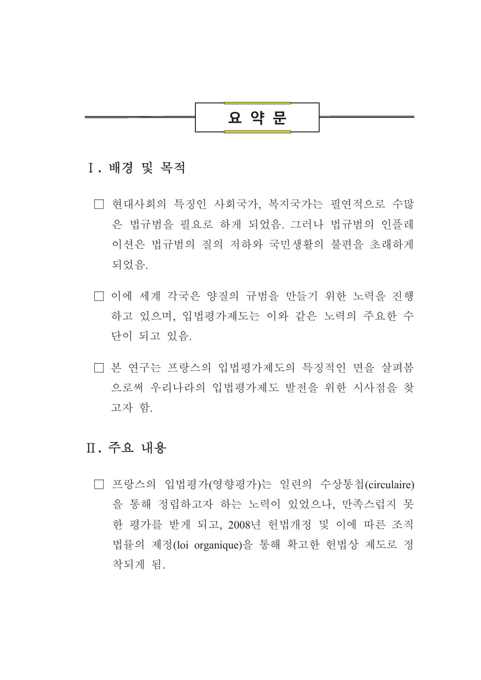## 요 약 문

#### I. 배경 및 목적

- □ 현대사회의 특징인 사회국가, 복지국가는 필연적으로 수많 은 법규범을 필요로 하게 되었음. 그러나 법규범의 인플레 이션은 법규범의 질의 저하와 국민생활의 불편을 초래하게 되었음.
- □ 이에 세계 각국은 양질의 규범을 만들기 위한 노력을 진행 하고 있으며, 입법평가제도는 이와 같은 노력의 주요한 수 단이 되고 있음.
- □ 본 연구는 프랑스의 입법평가제도의 특징적인 면을 살펴봄 으로써 우리나라의 입법평가제도 발전을 위한 시사점을 찾 고자 함.

## Ⅱ. 주요 내용

□ 프랑스의 입법평가(영향평가)는 일련의 수상통첩(circulaire) 을 통해 정립하고자 하는 노력이 있었으나, 만족스럽지 못 한 평가를 받게 되고, 2008년 헌법개정 및 이에 따른 조직 법률의 제정(loi organique)을 통해 확고한 헌법상 제도로 정 착되게 됨.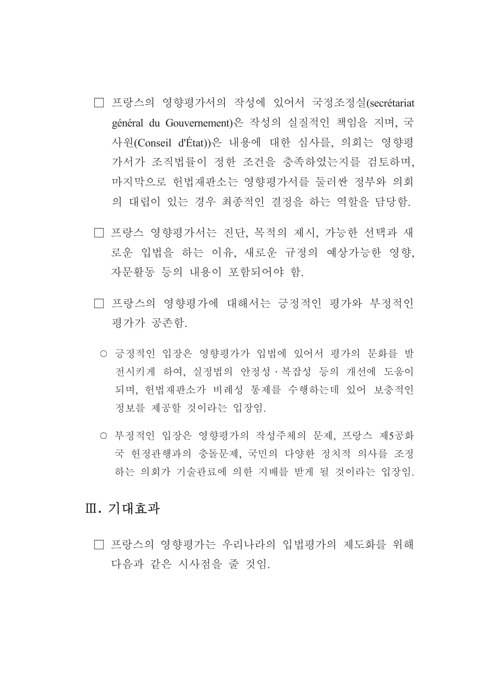- □ 프랑스의 영향평가서의 작성에 있어서 국정조정실(secrétariat général du Gouvernement)은 작성의 실질적인 책임을 지며, 국 사원(Conseil d'État))은 내용에 대한 심사를, 의회는 영향평 가서가 조직법률이 정한 조건을 충족하였는지를 검토하며, 마지막으로 헌법재판소는 영향평가서를 둘러싼 정부와 의회 의 대립이 있는 경우 최종적인 결정을 하는 역할을 담당함.
- □ 프랑스 영향평가서는 진단, 목적의 제시, 가능한 선택과 새 로운 입법을 하는 이유, 새로운 규정의 예상가능한 영향, 자문활동 등의 내용이 포함되어야 함.
- □ 프랑스의 영향평가에 대해서는 긍정적인 평가와 부정적인 평가가 공존함.
	- 긍정적인 입장은 영향평가가 입법에 있어서 평가의 문화를 발 전시키게 하여, 실정법의 안정성·복잡성 등의 개선에 도움이 되며, 헌법재판소가 비례성 통제를 수행하는데 있어 보충적인 정보를 제공할 것이라는 입장임.
	- 부정적인 입장은 영향평가의 작성주체의 문제, 프랑스 제5공화 국 헌정관행과의 충돌문제, 국민의 다양한 정치적 의사를 조정 하는 의회가 기술관료에 의한 지배를 받게 될 것이라는 입장임.

#### Ⅲ. 기대효과

□ 프랑스의 영향평가는 우리나라의 입법평가의 제도화를 위해 다음과 같은 시사점을 줄 것임.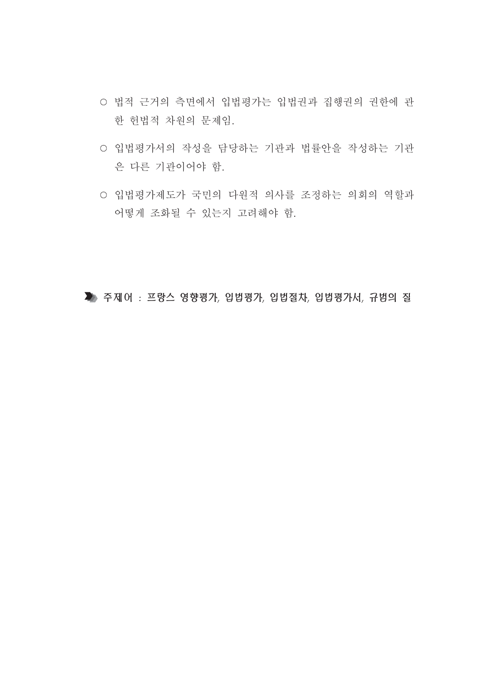- 법적 근거의 측면에서 입법평가는 입법권과 집행권의 권한에 관 한 헌법적 차원의 문제임.
- 입법평가서의 작성을 담당하는 기관과 법률안을 작성하는 기관 은 다른 기관이어야 함.
- 입법평가제도가 국민의 다원적 의사를 조정하는 의회의 역할과 어떻게 조화될 수 있는지 고려해야 함.

▶ 주제어 : 프랑스 영향평가, 입법평가, 입법절차, 입법평가서, 규범의 질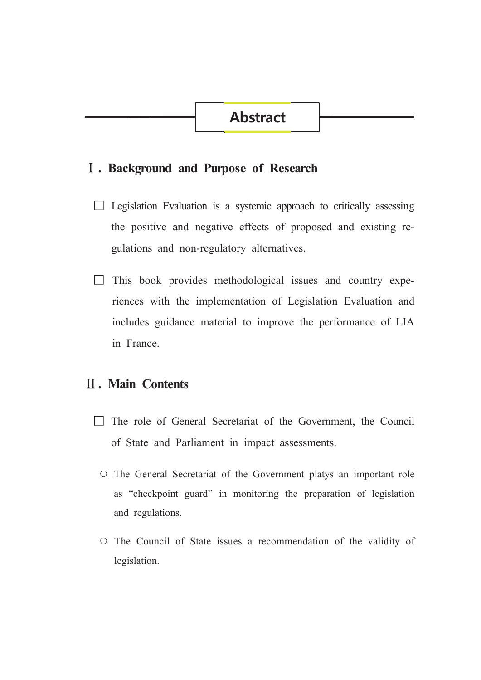#### I. Background and Purpose of Research

- $\Box$  Legislation Evaluation is a systemic approach to critically assessing the positive and negative effects of proposed and existing regulations and non-regulatory alternatives.
- $\Box$  This book provides methodological issues and country experiences with the implementation of Legislation Evaluation and includes guidance material to improve the performance of LIA in France.

### **II. Main Contents**

- $\Box$  The role of General Secretariat of the Government, the Council of State and Parliament in impact assessments.
	- The General Secretariat of the Government platys an important role as "checkpoint guard" in monitoring the preparation of legislation and regulations.
	- O The Council of State issues a recommendation of the validity of legislation.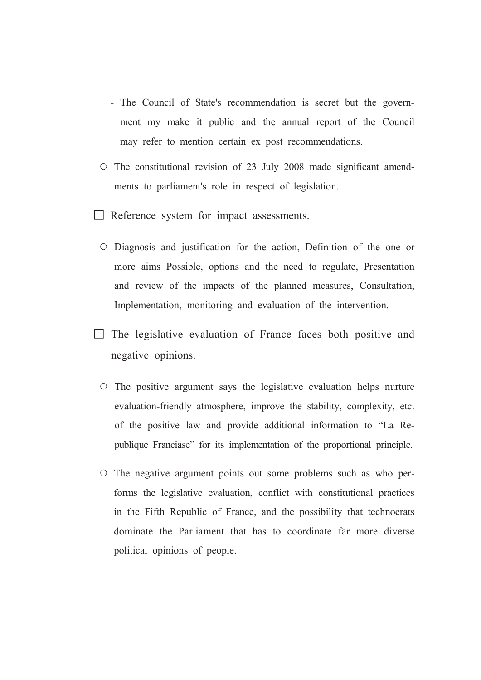- The Council of State's recommendation is secret but the government my make it public and the annual report of the Council may refer to mention certain ex post recommendations.
- $\circ$  The constitutional revision of 23 July 2008 made significant amendments to parliament's role in respect of legislation.
- $\Box$  Reference system for impact assessments.
	- O Diagnosis and justification for the action, Definition of the one or more aims Possible, options and the need to regulate, Presentation and review of the impacts of the planned measures, Consultation, Implementation, monitoring and evaluation of the intervention.
- $\Box$  The legislative evaluation of France faces both positive and negative opinions.
	- $\circ$  The positive argument says the legislative evaluation helps nurture evaluation-friendly atmosphere, improve the stability, complexity, etc. of the positive law and provide additional information to "La Republique Franciase" for its implementation of the proportional principle.
	- $\circ$  The negative argument points out some problems such as who performs the legislative evaluation, conflict with constitutional practices in the Fifth Republic of France, and the possibility that technocrats dominate the Parliament that has to coordinate far more diverse political opinions of people.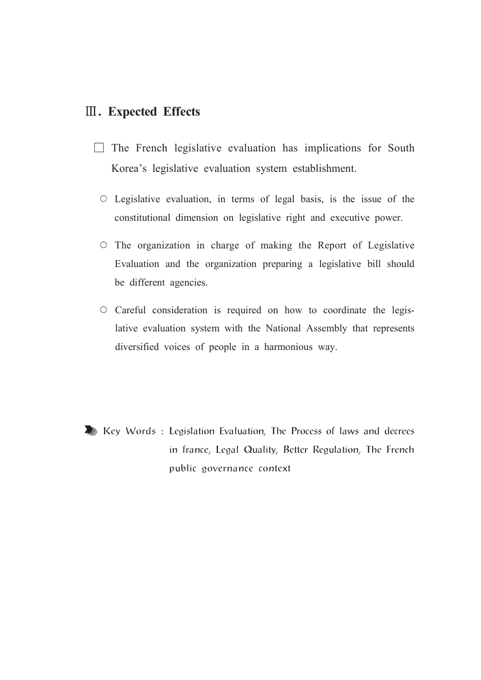#### **III.** Expected Effects

- $\Box$  The French legislative evaluation has implications for South Korea's legislative evaluation system establishment.
	- $\circ$  Legislative evaluation, in terms of legal basis, is the issue of the constitutional dimension on legislative right and executive power.
	- O The organization in charge of making the Report of Legislative Evaluation and the organization preparing a legislative bill should be different agencies.
	- O Careful consideration is required on how to coordinate the legislative evaluation system with the National Assembly that represents diversified voices of people in a harmonious way.

Key Words: Legislation Evaluation, The Process of laws and decrees in france, Legal Quality, Better Regulation, The French public governance context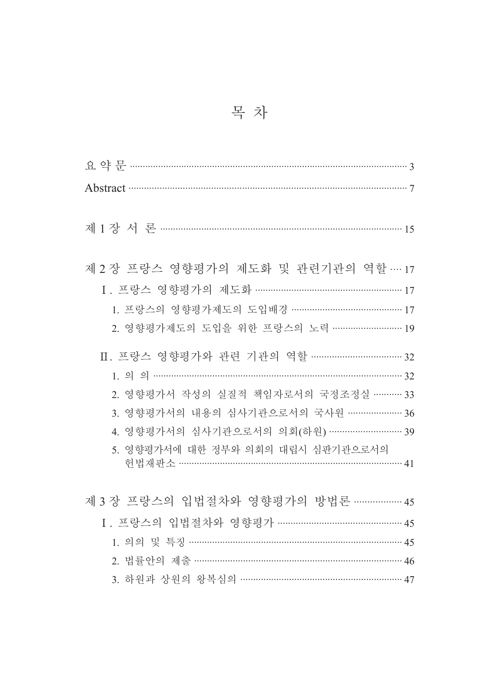| 节 | 목 차 |  |  |
|---|-----|--|--|
|   |     |  |  |

| Abstract 37                             |
|-----------------------------------------|
|                                         |
|                                         |
|                                         |
| 제 2 장 프랑스 영향평가의 제도화 및 관련기관의 역할 … 17     |
| I. 프랑스 영향평가의 제도화 ……………………………………………… 17  |
| 1. 프랑스의 영향평가제도의 도입배경 …………………………………… 17  |
| 2. 영향평가제도의 도입을 위한 프랑스의 노력 ……………………… 19  |
| Ⅱ. 프랑스 영향평가와 관련 기관의 역할 ……………………………… 32  |
| $1.99$ and $32$                         |
|                                         |
| 2. 영향평가서 작성의 실질적 책임자로서의 국정조정실 ………… 33   |
| 3. 영향평가서의 내용의 심사기관으로서의 국사원 ………………… 36   |
| 4. 영향평가서의 심사기관으로서의 의회(하원) ……………………… 39  |
| 5. 영향평가서에 대한 정부와 의회의 대립시 심판기관으로서의       |
| 헌법재판소 …………………………………………………………………… 41     |
|                                         |
| 제 3 장 프랑스의 입법절차와 영향평가의 방법론 ……………… 45    |
| I. 프랑스의 입법절차와 영향평가 ……………………………………… 45   |
| 45                                      |
| 46                                      |
| 3. 하원과 상원의 왕복심의 …………………………………………………… 47 |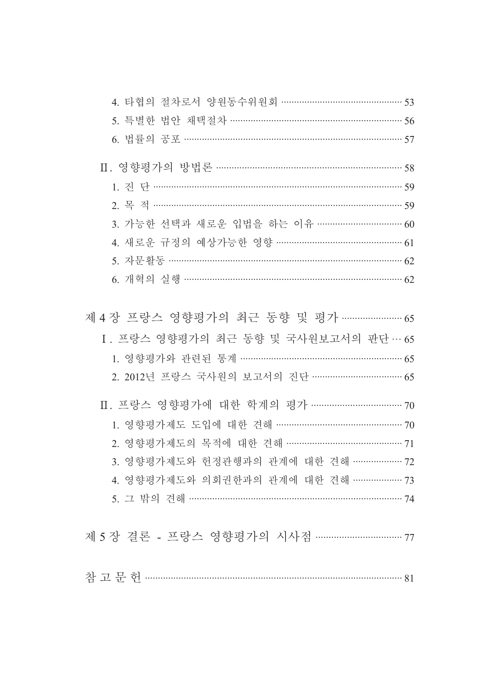| 4. 타협의 절차로서 양원동수위원회 ……………………………………… 53    |  |
|-------------------------------------------|--|
| 5. 특별한 법안 채택절차 ……………………………………………………… 56   |  |
| 6. 법률의 공포 ………………………………………………………………………… 57 |  |
|                                           |  |
|                                           |  |
|                                           |  |
| 3. 가능한 선택과 새로운 입법을 하는 이유 …………………………… 60   |  |
| 4. 새로운 규정의 예상가능한 영향 ………………………………………… 61   |  |
| 5. 자문활동 …………………………………………………………………………… 62  |  |
| 6. 개혁의 실행 ……………………………………………………………………… 62  |  |
|                                           |  |
| 제 4 장 프랑스 영향평가의 최근 동향 및 평가 …………………… 65    |  |
| I. 프랑스 영향평가의 최근 동향 및 국사원보고서의 판단… 65       |  |
| 1. 영향평가와 관련된 통계 …………………………………………………… 65   |  |
| 2. 2012년 프랑스 국사원의 보고서의 진단 …………………………… 65  |  |
|                                           |  |
| Ⅱ. 프랑스 영향평가에 대한 학계의 평가 ……………………………… 70    |  |
| 1. 영향평가제도 도입에 대한 견해 ………………………………………… 70   |  |
| 2. 영향평가제도의 목적에 대한 견해 …………………………………… 71    |  |
| 3. 영향평가제도와 헌정관행과의 관계에 대한 견해 ………………. 72    |  |
| 4. 영향평가제도와 의회권한과의 관계에 대한 견해 ………………. 73    |  |
| 5. 그 밖의 견해 ………………………………………………………………… 74   |  |
|                                           |  |
| 제 5 장 결론 - 프랑스 영향평가의 시사점 …………………………… 77   |  |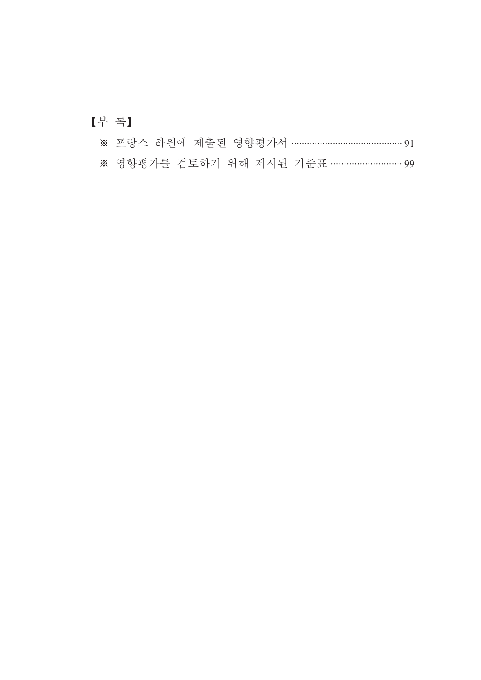## [부록]

|  |  |  |  |  | ※ 프랑스 하원에 제출된 영향평가서 …………………………………… 91 |  |
|--|--|--|--|--|---------------------------------------|--|
|--|--|--|--|--|---------------------------------------|--|

※ 영향평가를 검토하기 위해 제시된 기준표 ……………………… 99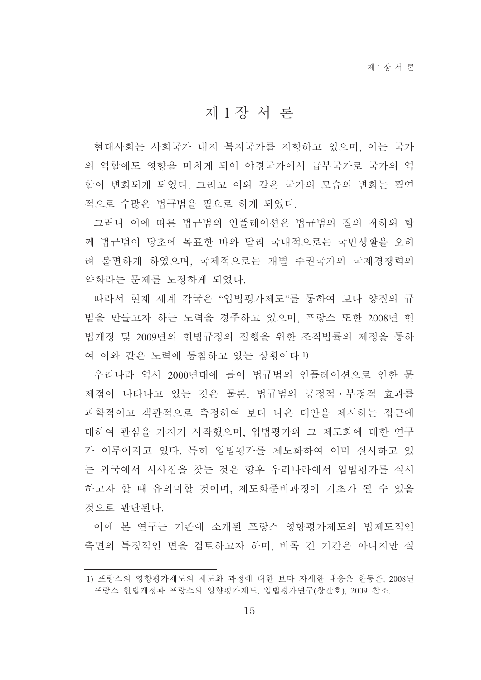### 제1장서 론

현대사회는 사회국가 내지 복지국가를 지향하고 있으며, 이는 국가 의 역할에도 영향을 미치게 되어 야경국가에서 급부국가로 국가의 역 할이 변화되게 되었다. 그리고 이와 같은 국가의 모습의 변화는 필여 적으로 수많은 법규범을 필요로 하게 되었다.

그러나 이에 따른 법규범의 인플레이션은 법규범의 질의 저하와 함 께 법규범이 당초에 목표한 바와 달리 국내적으로는 국민생활을 오히 려 불편하게 하였으며, 국제적으로는 개별 주권국가의 국제경쟁력의 약화라는 문제를 노정하게 되었다.

따라서 현재 세계 각국은 "입법평가제도"를 통하여 보다 양질의 규 범을 만들고자 하는 노력을 경주하고 있으며, 프랑스 또한 2008년 헌 법개정 및 2009년의 헌법규정의 집행을 위한 조직법률의 제정을 통하 여 이와 같은 노력에 동참하고 있는 상황이다.1)

우리나라 역시 2000년대에 들어 법규범의 인플레이션으로 인한 문 제점이 나타나고 있는 것은 물론, 법규범의 긍정적 · 부정적 효과를 과학적이고 객관적으로 측정하여 보다 나은 대안을 제시하는 접근에 대하여 관심을 가지기 시작했으며, 입법평가와 그 제도화에 대한 여구 가 이루어지고 있다. 특히 입법평가를 제도화하여 이미 실시하고 있 는 외국에서 시사점을 찾는 것은 향후 우리나라에서 입법평가를 실시 하고자 할 때 유의미할 것이며, 제도화준비과정에 기초가 될 수 있을 것으로 판단된다.

이에 본 연구는 기존에 소개된 프랑스 영향평가제도의 법제도적인 측면의 특징적인 면을 검토하고자 하며, 비록 긴 기간은 아니지만 실

<sup>1)</sup> 프랑스의 영향평가제도의 제도화 과정에 대한 보다 자세한 내용은 한동훈, 2008년 프랑스 헌법개정과 프랑스의 영향평가제도, 입법평가연구(창간호), 2009 참조.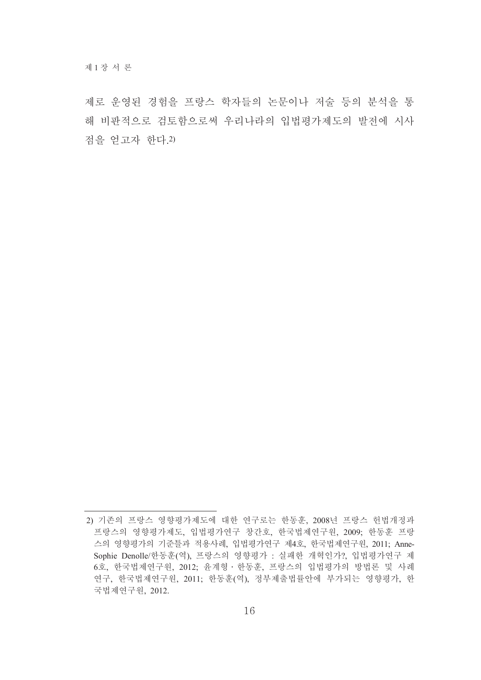제로 운영된 경험을 프랑스 학자들의 논문이나 저술 등의 분석을 통 해 비판적으로 검토함으로써 우리나라의 입법평가제도의 발전에 시사 점을 얻고자 한다.2)

<sup>2)</sup> 기존의 프랑스 영향평가제도에 대한 연구로는 한동훈, 2008년 프랑스 헌법개정과 프랑스의 영향평가제도, 입법평가연구 창간호, 한국법제연구원, 2009; 한동훈 프랑 스의 영향평가의 기준틀과 적용사례, 입법평가연구 제4호, 한국법제연구원, 2011; Anne-Sophie Denolle/한동훈(역), 프랑스의 영향평가 : 실패한 개혁인가?, 입법평가연구 제 6호, 한국법제연구원, 2012; 윤계형 · 한동훈, 프랑스의 입법평가의 방법론 및 사례 연구, 한국법제연구원, 2011; 한동훈(역), 정부제출법률안에 부가되는 영향평가, 한 국법제연구원, 2012.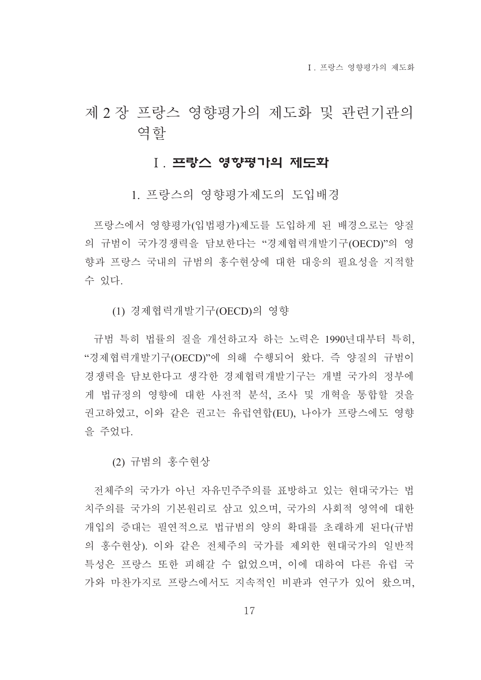I 프랑스 영향평가의 제도화

## 제 2 장 프랑스 영향평가의 제도화 및 관련기관의 역할

#### Ⅰ. 프랑스 영향평가의 제도화

1. 프랑스의 영향평가제도의 도입배경

프랑스에서 영향평가(입법평가)제도를 도입하게 된 배경으로는 양질 의 규범이 국가경쟁력을 담보한다는 "경제협력개발기구(OECD)"의 영 향과 프랑스 국내의 규범의 홍수현상에 대한 대응의 필요성을 지적할 수 있다.

(1) 경제협력개발기구(OECD)의 영향

규범 특히 법률의 질을 개선하고자 하는 노력은 1990년대부터 특히, "경제협력개발기구(OECD)"에 의해 수행되어 왔다. 즉 양질의 규범이 경쟁력을 담보한다고 생각한 경제협력개발기구는 개별 국가의 정부에 게 법규정의 영향에 대한 사전적 분석, 조사 및 개혁을 통합할 것을 권고하였고, 이와 같은 권고는 유럽연합(EU), 나아가 프랑스에도 영향 을 주었다.

(2) 규범의 홍수현상

전체주의 국가가 아닌 자유민주주의를 표방하고 있는 현대국가는 법 치주의를 국가의 기본원리로 삼고 있으며, 국가의 사회적 영역에 대한 개입의 증대는 필연적으로 법규범의 양의 확대를 초래하게 된다(규범 의 홍수현상). 이와 같은 전체주의 국가를 제외한 현대국가의 일반적 특성은 프랑스 또한 피해갈 수 없었으며, 이에 대하여 다른 유럽 국 가와 마찬가지로 프랑스에서도 지속적인 비판과 연구가 있어 왔으며,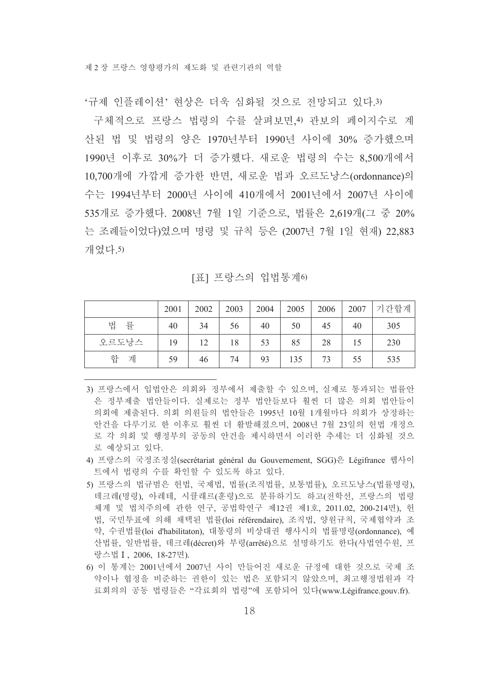'규제 인플레이션' 혁상은 더욱 심화될 것으로 전망되고 있다.3)

구체적으로 프랑스 법령의 수를 살펴보면,4) 관보의 페이지수로 계 산된 법 및 법령의 양은 1970년부터 1990년 사이에 30% 증가했으며 1990년 이후로 30%가 더 증가했다. 새로운 법령의 수는 8,500개에서 10,700개에 가깝게 증가한 반면, 새로운 법과 오르도낭스(ordonnance)의 수는 1994년부터 2000년 사이에 410개에서 2001년에서 2007년 사이에 535개로 증가했다. 2008년 7월 1일 기준으로, 법률은 2,619개(그 중 20% 는 조례들이었다)였으며 명령 및 규칙 등은 (2007년 7월 1일 현재) 22,883 개였다.5)

[표] 프랑스의 입법통계6)

|        | 2001 | 2002 | 2003 | 2004 | 2005 | 2006 | 2007 | 기간합계 |
|--------|------|------|------|------|------|------|------|------|
| 법<br>률 | 40   | 34   | 56   | 40   | 50   | 45   | 40   | 305  |
| 오르도낭스  | 19   | 12   | 18   | 53   | 85   | 28   |      | 230  |
| 합<br>계 | 59   | 46   | 74   | 93   | 135  | 73   | 55   | 535  |

- 3) 프랑스에서 입법안은 의회와 정부에서 제출할 수 있으며, 실제로 통과되는 법률안 은 정부제출 법안들이다. 실제로는 정부 법안들보다 훨씬 더 많은 의회 법안들이 의회에 제출된다. 의회 의원들의 법안들은 1995년 10월 1개월마다 의회가 상정하는 안건을 다루기로 한 이후로 훨씬 더 활발해졌으며, 2008년 7월 23일의 헌법 개정으 로 각 의회 및 행정부의 공동의 안건을 제시하면서 이러한 추세는 더 심화될 것으 로 예상되고 있다.
- 4) 프랑스의 국정조정실(secrétariat général du Gouvernement, SGG)은 Légifrance 웹사이 트에서 법령의 수를 확인할 수 있도록 하고 있다.
- 5) 프랑스의 법규범은 헌법, 국제법, 법률(조직법률, 보통법률), 오르도낭스(법률명령), 데크레(명령), 아레테, 시큘래르(훈령)으로 분류하기도 하고(전학선, 프랑스의 법령 체계 및 법치주의에 관한 연구, 공법학연구 제12권 제1호, 2011.02, 200-214면), 헌 법. 국민투표에 의해 채택된 법률(loi référendaire), 조직법, 양원규칙, 국제협약과 조 약, 수권법률(loi d'habilitaton), 대통령의 비상대권 행사시의 법률명령(ordonnance), 예 산법률, 일반법률, 데크레(décret)와 부령(arrêté)으로 설명하기도 한다(사법연수원, 프 랑스법 I, 2006, 18-27면).
- 6) 이 통계는 2001년에서 2007년 사이 만들어진 새로운 규정에 대한 것으로 국제 조 약이나 협정을 비준하는 권한이 있는 법은 포함되지 않았으며, 최고행정법워과 각 료회의의 공동 법령들은 "각료회의 법령"에 포함되어 있다(www.Légifrance.gouv.fr).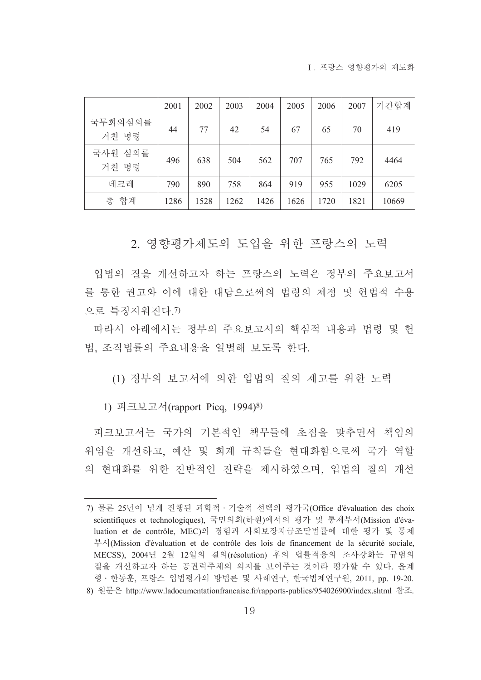I 프랑스 영향평가의 제도화

|                  | 2001 | 2002 | 2003 | 2004 | 2005 | 2006 | 2007 | 기간합계  |
|------------------|------|------|------|------|------|------|------|-------|
| 국무회의심의를<br>거친 명령 | 44   | 77   | 42   | 54   | 67   | 65   | 70   | 419   |
| 국사원 심의를<br>거친 명령 | 496  | 638  | 504  | 562  | 707  | 765  | 792  | 4464  |
| 데크레              | 790  | 890  | 758  | 864  | 919  | 955  | 1029 | 6205  |
| 총 합계             | 1286 | 1528 | 1262 | 1426 | 1626 | 1720 | 1821 | 10669 |

2. 영향평가제도의 도입을 위한 프랑스의 노력

입법의 질을 개선하고자 하는 프랑스의 노력은 정부의 주요보고서 를 통한 권고와 이에 대한 대답으로써의 법령의 제정 및 헌법적 수용 으로 특징지워진다.7)

따라서 아래에서는 정부의 주요보고서의 핵심적 내용과 법령 및 헌 법, 조직법률의 주요내용을 일별해 보도록 한다.

(1) 정부의 보고서에 의한 입법의 질의 제고를 위한 노력

1) 피크보고서(rapport Picq, 1994)8)

피크보고서는 국가의 기본적인 책무들에 초점을 맞추면서 책임의 위임을 개선하고, 예산 및 회계 규칙들을 현대화함으로써 국가 역할 의 현대화를 위한 전반적인 전략을 제시하였으며, 입법의 질의 개선

<sup>7)</sup> 물론 25년이 넘게 진행된 과학적 · 기술적 선택의 평가국(Office d'évaluation des choix scientifiques et technologiques), 국민의회(하원)에서의 평가 및 통제부서(Mission d'évaluation et de contrôle, MEC)의 경험과 사회보장자금조달법률에 대한 평가 및 통제 부서(Mission d'évaluation et de contrôle des lois de financement de la sécurité sociale, MECSS), 2004년 2월 12일의 결의(résolution) 후의 법률적용의 조사강화는 규범의 질을 개선하고자 하는 공권력주체의 의지를 보여주는 것이라 평가할 수 있다. 유계 형 · 한동훈, 프랑스 입법평가의 방법론 및 사례연구, 한국법제연구원, 2011, pp. 19-20.

<sup>8)</sup> 원문은 http://www.ladocumentationfrancaise.fr/rapports-publics/954026900/index.shtml 참조.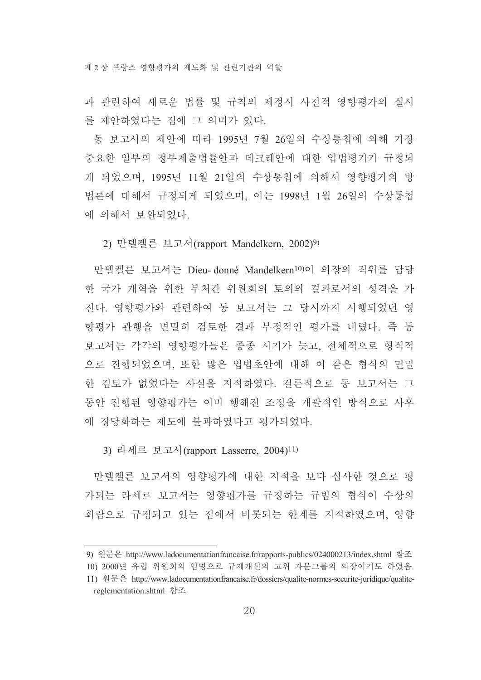과 관련하여 새로운 법률 및 규칙의 제정시 사전적 영향평가의 실시 를 제안하였다는 점에 그 의미가 있다.

동 보고서의 제안에 따라 1995년 7월 26일의 수상통첩에 의해 가장 중요한 일부의 정부제출법률안과 데크레안에 대한 입법평가가 규정되 게 되었으며, 1995년 11월 21일의 수상통첩에 의해서 영향평가의 방 법론에 대해서 규정되게 되었으며, 이는 1998년 1월 26일의 수상통첩 에 의해서 보완되었다.

2) 만델켈른 보고서(rapport Mandelkern, 2002)9)

만델켈른 보고서는 Dieu-donné Mandelkern<sup>10)</sup>이 의장의 직위를 담당 한 국가 개혁을 위한 부처가 위워회의 토의의 결과로서의 성격을 가 진다. 영향평가와 관련하여 동 보고서는 그 당시까지 시행되었던 영 향평가 관행을 면밀히 검토한 결과 부정적인 평가를 내렸다. 즉 동 보고서는 각각의 영향평가들은 종종 시기가 늦고, 전체적으로 형식적 으로 진행되었으며, 또한 많은 입법초안에 대해 이 같은 형식의 면밀 한 검토가 없었다는 사실을 지적하였다. 결론적으로 동 보고서는 그 동안 진행된 영향평가는 이미 행해진 조정을 개괄적인 방식으로 사후 에 정당화하는 제도에 불과하였다고 평가되었다.

3) 라세르 보고서(rapport Lasserre, 2004)<sup>11)</sup>

만델켈른 보고서의 영향평가에 대한 지적을 보다 심사한 것으로 평 가되는 라세르 보고서는 영향평가를 규정하는 규범의 형식이 수상의 회람으로 규정되고 있는 점에서 비롯되는 한계를 지적하였으며, 영향

<sup>9)</sup> 원문은 http://www.ladocumentationfrancaise.fr/rapports-publics/024000213/index.shtml 참조

<sup>10) 2000</sup>년 유럽 위원회의 임명으로 규제개선의 고위 자문그룹의 의장이기도 하였음.

<sup>11)</sup> 원문은 http://www.ladocumentationfrancaise.fr/dossiers/qualite-normes-securite-juridique/qualitereglementation.shtml 참조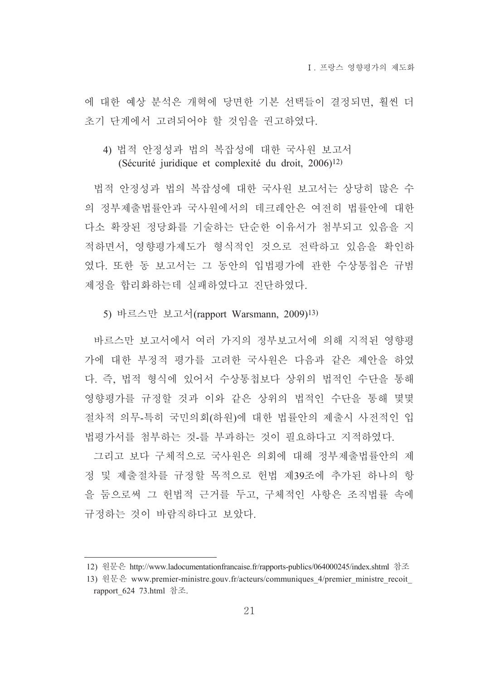에 대한 예상 분석은 개혁에 당면한 기본 선택들이 결정되면, 훨씬 더 초기 단계에서 고려되어야 할 것임을 권고하였다.

#### 4) 법적 안정성과 법의 복잡성에 대한 국사워 보고서 (Sécurité juridique et complexité du droit, 2006)<sup>12)</sup>

법적 안정성과 법의 복잡성에 대한 국사원 보고서는 상당히 많은 수 의 정부제출법률안과 국사원에서의 데크레안은 여전히 법률안에 대한 다소 확장된 정당화를 기술하는 단순한 이유서가 첨부되고 있음을 지 적하면서, 영향평가제도가 형식적인 것으로 전락하고 있음을 확인하 였다. 또한 동 보고서는 그 동안의 입법평가에 관한 수상통첩은 규범 제정을 합리화하는데 실패하였다고 진단하였다.

5) 바르스만 보고서(rapport Warsmann, 2009)<sup>13)</sup>

바르스만 보고서에서 여러 가지의 정부보고서에 의해 지적된 영향평 가에 대한 부정적 평가를 고려한 국사원은 다음과 같은 제안을 하였 다. 즉. 법적 형식에 있어서 수상통첩보다 상위의 법적인 수단을 통해 영향평가를 규정할 것과 이와 같은 상위의 법적인 수단을 통해 몇몇 절차적 의무-특히 국민의회(하원)에 대한 법률안의 제출시 사전적인 입 법평가서를 첨부하는 것-를 부과하는 것이 필요하다고 지적하였다.

그리고 보다 구체적으로 국사원은 의회에 대해 정부제출법률안의 제 정 및 제출절차를 규정할 목적으로 헌법 제39조에 추가된 하나의 항 을 둠으로써 그 헌법적 근거를 두고, 구체적인 사항은 조직법률 속에 규정하는 것이 바람직하다고 보았다.

<sup>12)</sup> 원문은 http://www.ladocumentationfrancaise.fr/rapports-publics/064000245/index.shtml 참조

<sup>13)</sup> 원문은 www.premier-ministre.gouv.fr/acteurs/communiques 4/premier ministre recoit rapport 624 73.html 참조.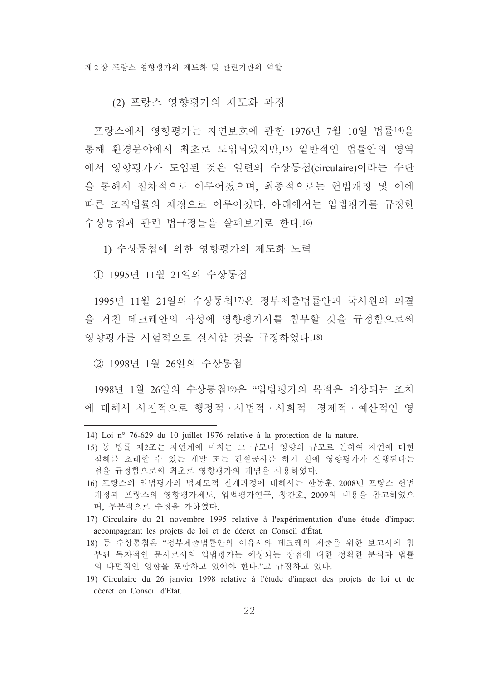(2) 프랑스 영향평가의 제도화 과정

프랑스에서 영향평가는 자연보호에 과한 1976년 7월 10일 법률14)을 통해 화경부야에서 최초로 도입되었지만 15) 일반적인 법률안의 영역 에서 영향평가가 도입된 것은 일련의 수상통첩(circulaire)이라는 수단 을 통해서 점차적으로 이루어졌으며, 최종적으로는 헌법개정 및 이에 따른 조직법률의 제정으로 이루어졌다. 아래에서는 입법평가를 규정한 수상통첩과 관련 법규정들을 살펴보기로 한다.16)

1) 수상통첩에 의한 영향평가의 제도화 노력

① 1995년 11월 21일의 수상통첩

1995년 11월 21일의 수상통첩17)은 정부제출법률안과 국사워의 의결 을 거친 데크레안의 작성에 영향평가서를 첨부할 것을 규정함으로써 영향평가를 시험적으로 실시할 것을 규정하였다.18)

② 1998년 1월 26일의 수상통첩

1998년 1월 26일의 수상통첩19)은 "입법평가의 목적은 예상되는 조치 에 대해서 사저적으로 행정적 · 사법적 · 사회적 · 경제적 · 예사적인 영

- 17) Circulaire du 21 novembre 1995 relative à l'expérimentation d'une étude d'impact accompagnant les projets de loi et de décret en Conseil d'État.
- 18) 동 수상통첩은 "정부제출법률안의 이유서와 데크레의 제출을 위한 보고서에 첨 부된 독자적인 문서로서의 입법평가는 예상되는 장점에 대한 정확한 분석과 법률 의 다면적인 영향을 포함하고 있어야 한다."고 규정하고 있다.
- 19) Circulaire du 26 janvier 1998 relative à l'étude d'impact des projets de loi et de décret en Conseil d'Etat.

<sup>14)</sup> Loi nº 76-629 du 10 juillet 1976 relative à la protection de la nature.

<sup>15)</sup> 동 법률 제2조는 자연계에 미치는 그 규모나 영향의 규모로 인하여 자연에 대한 침해를 초래할 수 있는 개발 또는 건설공사를 하기 전에 영향평가가 실행된다는 점을 규정함으로써 최초로 영향평가의 개념을 사용하였다.

<sup>16)</sup> 프랑스의 입법평가의 법제도적 전개과정에 대해서는 한동훈, 2008년 프랑스 헌법 개정과 프랑스의 영향평가제도, 입법평가연구, 창간호, 2009의 내용을 참고하였으 며, 부분적으로 수정을 가하였다.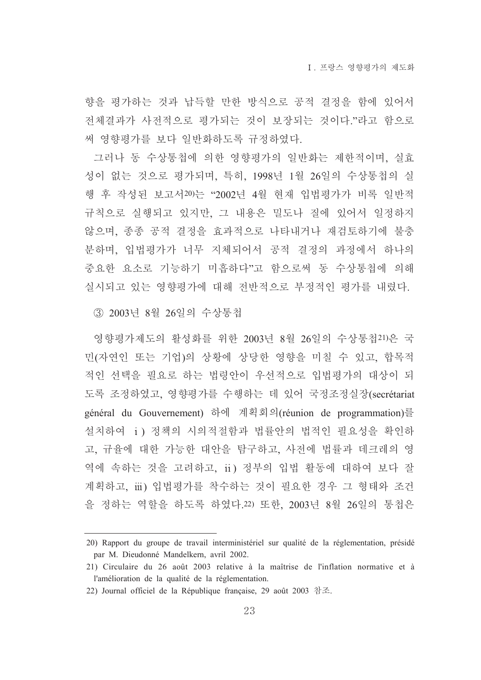향을 평가하는 것과 납득할 만한 방식으로 공적 결정을 함에 있어서 전체결과가 사전적으로 평가되는 것이 보장되는 것이다."라고 함으로 써 영향평가를 보다 일반화하도록 규정하였다.

그러나 동 수상통첩에 의한 영향평가의 일반화는 제한적이며, 실효 성이 없는 것으로 평가되며, 특히, 1998년 1월 26일의 수상통첩의 실 행 후 작성된 보고서20)는 "2002년 4월 현재 입법평가가 비록 일반적 규칙으로 실행되고 있지만, 그 내용은 밀도나 질에 있어서 일정하지 않으며, 종종 공적 결정을 효과적으로 나타내거나 재검토하기에 불충 분하며, 입법평가가 너무 지체되어서 공적 결정의 과정에서 하나의 중요한 요소로 기능하기 미흡하다"고 함으로써 동 수상통첩에 의해 실시되고 있는 영향평가에 대해 전반적으로 부정적인 평가를 내렸다.

3 2003년 8월 26일의 수상통첩

영향평가제도의 활성화를 위한 2003년 8월 26일의 수상통첩21)은 국 민(자연인 또는 기업)의 상황에 상당한 영향을 미칠 수 있고, 합목적 적인 선택을 필요로 하는 법령안이 우선적으로 입법평가의 대상이 되 도록 조정하였고, 영향평가를 수행하는 데 있어 국정조정실장(secrétariat général du Gouvernement) 하에 계획회의(réunion de programmation)를 설치하여 i) 정책의 시의적절함과 법률안의 법적인 필요성을 확인하 고, 규율에 대한 가능한 대안을 탐구하고, 사전에 법률과 데크레의 영 역에 속하는 것을 고려하고, ii) 정부의 입법 활동에 대하여 보다 잘 계획하고, iii) 입법평가를 착수하는 것이 필요한 경우 그 형태와 조건 을 정하는 역할을 하도록 하였다. 22) 또한, 2003년 8월 26일의 통첩은

<sup>20)</sup> Rapport du groupe de travail interministériel sur qualité de la réglementation, présidé par M. Dieudonné Mandelkern, avril 2002.

<sup>21)</sup> Circulaire du 26 août 2003 relative à la maîtrise de l'inflation normative et à l'amélioration de la qualité de la réglementation.

<sup>22)</sup> Journal officiel de la République française, 29 août 2003 참조.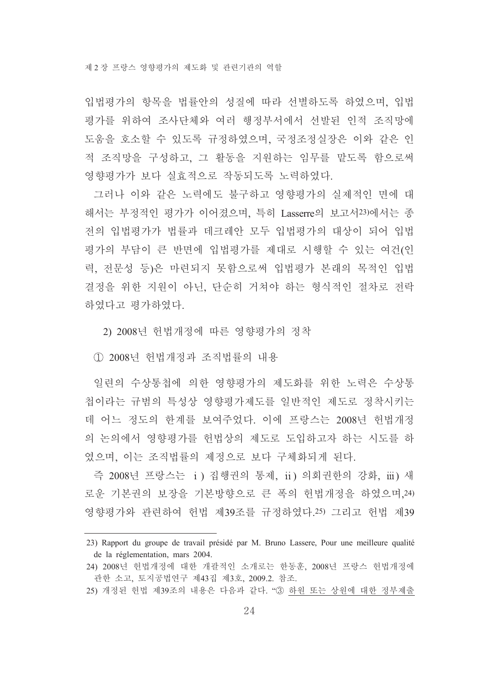입법평가의 항목을 법률안의 성질에 따라 선별하도록 하였으며, 입법 평가를 위하여 조사단체와 여러 행정부서에서 선발된 인적 조직망에 도움을 호소할 수 있도록 규정하였으며, 국정조정실장은 이와 같은 인 적 조직망을 구성하고, 그 활동을 지원하는 임무를 맡도록 함으로써 영향평가가 보다 실효적으로 작동되도록 노력하였다.

그러나 이와 같은 노력에도 불구하고 영향평가의 실제적인 면에 대 해서는 부정적인 평가가 이어졌으며, 특히 Lasserre의 보고서23)에서는 종 전의 입법평가가 법률과 데크레안 모두 입법평가의 대상이 되어 입법 평가의 부담이 큰 반면에 입법평가를 제대로 시행할 수 있는 여건(인 력, 전문성 등)은 마련되지 못함으로써 입법평가 본래의 목적인 입법 결정을 위한 지원이 아닌, 단순히 거쳐야 하는 형식적인 절차로 전락 하였다고 평가하였다.

2) 2008년 헌법개정에 따른 영향평가의 정착

1 2008년 헌법개정과 조직법률의 내용

일련의 수상통첩에 의한 영향평가의 제도화를 위한 노력은 수상통 첩이라는 규범의 특성상 영향평가제도를 일반적인 제도로 정착시키는 데 어느 정도의 하계를 보여주었다. 이에 프랑스는 2008년 헌법개정 의 논의에서 영향평가를 헌법상의 제도로 도입하고자 하는 시도를 하 였으며, 이는 조직법률의 제정으로 보다 구체화되게 된다.

즉 2008년 프랑스는 i) 집행권의 통제, ii) 의회권한의 강화, iii) 새 로운 기본권의 보장을 기본방향으로 큰 폭의 헌법개정을 하였으며.24) 영향평가와 관련하여 헌법 제39조를 규정하였다.25) 그리고 헌법 제39

25) 개정된 헌법 제39조의 내용은 다음과 같다. "③ 하원 또는 상원에 대한 정부제출

<sup>23)</sup> Rapport du groupe de travail présidé par M. Bruno Lassere, Pour une meilleure qualité de la réglementation, mars 2004.

<sup>24) 2008</sup>년 헌법개정에 대한 개괄적인 소개로는 한동훈, 2008년 프랑스 헌법개정에 관한 소고, 토지공법연구 제43집 제3호, 2009.2. 참조.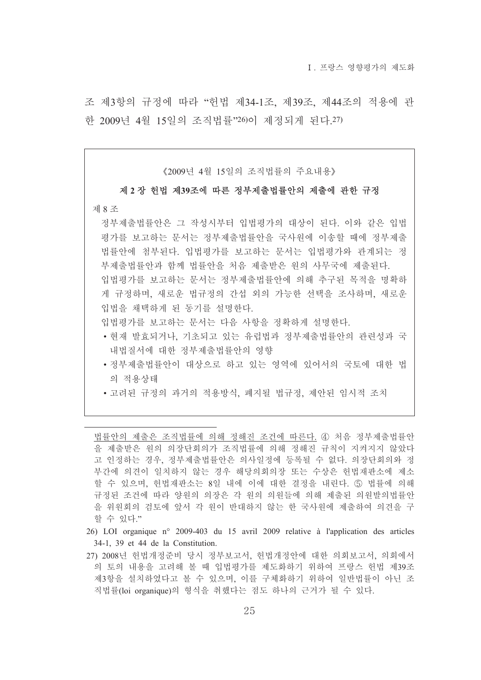조 제3항의 규정에 따라 "헌법 제34-1조, 제39조, 제44조의 적용에 관 한 2009년 4월 15일의 조직법률"26)이 제정되게 된다.27)

《2009년 4월 15일의 조직법률의 주요내용》

#### 제 2 장 헌법 제39조에 따른 정부제출법률안의 제출에 관한 규정

#### 제 8 조

정부제출법률안은 그 작성시부터 입법평가의 대상이 된다. 이와 같은 입법 평가를 보고하는 문서는 정부제출법률안을 국사원에 이송할 때에 정부제출 법률안에 첨부된다. 입법평가를 보고하는 문서는 입법평가와 관계되는 정 부제출법률안과 함께 법률안을 처음 제출받은 워의 사무국에 제출된다. 입법평가를 보고하는 문서는 정부제출법률안에 의해 추구된 목적을 명확하 게 규정하며, 새로운 법규정의 간섭 외의 가능한 선택을 조사하며, 새로운 입법을 채택하게 된 동기를 설명하다.

입법평가를 보고하는 문서는 다음 사항을 정확하게 설명한다.

- 현재 발효되거나, 기초되고 있는 유럽법과 정부제출법률안의 관련성과 국 내법질서에 대한 정부제출법률안의 영향
- •정부제출법률안이 대상으로 하고 있는 영역에 있어서의 국토에 대한 법 의 적용상태
- 고려된 규정의 과거의 적용방식, 폐지될 법규정, 제안된 임시적 조치

법률안의 제출은 조직법률에 의해 정해진 조건에 따른다. 4) 처음 정부제출법률안 을 제출받은 워의 의장단회의가 조직법률에 의해 정해진 규칙이 지켜지지 않았다 고 인정하는 경우, 정부제출법률안은 의사일정에 등록될 수 없다. 의장단회의와 정 부간에 의견이 일치하지 않는 경우 해당의회의장 또는 수상은 헌법재판소에 제소 할 수 있으며, 헌법재판소는 8일 내에 이에 대한 결정을 내린다. 5 법률에 의해 규정된 조건에 따라 양원의 의장은 각 원의 의원들에 의해 제출된 의원발의법률안 을 위원회의 검토에 앞서 각 원이 반대하지 않는 한 국사원에 제출하여 의견을 구 할 수 있다."

- 26) LOI organique n° 2009-403 du 15 avril 2009 relative à l'application des articles 34-1, 39 et 44 de la Constitution.
- 27) 2008년 헌법개정주비 당시 정부보고서, 헌법개정안에 대한 의회보고서, 의회에서 의 토의 내용을 고려해 볼 때 입법평가를 제도화하기 위하여 프랑스 헌법 제39조 제3항을 설치하였다고 볼 수 있으며, 이를 구체화하기 위하여 일반법률이 아닌 조 직법률(loi organique)의 형식을 취했다는 점도 하나의 근거가 될 수 있다.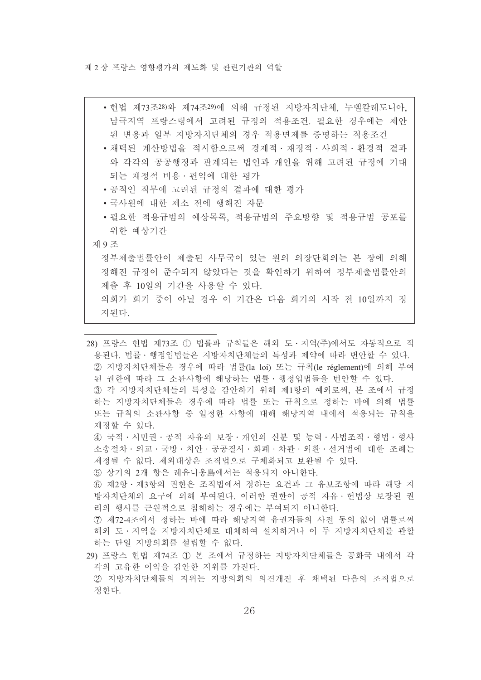- 헌법 제73조<sup>28)</sup>와 제74조<sup>29)</sup>에 의해 규정된 지방자치단체, 누벨칼레도니아, 남극지역 프랑스령에서 고려된 규정의 적용조건, 필요한 경우에는 제안 된 변용과 일부 지방자치단체의 경우 적용면제를 증명하는 적용조건
- 채택된 계산방법을 적시함으로써 경제적 · 재정적 · 사회적 · 화경적 결과 와 각각의 공공행정과 관계되는 법인과 개인을 위해 고려된 규정에 기대 되는 재정적 비용 · 편익에 대한 평가
- 공적인 직무에 고려된 규정의 결과에 대한 평가
- 국사원에 대한 제소 전에 행해진 자문
- 필요한 적용규범의 예상목록, 적용규범의 주요방향 및 적용규범 공포를 위한 예상기간
- 제 9조

정부제출법률안이 제출된 사무국이 있는 원의 의장단회의는 본 장에 의해 정해진 규정이 준수되지 않았다는 것을 확인하기 위하여 정부제출법률안의 제출 후 10일의 기간을 사용할 수 있다. 의회가 회기 중이 아닐 경우 이 기간은 다음 회기의 시작 전 10일까지 정

지되다.

28) 프랑스 헌법 제73조 ① 법률과 규칙들은 해외 도 · 지역(주)에서도 자동적으로 적 용된다. 법률·행정입법들은 지방자치단체들의 특성과 제약에 따라 번안할 수 있다. 2 지방자치단체들은 경우에 따라 법률(la loi) 또는 규칙(le réglement)에 의해 부여 된 권한에 따라 그 소관사항에 해당하는 법률 · 행정입법들을 번안할 수 있다. ③ 각 지방자치단체들의 특성을 감안하기 위해 제1항의 예외로써, 본 조에서 규정 하는 지방자치단체들은 경우에 따라 법률 또는 규칙으로 정하는 바에 의해 법률 또는 규칙의 소관사항 중 일정한 사항에 대해 해당지역 내에서 적용되는 규칙을 제정할 수 있다. 4 국적 · 시민권 · 공적 자유의 보장 · 개인의 신분 및 능력 · 사법조직 · 형법 · 형사 소송절차 · 외교 · 국방 · 치아 · 공공질서 · 화폐 · 차과 · 외화 · 선거법에 대한 조례는 제정될 수 없다. 제외대상은 조직법으로 구체화되고 보완될 수 있다.

5 상기의 2개 항은 레유니옹島에서는 적용되지 아니한다.

6 제2항 · 제3항의 권한은 조직법에서 정하는 요건과 그 유보조항에 따라 해당 지 방자치단체의 요구에 의해 부여된다. 이러한 권한이 공적 자유 · 헌법상 보장된 권 리의 행사를 근원적으로 침해하는 경우에는 부여되지 아니한다.

- 7 제72-4조에서 정하는 바에 따라 해당지역 유권자들의 사전 동의 없이 법률로써 해외 도 · 지역을 지방자치단체로 대체하여 설치하거나 이 두 지방자치단체를 관할 하는 단일 지방의회를 설립할 수 없다.
- 29) 프랑스 허법 제74조 ① 본 조에서 규정하는 지방자치단체들은 공화국 내에서 각 각의 고유한 이익을 감안한 지위를 가진다. ② 지방자치단체들의 지위는 지방의회의 의견개진 후 채택된 다음의 조직법으로

정한다.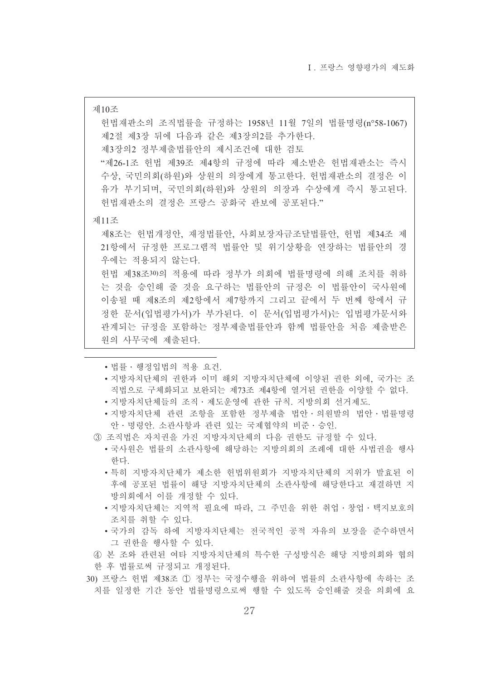제10조 헌법재판소의 조직법률을 규정하는 1958년 11월 7일의 법률명령(n°58-1067) 제2절 제3장 뒤에 다음과 같은 제3장의2를 추가한다. 제3장의2 정부제출법률안의 제시조건에 대한 검토 "제26-1조 헌법 제39조 제4항의 규정에 따라 제소받은 헌법재판소는 즉시 수상, 국민의회(하워)와 상원의 의장에게 통고한다. 헌법재판소의 결정은 이 유가 부기되며, 국민의회(하워)와 상원의 의장과 수상에게 즉시 통고된다. 헌법재판소의 결정은 프랑스 공화국 관보에 공포된다." 제11조 제8조는 헌법개정안, 재정법률안, 사회보장자금조달법률안, 헌법 제34조 제 21항에서 규정한 프로그램적 법률안 및 위기상황을 연장하는 법률안의 경 우에는 적용되지 않는다. 헌법 제38조30)의 적용에 따라 정부가 의회에 법률명령에 의해 조치를 취하 는 것을 승인해 줄 것을 요구하는 법률안의 규정은 이 법률안이 국사워에 이송될 때 제8조의 제2항에서 제7항까지 그리고 끝에서 두 번째 항에서 규 정한 문서(입법평가서)가 부가된다. 이 문서(입법평가서)는 입법평가문서와 관계되는 규정을 포함하는 정부제출법률안과 함께 법률안을 처음 제출받은 워의 사무국에 제출되다

- 법률 · 행정입법의 적용 요건.
- •지방자치단체의 권하과 이미 해외 지방자치단체에 이양된 권하 외에 국가는 조 직법으로 구체화되고 보완되는 제73조 제4항에 열거된 권한을 이양할 수 없다.
- 지방자치단체들의 조직 · 제도운영에 관한 규칙. 지방의회 선거제도.
- •지방자치다체 관련 조항을 포함한 정부제출 법안 의원발의 법안 법률명령 안 · 명령안. 소관사항과 관련 있는 국제협약의 비준 · 승인.
- 3) 조직법은 자치권을 가진 지방자치단체의 다음 권한도 규정할 수 있다.
	- 국사워은 법률의 소과사항에 해당하는 지방의회의 조례에 대한 사법권을 행사 하다
	- 특히 지방자치단체가 제소한 헌법위원회가 지방자치단체의 지위가 발효된 이 후에 공포된 법률이 해당 지방자치단체의 소관사항에 해당한다고 재결하면 지 방의회에서 이를 개정할 수 있다.
	- 지방자치단체는 지역적 필요에 따라, 그 주민을 위한 취업 · 창업 · 택지보호의 조치를 취할 수 있다.
	- 국가의 감독 하에 지방자치단체는 전국적인 공적 자유의 보장을 준수하면서 그 권한을 행사할 수 있다.
- 4) 본 조와 관련된 여타 지방자치단체의 특수한 구성방식은 해당 지방의회와 협의
- 한 후 법률로써 규정되고 개정된다.
- 30) 프랑스 헌법 제38조 ① 정부는 국정수행을 위하여 법률의 소관사항에 속하는 조 치를 일정한 기간 동안 법률명령으로써 행할 수 있도록 승인해줄 것을 의회에 요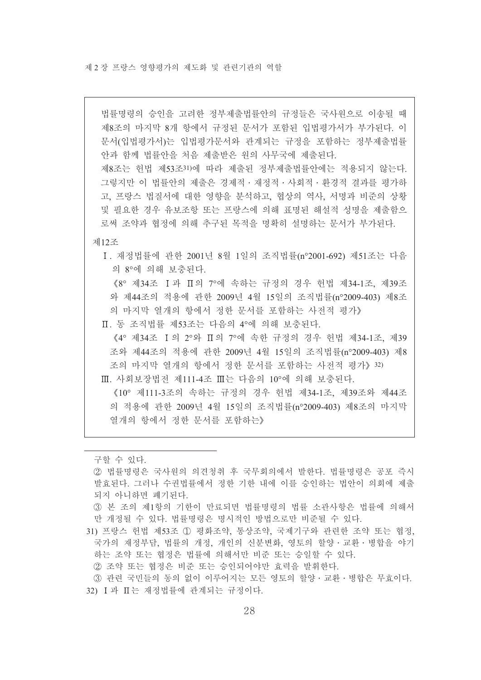법률명령의 승인을 고려한 정부제출법률안의 규정들은 국사원으로 이송될 때 제8조의 마지막 8개 항에서 규정된 문서가 포함된 입법평가서가 부가된다. 이 문서(입법평가서)는 입법평가문서와 관계되는 규정을 포함하는 정부제출법률 안과 함께 법률안을 처음 제출받은 워의 사무국에 제출된다.

제8조는 헌법 제53조31)에 따라 제출된 정부제출법률안에는 적용되지 않는다. 그렇지만 이 법률안의 제출은 경제적 · 재정적 · 사회적 · 화경적 결과를 평가하 고, 프랑스 법질서에 대한 영향을 분석하고, 협상의 역사, 서명과 비준의 상황 및 필요한 경우 유보조항 또는 프랑스에 의해 표명된 해설적 성명을 제출함으 로써 조약과 협정에 의해 추구된 목적을 명확히 설명하는 문서가 부가된다.

제12조

I. 재정법률에 관한 2001년 8월 1일의 조직법률(n°2001-692) 제51조는 다음 의 8°에 의해 보충된다.

《8° 제34조 Ⅰ과 Ⅱ의 7°에 속하는 규정의 경우 헌법 제34-1조. 제39조 와 제44조의 적용에 관한 2009년 4월 15일의 조직법률(n°2009-403) 제8조 의 마지막 열개의 항에서 정한 문서를 포함하는 사전적 평가》

Ⅱ. 동 조직법률 제53조는 다음의 4°에 의해 보충된다.

《4° 제34조 Ⅰ의 2°와 Ⅱ의 7°에 속한 규정의 경우 헌법 제34-1조, 제39 조와 제44조의 적용에 관한 2009년 4월 15일의 조직법률(n°2009-403) 제8 조의 마지막 열개의 항에서 정한 문서를 포함하는 사전적 평가》 32)

Ⅲ. 사회보장법전 제111-4조 Ⅲ는 다음의 10°에 의해 보충된다.

《10° 제111-3조의 속하는 규정의 경우 헌법 제34-1조, 제39조와 제44조 의 적용에 관한 2009년 4월 15일의 조직법률(n°2009-403) 제8조의 마지막 열개의 항에서 정한 문서를 포함하는》

구할 수 있다.

- ② 법률명령은 국사원의 의견청취 후 국무회의에서 발한다. 법률명령은 공포 즉시 발효된다. 그러나 수권법률에서 정한 기한 내에 이를 승인하는 법안이 의회에 제출 되지 아니하면 폐기된다.
- ③ 본 조의 제1항의 기한이 만료되면 법률명령의 법률 소관사항은 법률에 의해서 만 개정될 수 있다. 법률명령은 명시적인 방법으로만 비준될 수 있다.
- 31) 프랑스 헌법 제53조 ① 평화조약, 통상조약, 국제기구와 관련한 조약 또는 협정, 국가의 재정부담, 법률의 개정, 개인의 신분변화, 영토의 할양 · 교환 · 병합을 야기 하는 조약 또는 협정은 법률에 의해서만 비준 또는 승일할 수 있다.
	- ② 조약 또는 협정은 비준 또는 승인되어야만 효력을 발휘한다.
- 3 관련 국민들의 동의 없이 이루어지는 모든 영토의 할양 · 교환 · 병합은 무효이다. 32) I 과 II는 재정법률에 관계되는 규정이다.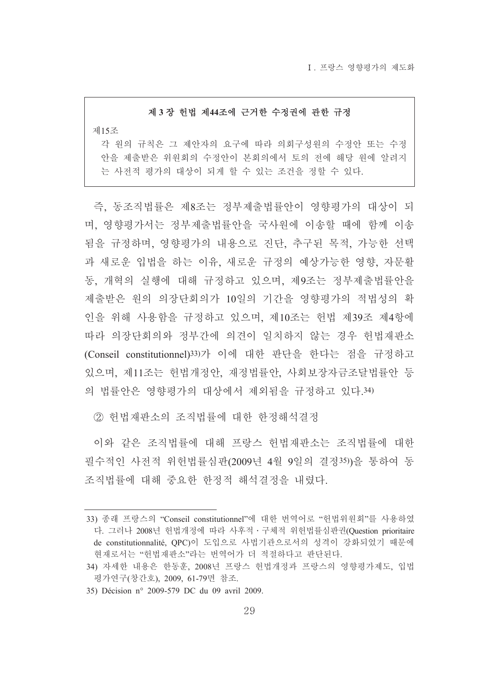I 프랑스 영향평가의 제도화

#### 제 3장 헌법 제44조에 근거한 수정권에 관한 규정

제15조

각 원의 규칙은 그 제안자의 요구에 따라 의회구성원의 수정안 또는 수정 안을 제출받은 위원회의 수정안이 본회의에서 토의 전에 해당 원에 알려지 는 사전적 평가의 대상이 되게 할 수 있는 조건을 정할 수 있다.

즉, 동조직법률은 제8조는 정부제출법률안이 영향평가의 대상이 되 며, 영향평가서는 정부제출법률안을 국사원에 이송할 때에 함께 이송 됨을 규정하며, 영향평가의 내용으로 진단, 추구된 목적, 가능한 선택 과 새로운 입법을 하는 이유, 새로운 규정의 예상가능한 영향, 자문활 동. 개혁의 실행에 대해 규정하고 있으며, 제9조는 정부제출법률안을 제출받은 원의 의장단회의가 10일의 기간을 영향평가의 적법성의 확 인을 위해 사용함을 규정하고 있으며, 제10조는 헌법 제39조 제4항에 따라 의장단회의와 정부간에 의견이 일치하지 않는 경우 헌법재판소 (Conseil constitutionnel)33)가 이에 대한 판단을 한다는 점을 규정하고 있으며, 제11조는 헌법개정안, 재정법률안, 사회보장자금조달법률안 등 의 법률안은 영향평가의 대상에서 제외됨을 규정하고 있다.34)

② 헌법재판소의 조직법률에 대한 한정해석결정

이와 같은 조직법률에 대해 프랑스 헌법재판소는 조직법률에 대한 필수적인 사전적 위헌법률심판(2009년 4월 9일의 결정35))을 통하여 동 조직법률에 대해 중요한 한정적 해석결정을 내렸다.

<sup>33)</sup> 종래 프랑스의 "Conseil constitutionnel"에 대한 번역어로 "헌법위원회"를 사용하였 다. 그러나 2008년 헌법개정에 따라 사후적 · 구체적 위헌법률심판권(Question prioritaire de constitutionnalité, QPC)이 도입으로 사법기관으로서의 성격이 강화되었기 때문에 현재로서는 "헌법재판소"라는 번역어가 더 적절하다고 판단된다.

<sup>34)</sup> 자세한 내용은 한동훈, 2008년 프랑스 헌법개정과 프랑스의 영향평가제도, 입법 평가연구(창간호), 2009, 61-79면 참조.

<sup>35)</sup> Décision nº 2009-579 DC du 09 avril 2009.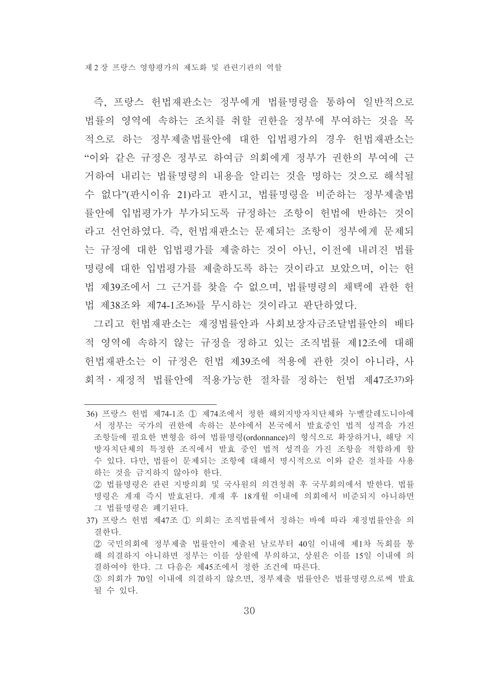즉, 프랑스 헌법재판소는 정부에게 법률명령을 통하여 일반적으로 법률의 영역에 속하는 조치를 취할 권한을 정부에 부여하는 것을 목 적으로 하는 정부제출법률안에 대한 입법평가의 경우 헌법재판소는 "이와 같은 규정은 정부로 하여금 의회에게 정부가 권한의 부여에 근 거하여 내리는 법률명령의 내용을 알리는 것을 명하는 것으로 해석될 수 없다"(판시이유 21)라고 판시고, 법률명령을 비준하는 정부제출법 률안에 입법평가가 부가되도록 규정하는 조항이 헌법에 반하는 것이 라고 선언하였다. 즉, 헌법재판소는 문제되는 조항이 정부에게 문제되 는 규정에 대한 입법평가를 제출하는 것이 아닌, 이전에 내려진 법률 명령에 대한 입법평가를 제출하도록 하는 것이라고 보았으며, 이는 헌 법 제39조에서 그 근거를 찾을 수 없으며, 법률명령의 채택에 관한 헌 법 제38조와 제74-1조36)를 무시하는 것이라고 파다하였다.

그리고 허법재판소는 재정법률안과 사회보장자금조달법률안의 배타 적 영역에 속하지 않는 규정을 정하고 있는 조직법률 제12조에 대해 헌법재판소는 이 규정은 헌법 제39조에 적용에 관한 것이 아니라. 사 회적 · 재정적 법률안에 적용가능한 절차를 정하는 헌법 제47조37)와

- 37) 프랑스 헌법 제47조 ① 의회는 조직법률에서 정하는 바에 따라 재정법률안을 의 결한다.
	- ② 국민의회에 정부제출 법률안이 제출된 날로부터 40일 이내에 제1차 독회를 통 해 의결하지 아니하면 정부는 이를 상원에 부의하고, 상원은 이를 15일 이내에 의 결하여야 한다. 그 다음은 제45조에서 정한 조건에 따른다.

<sup>36)</sup> 프랑스 헌법 제74-1조 ① 제74조에서 정한 해외지방자치단체와 누벨칼레도니아에 서 정부는 국가의 권한에 속하는 분야에서 본국에서 발효중인 법적 성격을 가진 조항들에 필요한 변형을 하여 법률명령(ordonnance)의 형식으로 확장하거나 해당 지 방자치단체의 특정한 조직에서 발효 중인 법적 성격을 가진 조항을 적합하게 할 수 있다. 다만, 법률이 문제되는 조항에 대해서 명시적으로 이와 같은 절차를 사용 하는 것을 금지하지 않아야 한다.

② 법률명령은 관련 지방의회 및 국사원의 의견청취 후 국무회의에서 발한다. 법률 명령은 게재 즉시 발효되다. 게재 후 18개월 이내에 의회에서 비준되지 아니하면 그 법률명령은 폐기된다.

<sup>3)</sup> 의회가 70일 이내에 의결하지 않으면, 정부제출 법률안은 법률명령으로써 발효 될 수 있다.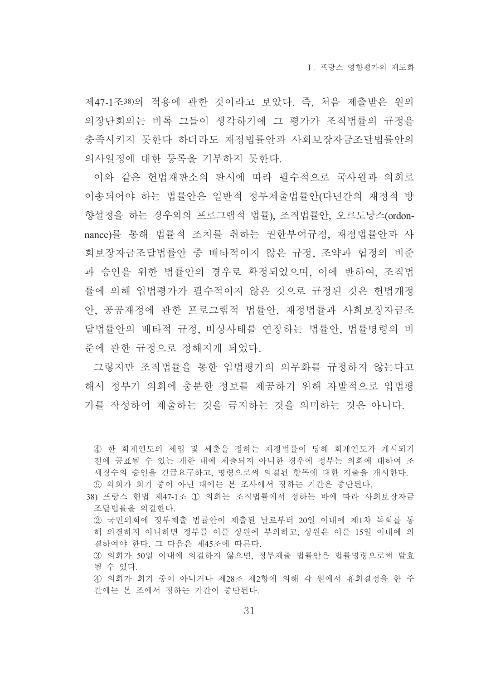제47-1조38)의 적용에 관한 것이라고 보았다. 즉, 처음 제출받은 워의 의장단회의는 비록 그들이 생각하기에 그 평가가 조직법률의 규정을 충족시키지 못하다 하더라도 재정법률안과 사회보장자금조달법률안의 의사일정에 대한 등록을 거부하지 못한다.

이와 같은 헌법재판소의 판시에 따라 필수적으로 국사워과 의회로 이송되어야 하는 법률안은 일반적 정부제출법률안(다녀간의 재정적 방 향설정을 하는 경우외의 프로그램적 법률), 조직법률안, 오르도낭스(ordonnance)를 통해 법률적 조치를 취하는 권한부여규정, 재정법률안과 사 회보장자금조달법률안 중 배타적이지 않은 규정, 조약과 협정의 비주 과 승인을 위한 법률안의 경우로 확정되었으며, 이에 반하여, 조직법 률에 의해 입법평가가 필수적이지 않은 것으로 규정된 것은 헌법개정 안, 공공재정에 관한 프로그램적 법률안, 재정법률과 사회보장자금조 달법률안의 배타적 규정, 비상사태를 연장하는 법률안, 법률명령의 비 주에 관한 규정으로 정해지게 되었다.

그렇지만 조직법률을 통한 입법평가의 의무화를 규정하지 않는다고 해서 정부가 의회에 충부한 정보를 제공하기 위해 자발적으로 입법평 가를 작성하여 제출하는 것을 금지하는 것을 의미하는 것은 아니다.

38) 프랑스 헌법 제47-1조 ① 의회는 조직법률에서 정하는 바에 따라 사회보장자금

- ② 국민의회에 정부제출 법률안이 제출된 날로부터 20일 이내에 제1차 독회를 통 해 의결하지 아니하면 정부를 이를 상원에 부의하고, 상원은 이를 15일 이내에 의 결하여야 한다. 그 다음은 제45조에 따른다.
- 3) 의회가 50일 이내에 의결하지 않으면, 정부제출 법률안은 법률명령으로써 발효 될 수 있다.
- 4) 의회가 회기 중이 아니거나 제28조 제2항에 의해 각 원에서 휴회결정을 한 주 간에는 본 조에서 정하는 기간이 중단된다.

<sup>4)</sup> 한 회계연도의 세입 및 세출을 정하는 재정법률이 당해 회계연도가 개시되기 전에 공표될 수 있는 개한 내에 제출되지 아니한 경우에 정부는 의회에 대하여 조 세징수의 승인을 긴급요구하고, 명령으로써 의결된 항목에 대한 지출을 개시한다. 5 의회가 회기 중이 아닌 때에는 본 조사에서 정하는 기간은 중단된다.

조달법률을 의결하다.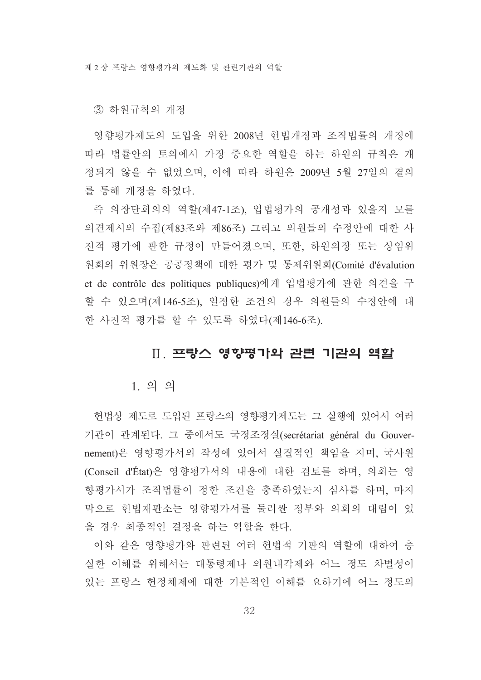③ 하워규칙의 개정

영향평가제도의 도입을 위한 2008년 헌법개정과 조직법률의 개정에 따라 법률안의 토의에서 가장 중요한 역할을 하는 하원의 규칙은 개 정되지 않을 수 없었으며, 이에 따라 하원은 2009년 5월 27일의 결의 를 통해 개정을 하였다.

즉 의장단회의의 역할(제47-1조), 입법평가의 공개성과 있을지 모를 의견제시의 수집(제83조와 제86조) 그리고 의원들의 수정안에 대한 사 전적 평가에 관한 규정이 만들어졌으며, 또한, 하원의장 또는 상임위 원회의 위원장은 공공정책에 대한 평가 및 통제위원회(Comité d'évalution et de contrôle des politiques publiques)에게 입법평가에 관한 의견을 구 할 수 있으며(제146-5조), 일정한 조건의 경우 의원들의 수정안에 대 한 사전적 평가를 할 수 있도록 하였다(제146-6조).

#### Ⅱ. 프랑스 영향평가와 관련 기관의 역할

#### $1.99$

헌법상 제도로 도입된 프랑스의 영향평가제도는 그 실행에 있어서 여러 기관이 관계된다. 그 중에서도 국정조정실(secrétariat général du Gouvernement)은 영향평가서의 작성에 있어서 실질적인 책임을 지며, 국사원 (Conseil d'État)은 영향평가서의 내용에 대한 검토를 하며, 의회는 영 향평가서가 조직법률이 정한 조건을 충족하였는지 심사를 하며, 마지 막으로 헌법재판소는 영향평가서를 둘러싼 정부와 의회의 대립이 있 을 경우 최종적인 결정을 하는 역할을 하다.

이와 같은 영향평가와 관련된 여러 헌법적 기관의 역할에 대하여 충 실한 이해를 위해서는 대통령제나 의원내각제와 어느 정도 차별성이 있는 프랑스 헌정체제에 대한 기본적인 이해를 요하기에 어느 정도의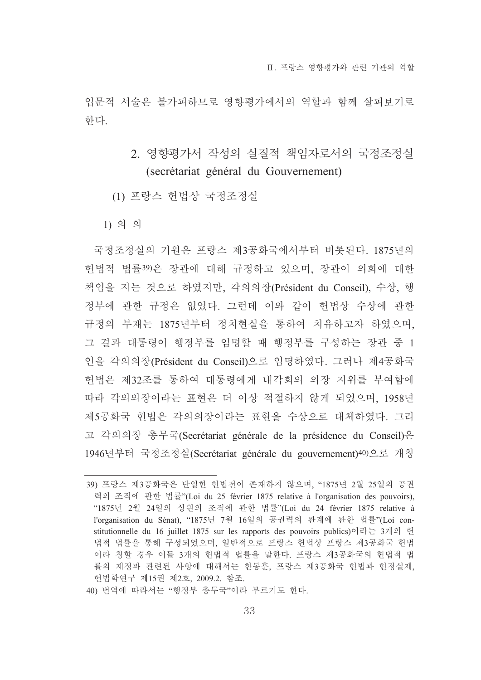입무적 서술은 불가피하므로 영향평가에서의 역할과 함께 살펴보기로 한다.

- 2. 영향평가서 작성의 실질적 책임자로서의 국정조정실 (secrétariat général du Gouvernement)
- (1) 프랑스 헌법상 국정조정실

 $1)$  의 의

국정조정실의 기원은 프랑스 제3공화국에서부터 비롯된다. 1875년의 헌법적 법률39)은 장관에 대해 규정하고 있으며, 장관이 의회에 대한 책임을 지는 것으로 하였지만, 각의의장(Président du Conseil). 수상, 행 정부에 과한 규정은 없었다. 그런데 이와 같이 헌법상 수상에 과한 규정의 부재는 1875년부터 정치현실을 통하여 치유하고자 하였으며, 그 결과 대통령이 행정부를 임명할 때 행정부를 구성하는 장관 중 1 인을 각의의장(Président du Conseil)으로 임명하였다. 그러나 제4공화국 헌법은 제32조를 통하여 대통령에게 내각회의 의장 지위를 부여함에 따라 각의의장이라는 표현은 더 이상 적절하지 않게 되었으며 1958년 제5공화국 헌법은 각의의장이라는 표현을 수상으로 대체하였다. 그리 고 각의의장 총무국(Secrétariat générale de la présidence du Conseil)은 1946년부터 국정조정실(Secrétariat générale du gouvernement)<sup>40)</sup>으로 개칭

40) 번역에 따라서는 "행정부 총무국"이라 부르기도 하다.

<sup>39)</sup> 프랑스 제3공화국은 단일한 헌법전이 존재하지 않으며, "1875년 2월 25일의 공권 력의 조직에 관한 법률"(Loi du 25 février 1875 relative à l'organisation des pouvoirs), "1875년 2월 24일의 상원의 조직에 관한 법률"(Loi du 24 février 1875 relative à l'organisation du Sénat). "1875년 7월 16일의 공권력의 관계에 관한 법률"(Loi constitutionnelle du 16 juillet 1875 sur les rapports des pouvoirs publics)이라는 3개의 헌 법적 법률을 통해 구성되었으며, 일반적으로 프랑스 헌법상 프랑스 제3공화국 헌법 이라 칭할 경우 이들 3개의 헌법적 법률을 말한다. 프랑스 제3공화국의 헌법적 법 률의 제정과 관련된 사항에 대해서는 한동훈, 프랑스 제3공화국 헌법과 헌정실제, 헌법학연구 제15권 제2호, 2009.2. 참조.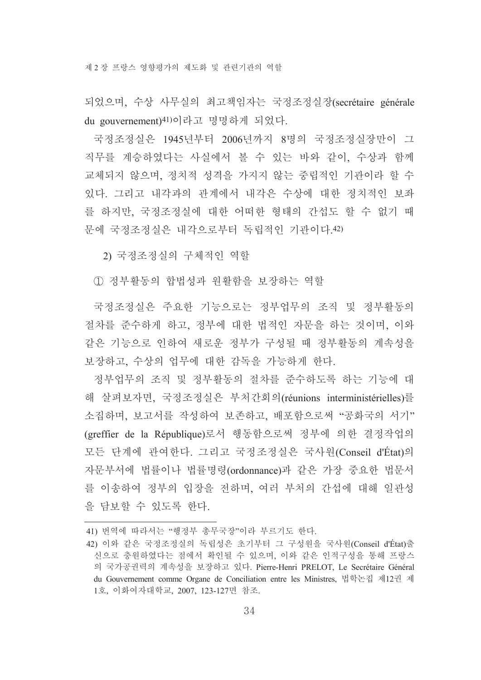되었으며, 수상 사무실의 최고책임자는 국정조정실장(secrétaire générale du gouvernement)<sup>41)</sup>이라고 명명하게 되었다.

국정조정실은 1945년부터 2006년까지 8명의 국정조정실장만이 그 직무를 계승하였다는 사실에서 볼 수 있는 바와 같이, 수상과 함께 교체되지 않으며, 정치적 성격을 가지지 않는 중립적인 기관이라 할 수 있다. 그리고 내각과의 관계에서 내각은 수상에 대한 정치적인 보좌 를 하지만, 국정조정실에 대한 어떠한 형태의 간섭도 할 수 없기 때 문에 국정조정실은 내각으로부터 독립적인 기관이다.42)

2) 국정조정실의 구체적인 역할

1 정부활동의 합법성과 원활함을 보장하는 역할

국정조정실은 주요한 기능으로는 정부업무의 조직 및 정부활동의 절차를 준수하게 하고, 정부에 대한 법적인 자문을 하는 것이며, 이와 같은 기능으로 인하여 새로운 정부가 구성될 때 정부활동의 계속성을 보장하고, 수상의 업무에 대한 감독을 가능하게 한다.

정부업무의 조직 및 정부활동의 절차를 준수하도록 하는 기능에 대 해 살펴보자면, 국정조정실은 부처간회의(réunions interministérielles)를 소집하며, 보고서를 작성하여 보존하고, 배포함으로써 "공화국의 서기" (greffier de la République)로서 행동함으로써 정부에 의한 결정작업의 모든 단계에 관여한다. 그리고 국정조정실은 국사원(Conseil d'État)의 자문부서에 법률이나 법률명령(ordonnance)과 같은 가장 중요한 법문서 를 이송하여 정부의 입장을 전하며, 여러 부처의 간섭에 대해 일관성 을 담보할 수 있도록 한다.

<sup>41)</sup> 번역에 따라서는 "행정부 총무국장"이라 부르기도 한다.

<sup>42)</sup> 이와 같은 국정조정실의 독립성은 초기부터 그 구성원을 국사원(Conseil d'État)출 신으로 충워하였다는 점에서 확인될 수 있으며, 이와 같은 인적구성을 통해 프랑스 의 국가공권력의 계속성을 보장하고 있다. Pierre-Henri PRELOT, Le Secrétaire Général du Gouvernement comme Organe de Conciliation entre les Ministres, 법학논집 제12권 제 1호, 이화여자대학교, 2007, 123-127면 참조.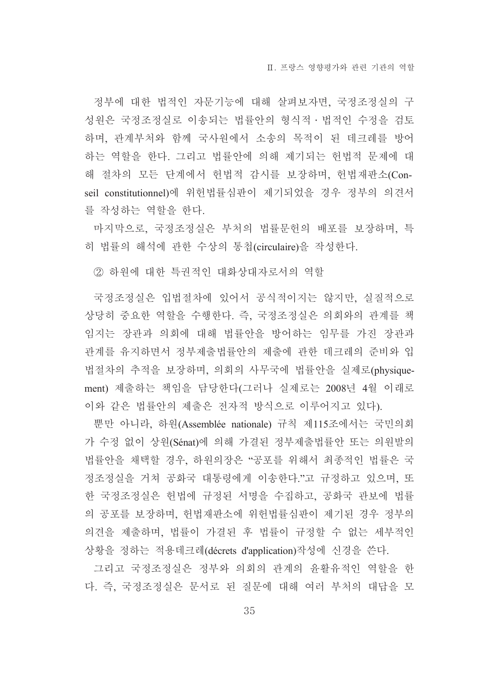정부에 대한 법적인 자문기능에 대해 살펴보자면, 국정조정실의 구 성원은 국정조정실로 이송되는 법률안의 형식적ㆍ법적인 수정을 검토 하며, 관계부처와 함께 국사원에서 소송의 목적이 된 데크레를 방어 하는 역할을 한다. 그리고 법률안에 의해 제기되는 헌법적 문제에 대 해 절차의 모든 단계에서 헌법적 감시를 보장하며, 헌법재판소(Conseil constitutionnel)에 위헌법률심판이 제기되었을 경우 정부의 의견서 를 작성하는 역할을 한다.

마지막으로, 국정조정실은 부처의 법률문헌의 배포를 보장하며, 특 히 법률의 해석에 관한 수상의 통첩(circulaire)을 작성한다.

② 하원에 대한 특권적인 대화상대자로서의 역할

국정조정실은 입법절차에 있어서 공식적이지는 않지만, 실질적으로 상당히 중요한 역할을 수행한다. 즉, 국정조정실은 의회와의 관계를 책 임지는 장관과 의회에 대해 법률안을 방어하는 임무를 가진 장관과 관계를 유지하면서 정부제출법률안의 제출에 관한 데크레의 준비와 입 법절차의 추적을 보장하며, 의회의 사무국에 법률안을 실제로(physiquement) 제출하는 책임을 담당한다(그러나 실제로는 2008년 4월 이래로 이와 같은 법률안의 제출은 전자적 방식으로 이루어지고 있다).

뿐만 아니라, 하원(Assemblée nationale) 규칙 제115조에서는 국민의회 가 수정 없이 상원(Sénat)에 의해 가결된 정부제출법률안 또는 의원발의 법률안을 채택할 경우, 하원의장은 "공포를 위해서 최종적인 법률은 국 정조정실을 거쳐 공화국 대통령에게 이송한다."고 규정하고 있으며, 또 한 국정조정실은 헌법에 규정된 서명을 수집하고, 공화국 관보에 법률 의 공포를 보장하며, 헌법재판소에 위헌법률심판이 제기된 경우 정부의 의견을 제출하며, 법률이 가결된 후 법률이 규정할 수 없는 세부적인 상황을 정하는 적용데크레(décrets d'application)작성에 신경을 쓴다.

그리고 국정조정실은 정부와 의회의 관계의 윤활유적인 역할을 한 다. 즉. 국정조정실은 문서로 된 질문에 대해 여러 부처의 대답을 모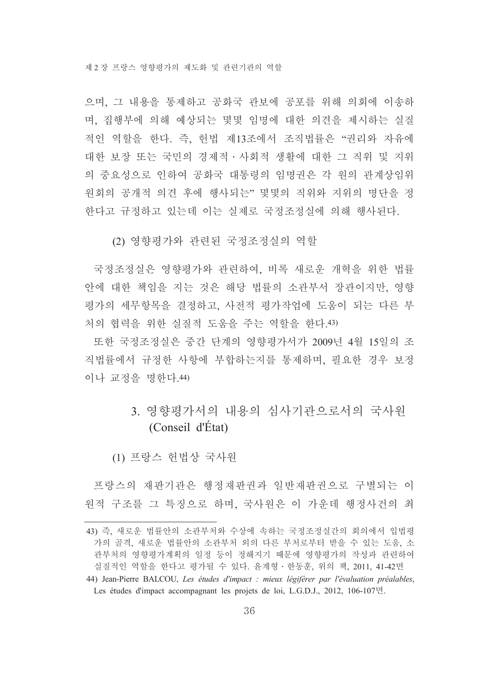으며, 그 내용을 통제하고 공화국 관보에 공포를 위해 의회에 이송하 며, 집행부에 의해 예상되는 몇몇 임명에 대한 의견을 제시하는 실질 적인 역할을 한다. 즉, 헌법 제13조에서 조직법률은 "권리와 자유에 대한 보장 또는 국민의 경제적 · 사회적 생활에 대한 그 직위 및 지위 의 중요성으로 인하여 공화국 대통령의 임명권은 각 원의 관계상임위 원회의 공개적 의견 후에 행사되는" 몇몇의 직위와 지위의 명단을 정 한다고 규정하고 있는데 이는 실제로 국정조정실에 의해 행사된다.

(2) 영향평가와 관련된 국정조정실의 역할

국정조정실은 영향평가와 관련하여, 비록 새로운 개혁을 위한 법률 안에 대한 책임을 지는 것은 해당 법률의 소과부서 장관이지만 영향 평가의 세무항목을 결정하고, 사전적 평가작업에 도움이 되는 다른 부 처의 협력을 위한 실질적 도움을 주는 역할을 하다 43)

또한 국정조정실은 중간 단계의 영향평가서가 2009년 4월 15일의 조 직법률에서 규정한 사항에 부합하는지를 통제하며, 필요한 경우 보정 이나 교정을 명한다. 44)

### 3 영향평가서의 내용의 심사기과으로서의 국사워 (Conseil d'État)

(1) 프랑스 허법상 국사워

프랑스의 재판기관은 행정재판권과 일반재판권으로 구별되는 이 원적 구조를 그 특징으로 하며, 국사원은 이 가운데 행정사건의 최

<sup>43)</sup> 즉, 새로운 법률안의 소관부처와 수상에 속하는 국정조정실간의 회의에서 입법평 가의 골격, 새로운 법률안의 소관부처 외의 다른 부처로부터 받을 수 있는 도움, 소 관부처의 영향평가계획의 일정 등이 정해지기 때문에 영향평가의 작성과 관련하여 실질적인 역할을 한다고 평가될 수 있다. 윤계형 · 한동훈, 위의 책, 2011, 41-42면

<sup>44)</sup> Jean-Pierre BALCOU, Les études d'impact : mieux légiférer par l'évaluation préalables, Les études d'impact accompagnant les projets de loi, L.G.D.J., 2012, 106-107 $\vec{P}$ .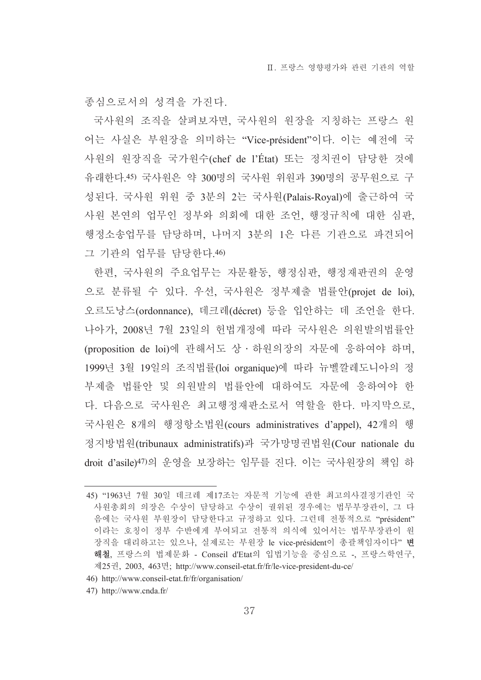종심으로서의 성격을 가진다.

국사원의 조직을 살펴보자면, 국사원의 원장을 지칭하는 프랑스 원 어는 사실은 부원장을 의미하는 "Vice-président"이다. 이는 예전에 국 사원의 원장직을 국가원수(chef de l'État) 또는 정치권이 담당한 것에 유래한다.45) 국사원은 약 300명의 국사원 위원과 390명의 공무원으로 구 성된다. 국사원 위원 중 3분의 2는 국사원(Palais-Royal)에 출근하여 국 사원 본연의 업무인 정부와 의회에 대한 조언, 행정규칙에 대한 심판, 행정소송업무를 담당하며, 나머지 3분의 1은 다른 기관으로 파견되어 그 기관의 업무를 담당한다.46)

한편, 국사워의 주요업무는 자문활동, 행정심판, 행정재판권의 우영 으로 분류될 수 있다. 우선, 국사원은 정부제출 법률안(projet de loi), 오르도낭스(ordonnance), 데크레(décret) 등을 입안하는 데 조언을 한다. 나아가, 2008년 7월 23일의 헌법개정에 따라 국사원은 의원발의법률안 (proposition de loi)에 관해서도 상 · 하원의장의 자문에 응하여야 하며, 1999년 3월 19일의 조직법률(loi organique)에 따라 뉴벨깔레도니아의 정 부제출 법률안 및 의원발의 법률안에 대하여도 자문에 응하여야 한 다. 다음으로 국사원은 최고행정재판소로서 역할을 한다. 마지막으로, 국사원은 8개의 행정항소법원(cours administratives d'appel), 42개의 행 정지방법원(tribunaux administratifs)과 국가망명권법원(Cour nationale du droit d'asile)47)의 운영을 보장하는 임무를 진다. 이는 국사원장의 책임 하

- 46) http://www.conseil-etat.fr/fr/organisation/
- 47) http://www.cnda.fr/

<sup>45) &</sup>quot;1963년 7월 30일 데크레 제17조는 자문적 기능에 관한 최고의사결정기관인 국 사원총회의 의장은 수상이 담당하고 수상이 궐위된 경우에는 법무부장관이, 그 다 음에는 국사원 부원장이 담당한다고 규정하고 있다. 그런데 전통적으로 "président" 이라는 호칭이 정부 수반에게 부여되고 전통적 의식에 있어서는 법무부장관이 원 장직을 대리하고는 있으나, 실제로는 부원장 le vice-président이 총괄책임자이다" 변 해철, 프랑스의 법제문화 - Conseil d'Etat의 입법기능을 중심으로 -, 프랑스학연구, 제25권, 2003, 463면; http://www.conseil-etat.fr/fr/le-vice-president-du-ce/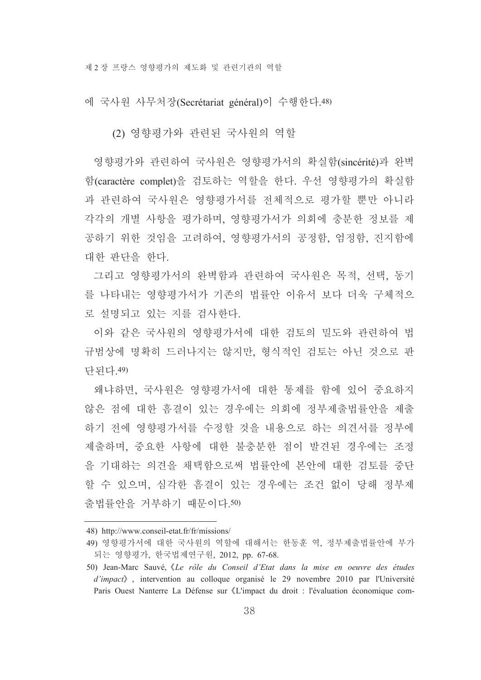에 국사워 사무처장(Secrétariat général)이 수행한다.48)

(2) 영향평가와 관련된 국사원의 역할

영향평가와 관련하여 국사원은 영향평가서의 확실함(sincérité)과 완벽 함(caractère complet)을 검토하는 역할을 한다. 우선 영향평가의 확실함 과 관련하여 국사원은 영향평가서를 전체적으로 평가할 뿐만 아니라 각각의 개별 사항을 평가하며, 영향평가서가 의회에 충분한 정보를 제 공하기 위한 것임을 고려하여, 영향평가서의 공정함, 엄정함, 진지함에 대한 판단을 한다.

그리고 영향평가서의 완벽함과 관련하여 국사원은 목적, 선택, 동기 를 나타내는 영향평가서가 기존의 법률안 이유서 보다 더욱 구체적으 로 설명되고 있는 지를 검사하다.

이와 같은 국사워의 영향평가서에 대한 검토의 밀도와 관련하여 법 규범상에 명확히 드러나지는 않지만, 형식적인 검토는 아닌 것으로 판 다되다. 49)

왜냐하면, 국사원은 영향평가서에 대한 통제를 함에 있어 중요하지 않은 점에 대한 흠결이 있는 경우에는 의회에 정부제출법률안을 제출 하기 전에 영향평가서를 수정할 것을 내용으로 하는 의견서를 정부에 제출하며, 중요한 사항에 대한 불충분한 점이 발견된 경우에는 조정 을 기대하는 의견을 채택함으로써 법률안에 본안에 대한 검토를 중단 할 수 있으며, 심각한 흠결이 있는 경우에는 조건 없이 당해 정부제 출법률안을 거부하기 때문이다.50)

<sup>48)</sup> http://www.conseil-etat.fr/fr/missions/

<sup>49)</sup> 영향평가서에 대한 국사원의 역할에 대해서는 한동훈 역, 정부제출법률안에 부가 되는 영향평가, 한국법제연구원, 2012, pp. 67-68.

<sup>50)</sup> Jean-Marc Sauvé, «Le rôle du Conseil d'Etat dans la mise en oeuvre des études  $d'impact$ , intervention au colloque organisé le 29 novembre 2010 par l'Université Paris Ouest Nanterre La Défense sur «L'impact du droit : l'évaluation économique com-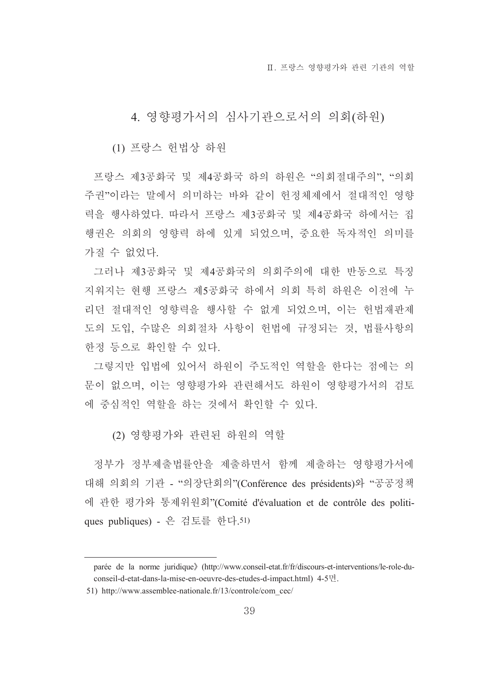4. 영향평가서의 심사기관으로서의 의회(하워)

(1) 프랑스 헌법상 하워

프랑스 제3공화국 및 제4공화국 하의 하원은 "의회절대주의". "의회 주권"이라는 말에서 의미하는 바와 같이 헌정체제에서 절대적인 영향 력을 행사하였다. 따라서 프랑스 제3공화국 및 제4공화국 하에서는 집 행권은 의회의 영향력 하에 있게 되었으며, 중요한 독자적인 의미를 가질 수 없었다.

그러나 제3공화국 및 제4공화국의 의회주의에 대한 반동으로 특징 지워지는 현행 프랑스 제5공화국 하에서 의회 특히 하워은 이전에 누 리던 절대적인 영향력을 행사할 수 없게 되었으며, 이는 헌법재판제 도의 도입, 수많은 의회절차 사항이 헌법에 규정되는 것, 법률사항의 한정 등으로 확인할 수 있다.

그렇지만 입법에 있어서 하워이 주도적인 역할을 한다는 점에는 의 문이 없으며, 이는 영향평가와 관련해서도 하워이 영향평가서의 검토 에 중심적인 역할을 하는 것에서 확인할 수 있다.

(2) 영향평가와 관련된 하워의 역할

정부가 정부제출법률안을 제출하면서 함께 제출하는 영향평가서에 대해 의회의 기관 - "의장단회의"(Conférence des présidents)와 "공공정책 에 관한 평가와 통제위원회"(Comité d'évaluation et de contrôle des politiques publiques) - 은 검토를 한다. 51)

parée de la norme juridique》(http://www.conseil-etat.fr/fr/discours-et-interventions/le-role-duconseil-d-etat-dans-la-mise-en-oeuvre-des-etudes-d-impact.html) 4-5면.

<sup>51)</sup> http://www.assemblee-nationale.fr/13/controle/com cec/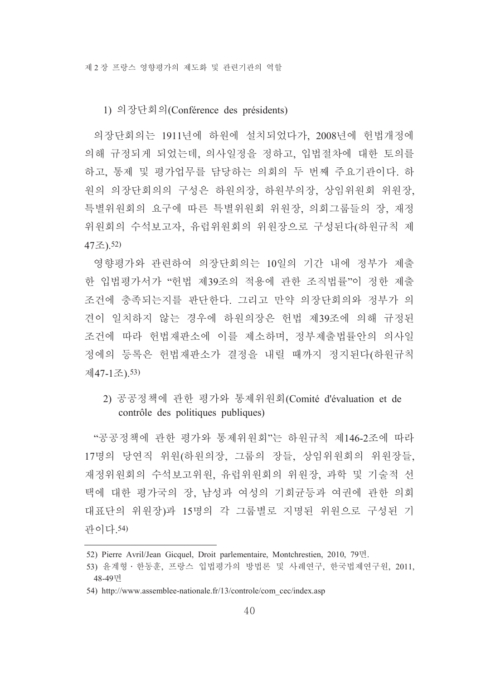#### 1) 의장단회의(Conférence des présidents)

의장단회의는 1911년에 하원에 설치되었다가, 2008년에 헌법개정에 의해 규정되게 되었는데, 의사일정을 정하고, 입법절차에 대한 토의를 하고, 통제 및 평가업무를 담당하는 의회의 두 번째 주요기관이다. 하 원의 의장단회의의 구성은 하원의장, 하원부의장, 상임위원회 위원장, 특별위원회의 요구에 따른 특별위원회 위원장, 의회그룹들의 장, 재정 위원회의 수석보고자, 유럽위원회의 위원장으로 구성된다(하원규칙 제 47조).52)

영향평가와 관련하여 의장단회의는 10일의 기간 내에 정부가 제출 한 입법평가서가 "헌법 제39조의 적용에 관한 조직법률"이 정한 제출 조건에 충족되는지를 판단한다. 그리고 만약 의장단회의와 정부가 의 견이 일치하지 않는 경우에 하원의장은 헌법 제39조에 의해 규정된 조건에 따라 헌법재판소에 이를 제소하며, 정부제출법률안의 의사일 정에의 등록은 헌법재판소가 결정을 내릴 때까지 정지된다(하원규칙 제47-1조).53)

## 2) 공공정책에 관한 평가와 통제위원회(Comité d'évaluation et de contrôle des politiques publiques)

"공공정책에 관한 평가와 통제위원회"는 하원규칙 제146-2조에 따라 17명의 당연직 위원(하원의장, 그룹의 장들, 상임위원회의 위원장들, 재정위원회의 수석보고위원, 유럽위원회의 위원장, 과학 및 기술적 선 택에 대한 평가국의 장, 남성과 여성의 기회균등과 여권에 관한 의회 대표단의 위원장)과 15명의 각 그룹별로 지명된 위원으로 구성된 기 과이다.54)

<sup>52)</sup> Pierre Avril/Jean Gicquel, Droit parlementaire, Montchrestien, 2010, 79면.

<sup>53)</sup> 윤계형 · 한동훈, 프랑스 입법평가의 방법론 및 사례연구, 한국법제연구원, 2011, 48-49면

<sup>54)</sup> http://www.assemblee-nationale.fr/13/controle/com cec/index.asp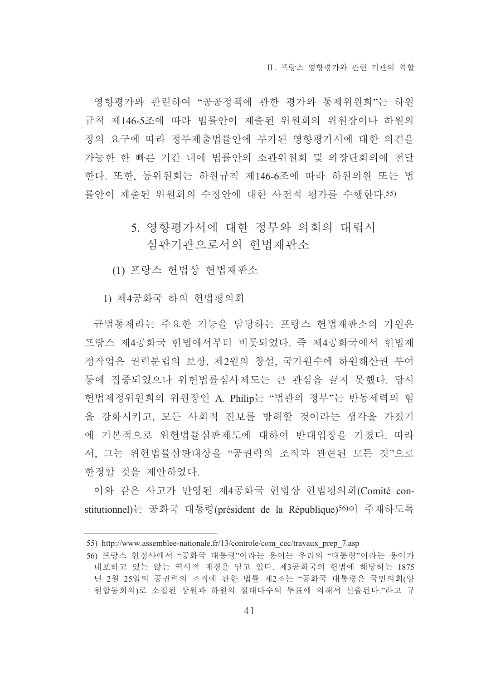영향평가와 관련하여 "공공정책에 관한 평가와 통제위원회"는 하워 규칙 제146-5조에 따라 법률안이 제출된 위원회의 위원장이나 하원의 장의 요구에 따라 정부제출법률안에 부가된 영향평가서에 대한 의견을 가능한 한 빠른 기간 내에 법률안의 소관위원회 및 의장단회의에 전달 한다. 또한, 동위원회는 하원규칙 제146-6조에 따라 하원의원 또는 법 률안이 제출된 위원회의 수정안에 대한 사전적 평가를 수행한다.55)

## 5. 영향평가서에 대한 정부와 의회의 대립시 심판기관으로서의 헌법재판소

(1) 프랑스 헌법상 헌법재판소

1) 제4공화국 하의 헌법평의회

규범통제라는 주요한 기능을 담당하는 프랑스 헌법재판소의 기원은 프랑스 제4공화국 헌법에서부터 비롯되었다. 즉 제4공화국에서 헌법제 정작업은 권력분립의 보장, 제2원의 창설, 국가원수에 하원해산권 부여 등에 집중되었으나 위헌법률심사제도는 큰 관심을 끌지 못했다. 당시 헌법제정위원회의 위원장인 A. Philip는 "법관의 정부"는 반동세력의 힘 을 강화시키고, 모든 사회적 진보를 방해할 것이라는 생각을 가졌기 에 기본적으로 위헌법률심판제도에 대하여 반대입장을 가졌다. 따라 서, 그는 위헌법률심판대상을 "공권력의 조직과 관련된 모든 것"으로 한정할 것을 제안하였다.

이와 같은 사고가 반영된 제4공화국 헌법상 헌법평의회(Comité constitutionnel)는 공화국 대통령(président de la République)56)이 주재하도록

<sup>55)</sup> http://www.assemblee-nationale.fr/13/controle/com cec/travaux prep 7.asp

<sup>56)</sup> 프랑스 헌정사에서 "공화국 대통령"이라는 용어는 우리의 "대통령"이라는 용어가 내포하고 있는 않는 역사적 배경을 담고 있다. 제3공화국의 헌법에 해당하는 1875 년 2월 25일의 공권력의 조직에 관한 법률 제2조는 "공화국 대통령은 국민의회(양 원합동회의)로 소집된 상원과 하원의 절대다수의 투표에 의해서 선출된다."라고 규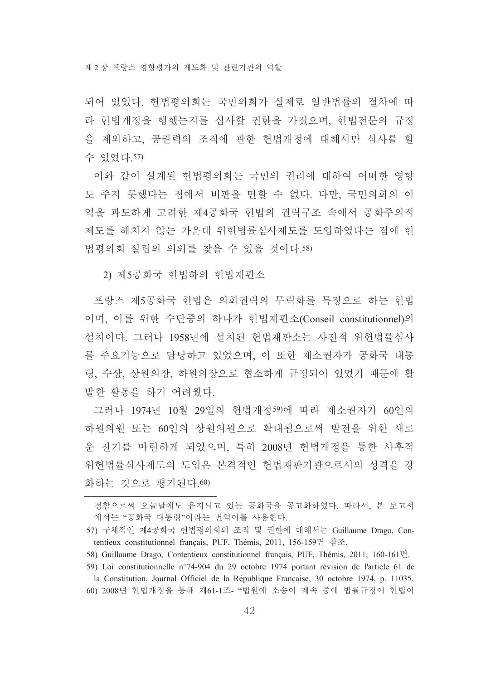되어 있었다. 헌법평의회는 국민의회가 실제로 일반법률의 절차에 따 라 헌법개정을 행했는지를 심사할 권한을 가졌으며, 헌법전문의 규정 을 제외하고, 공권력의 조직에 관한 헌법개정에 대해서만 심사를 할 수 있었다. 57)

이와 같이 설계된 헌법평의회는 국민의 권리에 대하여 어떠하 영향 도 주지 못했다는 점에서 비판을 면할 수 없다. 다만, 국민의회의 이 익을 과도하게 고려한 제4공화국 헌법의 권력구조 속에서 공화주의적 제도를 해치지 않는 가운데 위헌법률심사제도를 도입하였다는 점에 헌 법평의회 설립의 의의를 찾을 수 있을 것이다.58)

2) 제5공화국 헌법하의 헌법재판소

프랑스 제5공화국 헌법은 의회권력의 무력화를 특징으로 하는 헌법 이며, 이를 위한 수단중의 하나가 헌법재판소(Conseil constitutionnel)의 설치이다. 그러나 1958년에 설치된 헌법재판소는 사전적 위헌법률심사 를 주요기능으로 담당하고 있었으며, 이 또한 제소권자가 공화국 대통 령, 수상, 상원의장, 하원의장으로 협소하게 규정되어 있었기 때문에 활 발한 활동을 하기 어려웠다.

그러나 1974년 10월 29일의 헌법개정59)에 따라 제소권자가 60인의 하워의워 또는 60인의 상원의원으로 확대됨으로써 발전을 위한 새로 운 전기를 마련하게 되었으며, 특히 2008년 헌법개정을 통한 사후적 위헌법률심사제도의 도입은 본격적인 헌법재판기관으로서의 성격을 강 화하는 것으로 평가된다. 60)

60) 2008년 헌법개정을 통해 제61-1조- "법원에 소송이 계속 중에 법률규정이 헌법이

정함으로써 오늘날에도 유지되고 있는 공화국을 공고화하였다. 따라서, 본 보고서 에서는 "공화국 대통령"이라는 번역어를 사용한다.

<sup>57)</sup> 구체적인 제4공화국 헌법평의회의 조직 및 권한에 대해서는 Guillaume Drago, Contentieux constitutionnel français, PUF, Thémis, 2011, 156-159면 참조.

<sup>58)</sup> Guillaume Drago, Contentieux constitutionnel français, PUF, Thémis, 2011, 160-161면.

<sup>59)</sup> Loi constitutionnelle n°74-904 du 29 octobre 1974 portant révision de l'article 61 de la Constitution, Journal Officiel de la République Française, 30 octobre 1974, p. 11035.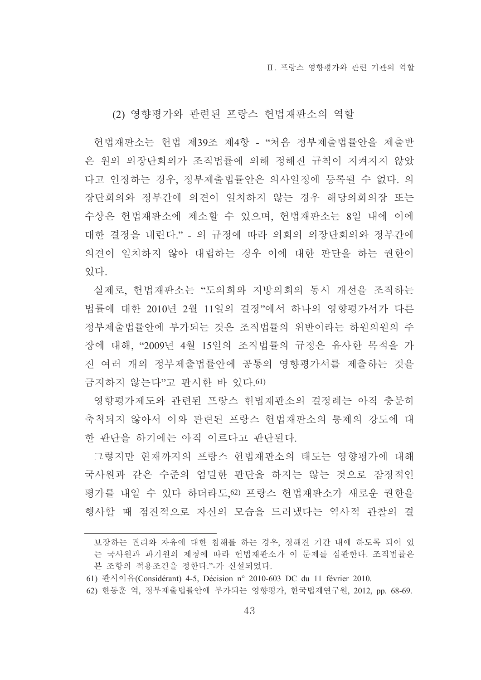#### (2) 영향평가와 관련된 프랑스 헌법재판소의 역할

헌법재판소는 헌법 제39조 제4항 - "처음 정부제출법률안을 제출받 은 원의 의장단회의가 조직법률에 의해 정해진 규칙이 지켜지지 않았 다고 인정하는 경우, 정부제출법률안은 의사일정에 등록될 수 없다. 의 장단회의와 정부간에 의견이 일치하지 않는 경우 해당의회의장 또는 수상은 헌법재판소에 제소할 수 있으며, 헌법재판소는 8일 내에 이에 대한 결정을 내린다." - 의 규정에 따라 의회의 의장단회의와 정부간에 의견이 일치하지 않아 대립하는 경우 이에 대한 판단을 하는 권한이 있다

실제로, 헌법재판소는 "도의회와 지방의회의 동시 개선을 조직하는 법률에 대한 2010년 2월 11일의 결정"에서 하나의 영향평가서가 다른 정부제출법률안에 부가되는 것은 조직법률의 위반이라는 하원의원의 주 장에 대해, "2009년 4월 15일의 조직법률의 규정은 유사한 목적을 가 진 여러 개의 정부제출법률안에 공통의 영향평가서를 제출하는 것을 금지하지 않는다"고 판시한 바 있다.61)

영향평가제도와 관련된 프랑스 헌법재판소의 결정례는 아직 충분히 축척되지 않아서 이와 관련된 프랑스 헌법재판소의 통제의 강도에 대 한 판단을 하기에는 아직 이르다고 판단되다.

그렇지만 현재까지의 프랑스 헌법재판소의 태도는 영향평가에 대해 국사워과 같은 수준의 엄밀한 판단을 하지는 않는 것으로 잠정적인 평가를 내일 수 있다 하더라도 62) 프랑스 헌법재판소가 새로운 권한을 행사할 때 점진적으로 자신의 모습을 드러냈다는 역사적 관찰의 결

보장하는 권리와 자유에 대한 침해를 하는 경우, 정해진 기간 내에 하도록 되어 있 는 국사워과 파기워의 제청에 따라 헌법재판소가 이 문제를 심판한다. 조직법률은 본 조항의 적용조건을 정한다."-가 신설되었다.

<sup>61)</sup> 판시이유(Considérant) 4-5, Décision n° 2010-603 DC du 11 février 2010.

<sup>62)</sup> 한동훈 역, 정부제출법률안에 부가되는 영향평가, 한국법제연구원, 2012, pp. 68-69.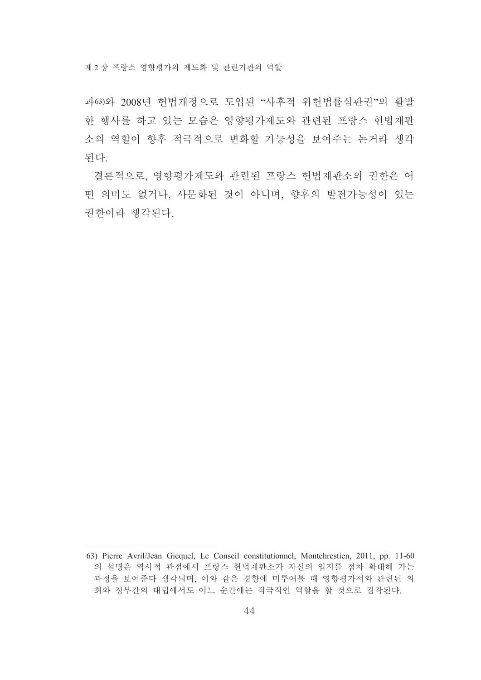제 2 장 프랑스 영향평가의 제도화 및 관련기관의 역할

과63)와 2008년 헌법개정으로 도입된 "사후적 위헌법률심판권"의 활발 한 행사를 하고 있는 모습은 영향평가제도와 관련된 프랑스 헌법재판 소의 역할이 향후 적극적으로 변화할 가능성을 보여주는 논거라 생각 되다.

결론적으로, 영향평가제도와 관련된 프랑스 헌법재판소의 권한은 어 떤 의미도 없거나, 사문화된 것이 아니며, 향후의 발전가능성이 있는 권한이라 생각된다.

<sup>63)</sup> Pierre Avril/Jean Gicquel, Le Conseil constitutionnel, Montchrestien, 2011, pp. 11-60 의 설명은 역사적 관점에서 프랑스 헌법재판소가 자신의 입지를 점차 확대해 가는 과정을 보여준다 생각되며, 이와 같은 경향에 미루어볼 때 영향평가서와 관련된 의 회와 정부간의 대립에서도 어느 순간에는 적극적인 역할을 할 것으로 짐작된다.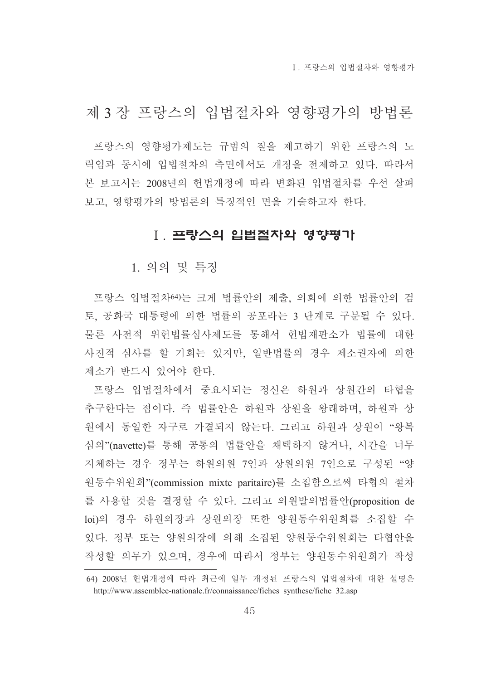I 프랑스의 입법절차와 영향평가

# 제 3 장 프랑스의 입법절차와 영향평가의 방법론

프랑스의 영향평가제도는 규범의 질을 제고하기 위한 프랑스의 노 력임과 동시에 입법절차의 측면에서도 개정을 전제하고 있다. 따라서 본 보고서는 2008년의 헌법개정에 따라 변화된 입법절차를 우선 살펴 보고, 영향평가의 방법론의 특징적인 면을 기술하고자 하다.

#### Ⅰ. 프랑스의 입법절차와 영향평가

1. 의의 및 특징

프랑스 입법절차여는 크게 법률안의 제출, 의회에 의한 법률안의 검 토. 공화국 대통령에 의한 법률의 공포라는 3 단계로 구분될 수 있다. 물론 사전적 위헌법률심사제도를 통해서 헌법재판소가 법률에 대한 사전적 심사를 할 기회는 있지만, 일반법률의 경우 제소권자에 의한 제소가 반드시 있어야 한다.

프랑스 입법절차에서 중요시되는 정신은 하원과 상원간의 타협을 추구한다는 점이다. 즉 법률안은 하워과 상원을 왕래하며, 하원과 상 원에서 동일한 자구로 가결되지 않는다. 그리고 하원과 상원이 "왕복 심의"(navette)를 통해 공통의 법률안을 채택하지 않거나, 시간을 너무 지체하는 경우 정부는 하워의워 7인과 상워의워 7인으로 구성되 "양 워동수위원회"(commission mixte paritaire)를 소집함으로써 타협의 절차 를 사용할 것을 결정할 수 있다. 그리고 의원발의법률안(proposition de loi)의 경우 하워의장과 상워의장 또한 양워동수위워회를 소집할 수 있다. 정부 또는 양워의장에 의해 소집된 양워동수위워회는 타협안을 작성할 의무가 있으며, 경우에 따라서 정부는 양원동수위원회가 작성

<sup>64) 2008</sup>년 헌법개정에 따라 최근에 일부 개정된 프랑스의 입법절차에 대한 설명은 http://www.assemblee-nationale.fr/connaissance/fiches\_synthese/fiche\_32.asp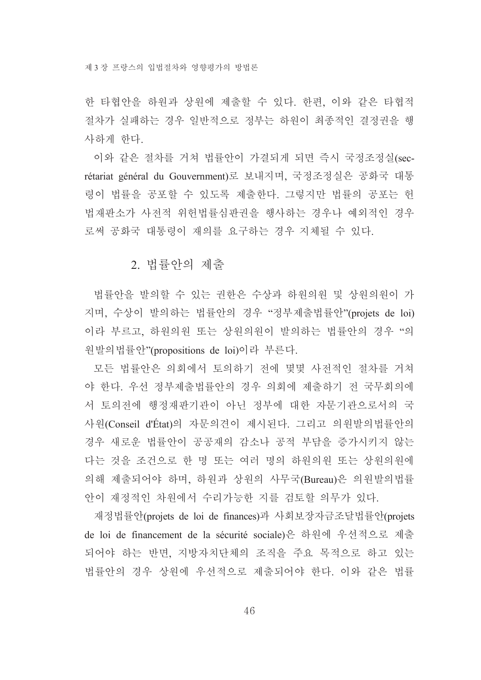한 타협안을 하워과 상원에 제출할 수 있다. 한편, 이와 같은 타협적 절차가 실패하는 경우 일반적으로 정부는 하원이 최종적인 결정권을 행 사하게 한다.

이와 같은 절차를 거쳐 법률안이 가결되게 되면 즉시 국정조정실(secrétariat général du Gouvernment)로 보내지며, 국정조정실은 공화국 대통 령이 법률을 공포할 수 있도록 제출한다. 그렇지만 법률의 공포는 헌 법재판소가 사전적 위헌법률심판권을 행사하는 경우나 예외적인 경우 로써 공화국 대통령이 재의를 요구하는 경우 지체될 수 있다.

# 2. 법률안의 제출

법률안을 발의할 수 있는 권한은 수상과 하원의원 및 상원의원이 가 지며, 수상이 발의하는 법률안의 경우 "정부제출법률안"(projets de loi) 이라 부르고, 하원의원 또는 상원의원이 발의하는 법률안의 경우 "의 워발의법률안"(propositions de loi)이라 부른다.

모든 법률안은 의회에서 토의하기 전에 몇몇 사전적인 절차를 거쳐 야 한다. 우선 정부제출법률안의 경우 의회에 제출하기 전 국무회의에 서 토의전에 행정재판기관이 아닌 정부에 대한 자문기관으로서의 국 사원(Conseil d'État)의 자문의견이 제시된다. 그리고 의원발의법률안의 경우 새로운 법률안이 공공재의 감소나 공적 부담을 증가시키지 않는 다는 것을 조건으로 한 명 또는 여러 명의 하원의원 또는 상원의원에 의해 제출되어야 하며, 하원과 상원의 사무국(Bureau)은 의원발의법률 안이 재정적인 차원에서 수리가능한 지를 검토할 의무가 있다.

재정법률안(projets de loi de finances)과 사회보장자금조달법률안(projets de loi de financement de la sécurité sociale)은 하원에 우선적으로 제출 되어야 하는 반면, 지방자치단체의 조직을 주요 목적으로 하고 있는 법률안의 경우 상원에 우선적으로 제출되어야 한다. 이와 같은 법률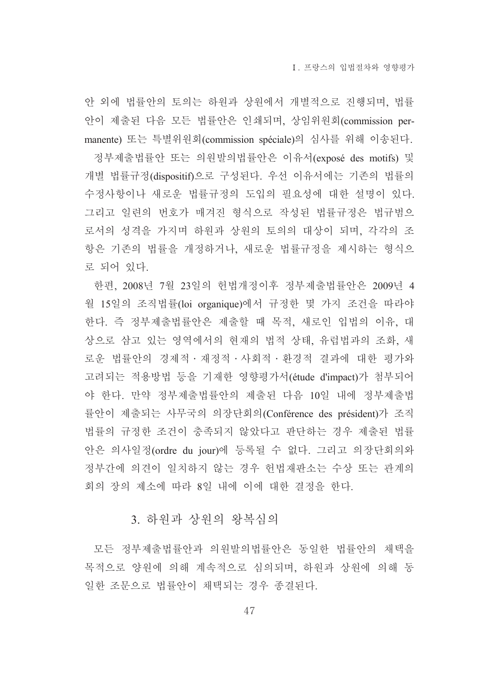안 외에 법률안의 토의는 하원과 상원에서 개별적으로 진행되며, 법률 안이 제출된 다음 모든 법률안은 인쇄되며, 상임위원회(commission permanente) 또는 특별위원회(commission spéciale)의 심사를 위해 이송된다.

정부제출법률안 또는 의원발의법률안은 이유서(exposé des motifs) 및 개별 법률규정(dispositif)으로 구성된다. 우선 이유서에는 기존의 법률의 수정사항이나 새로운 법률규정의 도입의 필요성에 대한 설명이 있다. 그리고 일련의 번호가 매겨진 형식으로 작성된 법률규정은 법규범으 로서의 성격을 가지며 하원과 상원의 토의의 대상이 되며, 각각의 조 항은 기존의 법률을 개정하거나, 새로운 법률규정을 제시하는 형식으 로 되어 있다.

한편, 2008년 7월 23일의 헌법개정이후 정부제출법률안은 2009년 4 월 15일의 조직법률(loi organique)에서 규정한 몇 가지 조건을 따라야 한다. 즉 정부제출법률안은 제출할 때 목적, 새로인 입법의 이유, 대 상으로 삼고 있는 영역에서의 현재의 법적 상태, 유럽법과의 조화, 새 로운 법률안의 경제적 · 재정적 · 사회적 · 환경적 결과에 대한 평가와 고려되는 적용방법 등을 기재한 영향평가서(étude d'impact)가 첨부되어 야 한다. 만약 정부제출법률안의 제출된 다음 10일 내에 정부제출법 률안이 제출되는 사무국의 의장단회의(Conférence des président)가 조직 법률의 규정한 조건이 충족되지 않았다고 판단하는 경우 제출된 법률 안은 의사일정(ordre du jour)에 등록될 수 없다. 그리고 의장단회의와 정부간에 의견이 일치하지 않는 경우 헌법재판소는 수상 또는 관계의 회의 장의 제소에 따라 8일 내에 이에 대한 결정을 한다.

## 3. 하원과 상원의 왕복심의

모든 정부제출법률안과 의원발의법률안은 동일한 법률안의 채택을 목적으로 양원에 의해 계속적으로 심의되며, 하원과 상원에 의해 동 일한 조문으로 법률안이 채택되는 경우 종결된다.

47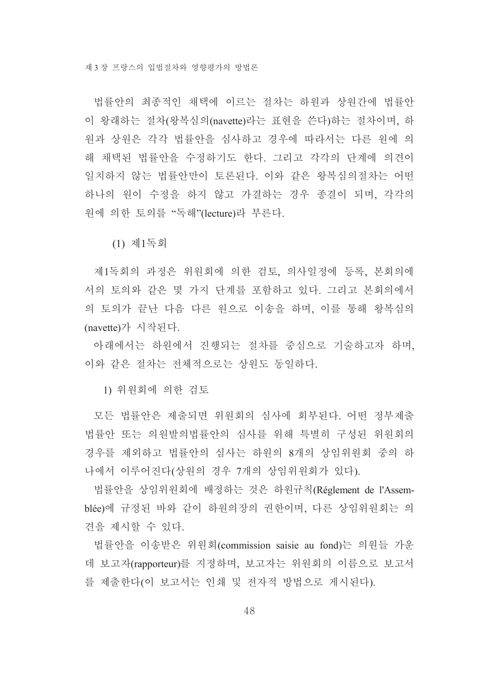법률아의 최종적인 채택에 이르는 절차는 하워과 상워가에 법률아 이 왕래하는 절차(왕복심의(navette)라는 표현을 쓴다)하는 절차이며, 하 워과 상원은 각각 법률안을 심사하고 경우에 따라서는 다른 원에 의 해 채택된 법률안을 수정하기도 한다. 그리고 각각의 단계에 의견이 일치하지 않는 법률안만이 토론된다. 이와 같은 왕복심의절차는 어떤 하나의 원이 수정을 하지 않고 가결하는 경우 종결이 되며, 각각의 워에 의한 토의를 "독해"(lecture)라 부른다.

(1) 제1독회

제1독회의 과정은 위원회에 의한 검토, 의사일정에 등록, 본회의에 서의 토의와 같은 몇 가지 단계를 포함하고 있다. 그리고 본회의에서 의 토의가 끝난 다음 다른 원으로 이송을 하며, 이를 통해 왕복심의 (navette)가 시작된다.

아래에서는 하원에서 진행되는 절차를 중심으로 기술하고자 하며, 이와 같은 절차는 전체적으로는 상원도 동일하다.

1) 위원회에 의한 검토

모든 법률안은 제출되면 위원회의 심사에 회부된다. 어떤 정부제출 법률안 또는 의원발의법률안의 심사를 위해 특별히 구성된 위원회의 경우를 제외하고 법률안의 심사는 하원의 8개의 상임위원회 중의 하 나에서 이루어진다(상원의 경우 7개의 상임위원회가 있다).

법률안을 상임위원회에 배정하는 것은 하워규칙(Réglement de l'Assemblée)에 규정된 바와 같이 하원의장의 권한이며, 다른 상임위원회는 의 견을 제시할 수 있다.

법률안을 이송받은 위워회(commission saisie au fond)는 의원들 가운 데 보고자(rapporteur)를 지정하며, 보고자는 위원회의 이름으로 보고서 를 제출한다(이 보고서는 인쇄 및 전자적 방법으로 게시된다).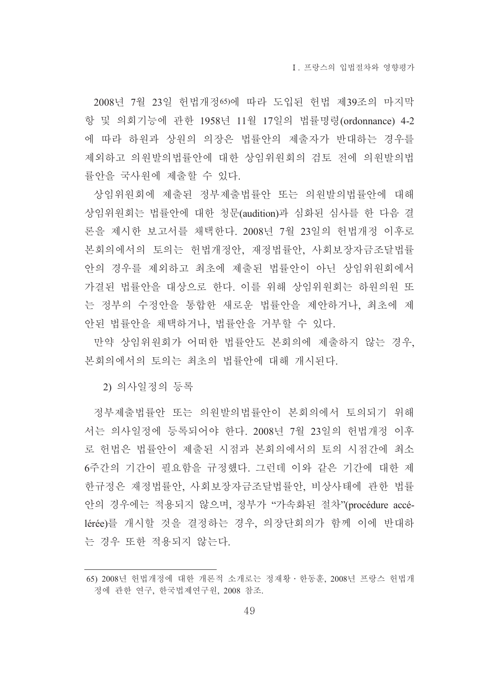2008년 7월 23일 헌법개정65에 따라 도입된 헌법 제39조의 마지막 항 및 의회기능에 관한 1958년 11월 17일의 법률명령(ordonnance) 4-2 에 따라 하워과 상원의 의장은 법률안의 제출자가 반대하는 경우를 제외하고 의원발의법률안에 대한 상임위원회의 검토 전에 의원발의법 률안을 국사원에 제출할 수 있다.

상임위원회에 제출된 정부제출법률안 또는 의원발의법률안에 대해 상임위원회는 법률안에 대한 청문(audition)과 심화된 심사를 한 다음 결 론을 제시한 보고서를 채택한다. 2008년 7월 23일의 헌법개정 이후로 본회의에서의 토의는 헌법개정안, 재정법률안, 사회보장자금조달법률 안의 경우를 제외하고 최초에 제출된 법률안이 아닌 상임위원회에서 가결된 법률안을 대상으로 한다. 이를 위해 상임위원회는 하원의원 또 는 정부의 수정안을 통합한 새로운 법률안을 제안하거나, 최초에 제 안된 법률안을 채택하거나, 법률안을 거부할 수 있다.

만약 상임위원회가 어떠한 법률안도 본회의에 제출하지 않는 경우. 본회의에서의 토의는 최초의 법률안에 대해 개시된다.

2) 의사일정의 등록

정부제출법률안 또는 의원발의법률안이 본회의에서 토의되기 위해 서는 의사일정에 등록되어야 한다. 2008년 7월 23일의 헌법개정 이후 로 헌법은 법률안이 제출된 시점과 본회의에서의 토의 시점간에 최소 6주간의 기간이 필요함을 규정했다. 그런데 이와 같은 기간에 대한 제 한규정은 재정법률안 사회보장자금조달법률안 비상사태에 관한 법률 안의 경우에는 적용되지 않으며, 정부가 "가속화된 절차"(procédure accélérée)를 개시할 것을 결정하는 경우, 의장단회의가 함께 이에 반대하 는 경우 또한 적용되지 않는다.

<sup>65) 2008</sup>년 헌법개정에 대한 개론적 소개로는 정재황 · 한동훈, 2008년 프랑스 헌법개 정에 관한 연구, 한국법제연구원, 2008 참조.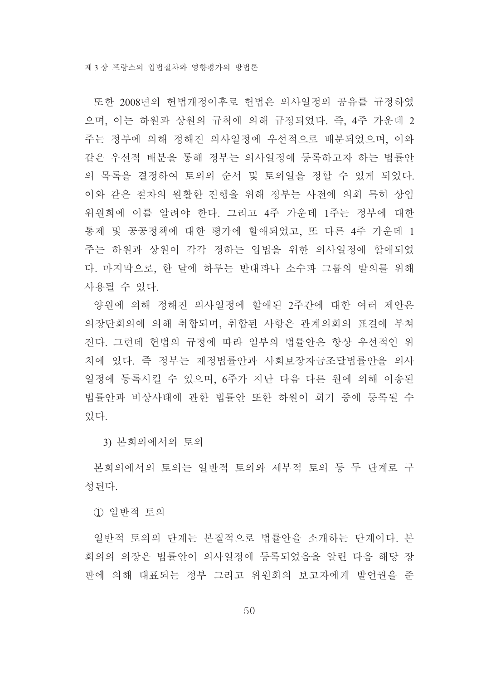또한 2008년의 헌법개정이후로 헌법은 의사일정의 공유를 규정하였 으며, 이는 하원과 상원의 규칙에 의해 규정되었다. 즉, 4주 가운데 2 주는 정부에 의해 정해진 의사일정에 우선적으로 배분되었으며, 이와 같은 우선적 배분을 통해 정부는 의사일정에 등록하고자 하는 법률안 의 목록을 결정하여 토의의 순서 및 토의일을 정할 수 있게 되었다. 이와 같은 절차의 원활한 진행을 위해 정부는 사전에 의회 특히 상임 위원회에 이를 알려야 한다. 그리고 4주 가운데 1주는 정부에 대한 통제 및 공공정책에 대한 평가에 할애되었고, 또 다른 4주 가운데 1 주는 하워과 상원이 각각 정하는 입법을 위한 의사일정에 할애되었 다. 마지막으로, 한 달에 하루는 반대파나 소수파 그룹의 발의를 위해 사용될 수 있다.

양원에 의해 정해진 의사일정에 할애된 2주간에 대한 여러 제안은 의장단회의에 의해 취합되며, 취합되 사항은 과계의회의 표결에 부쳐 진다. 그런데 헌법의 규정에 따라 일부의 법률안은 항상 우선적인 위 치에 있다. 즉 정부는 재정법률안과 사회보장자금조달법률안을 의사 일정에 등록시킬 수 있으며, 6주가 지난 다음 다른 워에 의해 이송된 법률안과 비상사태에 관한 법률안 또한 하원이 회기 중에 등록될 수 있다.

3) 본회의에서의 토의

본회의에서의 토의는 일반적 토의와 세부적 토의 등 두 단계로 구 성된다.

1 일반적 토의

일반적 토의의 단계는 본질적으로 법률안을 소개하는 단계이다. 본 회의의 의장은 법률안이 의사일정에 등록되었음을 알린 다음 해당 장 관에 의해 대표되는 정부 그리고 위원회의 보고자에게 발언권을 준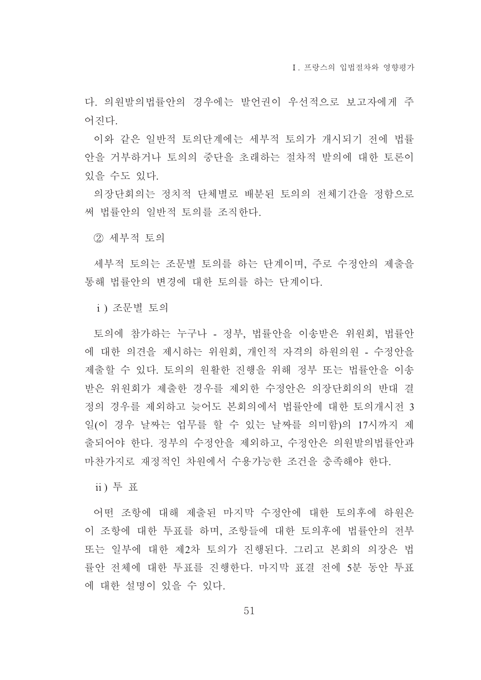Ⅰ 프랑스의 입법절차와 영향평가

다. 의원발의법률안의 경우에는 발언권이 우선적으로 보고자에게 주 어지다

이와 같은 일반적 토의단계에는 세부적 토의가 개시되기 전에 법률 안을 거부하거나 토의의 중단을 초래하는 절차적 발의에 대한 토론이 있을 수도 있다.

의장단회의는 정치적 단체별로 배분된 토의의 전체기간을 정함으로 써 법률안의 일반적 토의를 조직하다.

(2) 세부적 토의

세부적 토의는 조문별 토의를 하는 단계이며, 주로 수정안의 제출을 통해 법률안의 변경에 대한 토의를 하는 단계이다.

i) 조문별 토의

토의에 참가하는 누구나 - 정부, 법률안을 이송받은 위원회, 법률안 에 대한 의견을 제시하는 위원회, 개인적 자격의 하워의원 - 수정안을 제출할 수 있다. 토의의 원활한 진행을 위해 정부 또는 법률안을 이송 받은 위원회가 제출한 경우를 제외한 수정안은 의장단회의의 반대 결 정의 경우를 제외하고 늦어도 본회의에서 법률안에 대한 토의개시전 3 일(이 경우 날짜는 업무를 할 수 있는 날짜를 의미함)의 17시까지 제 출되어야 한다. 정부의 수정안을 제외하고, 수정안은 의원발의법률안과 마찬가지로 재정적인 차워에서 수용가능한 조건을 충족해야 한다.

ii) 투 표

어떤 조항에 대해 제출된 마지막 수정안에 대한 토의후에 하원은 이 조항에 대한 투표를 하며, 조항들에 대한 토의후에 법률안의 전부 또는 일부에 대한 제2차 토의가 진행된다. 그리고 본회의 의장은 법 률안 전체에 대한 투표를 진행한다. 마지막 표결 전에 5분 동안 투표 에 대한 설명이 있을 수 있다.

51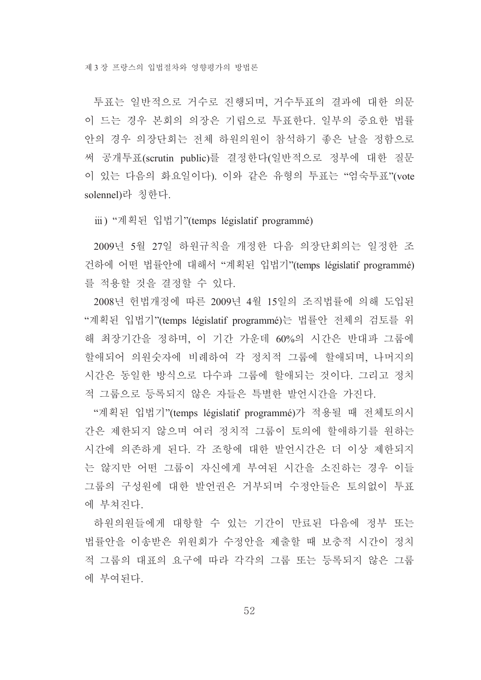투표는 일반적으로 거수로 진행되며, 거수투표의 결과에 대한 의문 이 드는 경우 본회의 의장은 기립으로 투표한다. 일부의 중요한 법률 안의 경우 의장단회는 전체 하워의워이 참석하기 좋은 날을 정함으로 써 공개투표(scrutin public)를 결정한다(일반적으로 정부에 대한 질문 이 있는 다음의 화요일이다). 이와 같은 유형의 투표는 "엄숙투표"(vote solennel)라 칭한다.

iii) "계획된 입법기"(temps législatif programmé)

2009년 5월 27일 하원규칙을 개정한 다음 의장단회의는 일정한 조 건하에 어떤 법률안에 대해서 "계획된 입법기"(temps législatif programmé) 를 적용할 것을 결정할 수 있다.

2008년 헌법개정에 따른 2009년 4월 15일의 조직법률에 의해 도입된 "계획된 입법기"(temps législatif programmé)는 법률안 전체의 검토를 위 해 최장기간을 정하며, 이 기간 가운데 60%의 시간은 반대파 그룹에 할애되어 의원숫자에 비례하여 각 정치적 그룹에 할애되며, 나머지의 시간은 동일한 방식으로 다수파 그룹에 할애되는 것이다. 그리고 정치 적 그룹으로 등록되지 않은 자들은 특별한 발언시간을 가진다.

"계획된 입법기"(temps législatif programmé)가 적용될 때 전체토의시 간은 제한되지 않으며 여러 정치적 그룹이 토의에 할애하기를 원하는 시간에 의존하게 된다. 각 조항에 대한 발언시간은 더 이상 제한되지 는 않지만 어떤 그룹이 자신에게 부여된 시간을 소진하는 경우 이들 그룹의 구성워에 대한 발언권은 거부되며 수정안들은 토의없이 투표 에 부쳐진다.

하워의워들에게 대항할 수 있는 기간이 만료되 다음에 정부 또는 법률안을 이송받은 위원회가 수정안을 제출할 때 보충적 시간이 정치 적 그룹의 대표의 요구에 따라 각각의 그룹 또는 등록되지 않은 그룹 에 부여되다.

52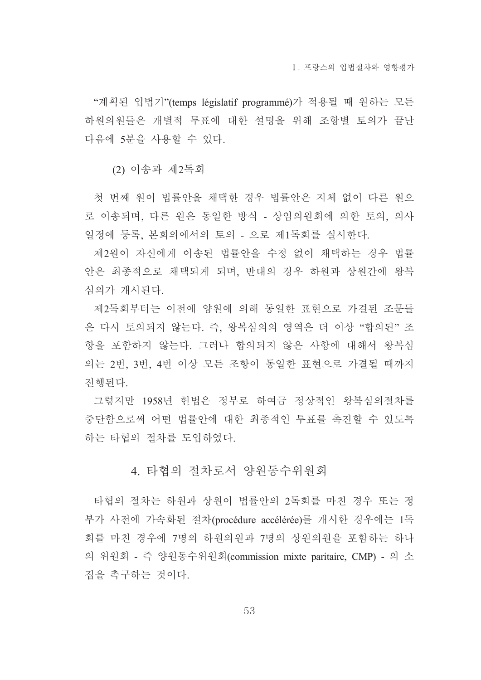"계획된 입법기"(temps législatif programmé)가 적용될 때 원하는 모든 하워의워들은 개별적 투표에 대한 설명을 위해 조항별 토의가 끝나 다음에 5분을 사용할 수 있다.

(2) 이송과 제2독회

첫 번째 원이 법률안을 채택한 경우 법률안은 지체 없이 다른 원으 로 이송되며, 다른 워은 동일한 방식 - 상임의워회에 의한 토의, 의사 일정에 등록, 본회의에서의 토의 - 으로 제1독회를 실시한다.

제2원이 자신에게 이송된 법률안을 수정 없이 채택하는 경우 법률 안은 최종적으로 채택되게 되며, 반대의 경우 하워과 상워간에 왕복 심의가 개시된다.

제2독회부터는 이전에 양원에 의해 동일한 표현으로 가결된 조문들 은 다시 토의되지 않는다. 즉, 왕복심의의 영역은 더 이상 "합의된" 조 항을 포함하지 않는다. 그러나 합의되지 않은 사항에 대해서 왕복심 의는 2번, 3번, 4번 이상 모든 조항이 동일한 표현으로 가결될 때까지 진행된다.

그렇지만 1958년 헌법은 정부로 하여금 정상적인 왕복심의절차를 중단함으로써 어떤 법률안에 대한 최종적인 투표를 촉진할 수 있도록 하는 타협의 절차를 도입하였다.

### 4. 타협의 절차로서 양원동수위워회

타협의 절차는 하워과 상원이 법률안의 2독회를 마친 경우 또는 정 부가 사전에 가속화된 절차(procédure accélérée)를 개시한 경우에는 1독 회를 마친 경우에 7명의 하원의원과 7명의 상원의원을 포함하는 하나 의 위원회 - 즉 양원동수위원회(commission mixte paritaire, CMP) - 의 소 집을 촉구하는 것이다.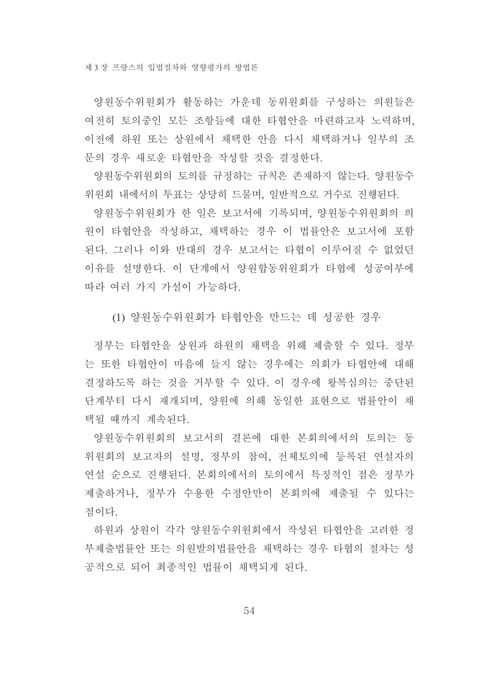제 3 장 프랑스의 입법절차와 영향평가의 방법론

양워동수위원회가 활동하는 가운데 동위원회를 구성하는 의원들은 여전히 토의중인 모든 조항들에 대한 타협안을 마련하고자 노력하며, 이전에 하워 또는 상원에서 채택한 안을 다시 채택하거나 일부의 조 문의 경우 새로운 타협안을 작성할 것을 결정한다.

양원동수위원회의 토의를 규정하는 규칙은 존재하지 않는다. 양원동수 위원회 내에서의 투표는 상당히 드물며, 일반적으로 거수로 진행된다.

양원동수위원회가 한 일은 보고서에 기록되며, 양원동수위원회의 의 원이 타협안을 작성하고, 채택하는 경우 이 법률안은 보고서에 포함 된다. 그러나 이와 반대의 경우 보고서는 타협이 이루어질 수 없었던 이유를 설명한다. 이 단계에서 양원합동위원회가 타협에 성공여부에 따라 여러 가지 가설이 가능하다.

(1) 양워동수위워회가 타협안을 만드는 데 성공한 경우

정부는 타협안을 상원과 하원의 채택을 위해 제출할 수 있다. 정부 는 또한 타협안이 마음에 들지 않는 경우에는 의회가 타협안에 대해 결정하도록 하는 것을 거부할 수 있다. 이 경우에 왕복심의는 중단된 단계부터 다시 재개되며, 양원에 의해 동일한 표현으로 법률안이 채 택될 때까지 계속된다.

양원동수위원회의 보고서의 결론에 대한 본회의에서의 토의는 동 위원회의 보고자의 설명, 정부의 참여, 전체토의에 등록된 연설자의 연설 수으로 진행된다. 본회의에서의 토의에서 특징적인 점은 정부가 제출하거나, 정부가 수용한 수정안만이 본회의에 제출될 수 있다는 점이다.

하워과 상워이 각각 양워동수위워회에서 작성된 타협안을 고려한 정 부제출법률안 또는 의워발의법률안을 채택하는 경우 타협의 절차는 성 공적으로 되어 최종적인 법률이 채택되게 된다.

54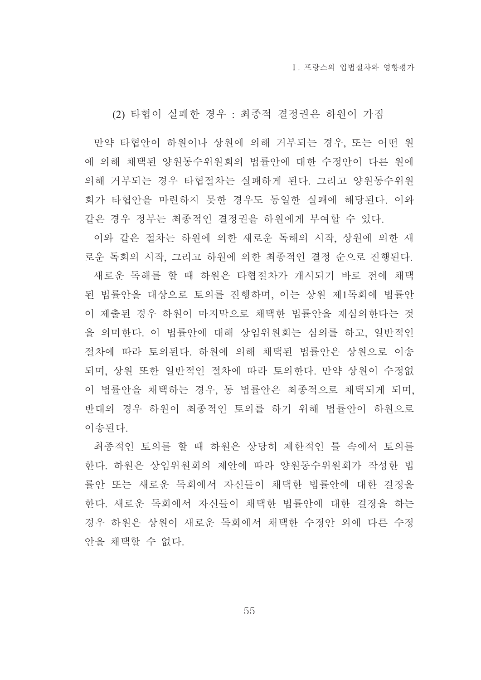(2) 타협이 실패한 경우 : 최종적 결정권은 하원이 가짐

만약 타협안이 하원이나 상원에 의해 거부되는 경우, 또는 어떤 원 에 의해 채택된 양원동수위원회의 법률안에 대한 수정안이 다른 원에 의해 거부되는 경우 타협절차는 실패하게 된다. 그리고 양원동수위워 회가 타협안을 마련하지 못한 경우도 동일한 실패에 해당된다. 이와 같은 경우 정부는 최종적인 결정권을 하원에게 부여할 수 있다.

이와 같은 절차는 하원에 의한 새로운 독해의 시작, 상원에 의한 새 로운 독회의 시작, 그리고 하원에 의한 최종적인 결정 순으로 진행된다. 새로운 독해를 할 때 하원은 타협절차가 개시되기 바로 전에 채택 된 법률안을 대상으로 토의를 진행하며, 이는 상원 제1독회에 법률안 이 제출된 경우 하워이 마지막으로 채택한 법률안을 재심의한다는 것 을 의미하다. 이 법률안에 대해 상임위워회는 심의를 하고 일반적인 절차에 따라 토의되다. 하워에 의해 채택된 법률안은 상워으로 이송 되며, 상원 또한 일반적인 절차에 따라 토의한다. 만약 상원이 수정없 이 법률안을 채택하는 경우, 동 법률안은 최종적으로 채택되게 되며, 반대의 경우 하워이 최종적인 토의를 하기 위해 법률안이 하워으로 이송되다.

최종적인 토의를 할 때 하워은 상당히 제한적인 틀 속에서 토의를 한다. 하원은 상임위원회의 제안에 따라 양원동수위원회가 작성한 법 률안 또는 새로운 독회에서 자신들이 채택한 법률안에 대한 결정을 한다. 새로운 독회에서 자신들이 채택한 법률안에 대한 결정을 하는 경우 하워은 상워이 새로운 독회에서 채택한 수정안 외에 다른 수정 안을 채택할 수 없다.

55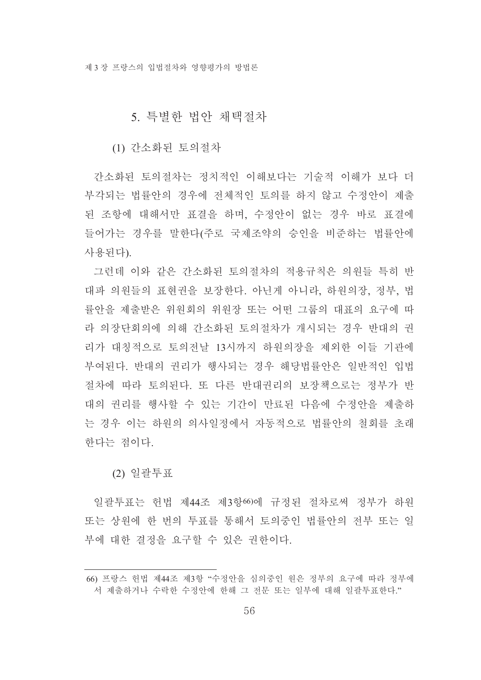### 5. 특별한 법안 채택절차

(1) 간소화된 토의절차

간소화된 토의절차는 정치적인 이해보다는 기술적 이해가 보다 더 부각되는 법률안의 경우에 저체적인 토의를 하지 않고 수정안이 제출 된 조항에 대해서만 표결을 하며, 수정안이 없는 경우 바로 표결에 들어가는 경우를 말한다(주로 국제조약의 승인을 비준하는 법률안에 사용되다)

그런데 이와 같은 간소화된 토의절차의 적용규칙은 의원들 특히 반 대파 의원들의 표현권을 보장한다. 아닌게 아니라, 하원의장, 정부, 법 률안을 제출받은 위원회의 위원장 또는 어떤 그룹의 대표의 요구에 따 라 의장단회의에 의해 간소화된 토의절차가 개시되는 경우 반대의 권 리가 대칭적으로 토의전날 13시까지 하원의장을 제외한 이들 기관에 부여된다. 반대의 권리가 행사되는 경우 해당법률안은 일반적인 입법 절차에 따라 토의된다. 또 다른 반대권리의 보장책으로는 정부가 반 대의 권리를 행사할 수 있는 기간이 만료된 다음에 수정안을 제출하 는 경우 이는 하워의 의사일정에서 자동적으로 법률안의 철회를 초래 한다는 점이다.

(2) 일괄투표

일괄투표는 헌법 제44조 제3항66)에 규정된 절차로써 정부가 하원 또는 상원에 한 번의 투표를 통해서 토의중인 법률안의 전부 또는 일 부에 대한 결정을 요구할 수 있은 권하이다.

<sup>66)</sup> 프랑스 헌법 제44조 제3항 "수정안을 심의중인 원은 정부의 요구에 따라 정부에 서 제출하거나 수락한 수정안에 한해 그 전문 또는 일부에 대해 일괄투표한다."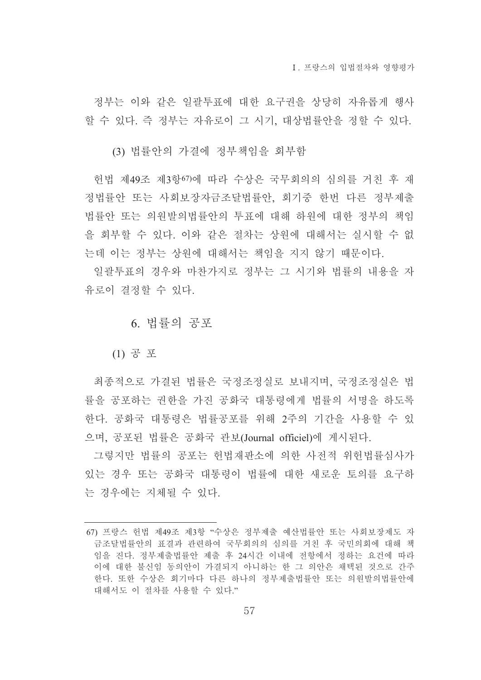정부는 이와 같은 일괄투표에 대한 요구권을 상당히 자유롭게 행사 할 수 있다. 즉 정부는 자유로이 그 시기. 대상법률안을 정할 수 있다.

(3) 법률안의 가결에 정부책임을 회부함

헌법 제49조 제3항67)에 따라 수상은 국무회의의 심의를 거친 후 재 정법률안 또는 사회보장자금조달법률안, 회기중 한번 다른 정부제출 법률안 또는 의워발의법률안의 투표에 대해 하워에 대한 정부의 책임 을 회부할 수 있다. 이와 같은 절차는 상원에 대해서는 실시할 수 없 는데 이는 정부는 상원에 대해서는 책임을 지지 않기 때문이다.

일괄투표의 경우와 마찬가지로 정부는 그 시기와 법률의 내용을 자 유로이 결정할 수 있다.

6. 법률의 공포

(1) 공 포

최종적으로 가결된 법률은 국정조정실로 보내지며, 국정조정실은 법 률을 공포하는 권한을 가진 공화국 대통령에게 법률의 서명을 하도록 한다. 공화국 대통령은 법률공포를 위해 2주의 기간을 사용할 수 있 으며, 공포된 법률은 공화국 관보(Journal officiel)에 게시된다.

그렇지만 법률의 공포는 헌법재판소에 의한 사전적 위헌법률심사가 있는 경우 또는 공화국 대통령이 법률에 대한 새로운 토의를 요구하 는 경우에는 지체될 수 있다.

<sup>67)</sup> 프랑스 헌법 제49조 제3항 "수상은 정부제출 예산법률안 또는 사회보장제도 자 금조달법률안의 표결과 관련하여 국무회의의 심의를 거친 후 국민의회에 대해 책 임을 진다. 정부제출법률안 제출 후 24시간 이내에 전항에서 정하는 요건에 따라 이에 대한 불신임 동의안이 가결되지 아니하는 한 그 의안은 채택된 것으로 간주 한다. 또한 수상은 회기마다 다른 하나의 정부제출법률안 또는 의원발의법률안에 대해서도 이 절차를 사용할 수 있다."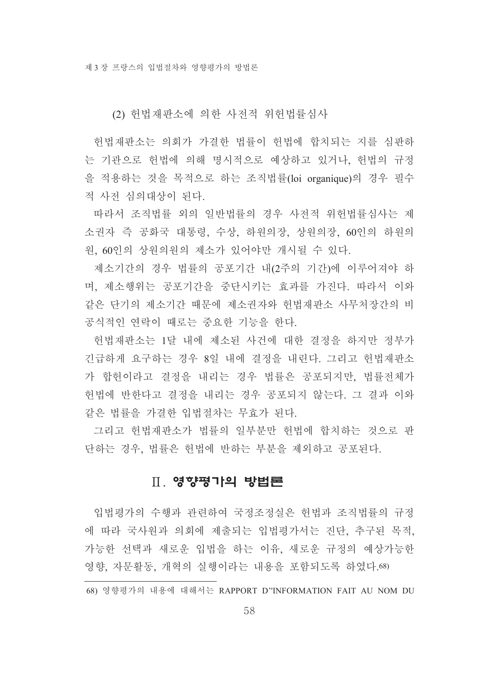(2) 헌법재판소에 의한 사전적 위헌법률심사

헌법재판소는 의회가 가결한 법률이 헌법에 합치되는 지를 심판하 는 기관으로 헌법에 의해 명시적으로 예상하고 있거나, 헌법의 규정 을 적용하는 것을 목적으로 하는 조직법률(loi organique)의 경우 필수 적 사전 심의대상이 된다.

따라서 조직법률 외의 일반법률의 경우 사전적 위헌법률심사는 제 소권자 즉 공화국 대통령, 수상, 하원의장, 상원의장, 60인의 하원의 원, 60인의 상원의원의 제소가 있어야만 개시될 수 있다.

제소기간의 경우 법률의 공포기간 내(2주의 기간)에 이루어져야 하 며, 제소행위는 공포기간을 중단시키는 효과를 가진다. 따라서 이와 같은 단기의 제소기간 때문에 제소권자와 헌법재판소 사무처장간의 비 공식적인 여락이 때로는 중요한 기능을 한다.

헌법재판소는 1달 내에 제소된 사건에 대한 결정을 하지만 정부가 긴급하게 요구하는 경우 8일 내에 결정을 내린다. 그리고 헌법재판소 가 합헌이라고 결정을 내리는 경우 법률은 공포되지만, 법률전체가 헌법에 반한다고 결정을 내리는 경우 공포되지 않는다. 그 결과 이와 같은 법률을 가결한 입법절차는 무효가 된다.

그리고 헌법재판소가 법률의 일부분만 헌법에 합치하는 것으로 판 단하는 경우, 법률은 헌법에 반하는 부분을 제외하고 공포된다.

## Ⅱ 영향평가의 방법론

입법평가의 수행과 관련하여 국정조정실은 헌법과 조직법률의 규정 에 따라 국사원과 의회에 제출되는 입법평가서는 진단, 추구된 목적, 가능한 선택과 새로운 입법을 하는 이유, 새로운 규정의 예상가능한 영향, 자문활동, 개혁의 실행이라는 내용을 포함되도록 하였다.68)

<sup>68)</sup> 영향평가의 내용에 대해서는 RAPPORT D"INFORMATION FAIT AU NOM DU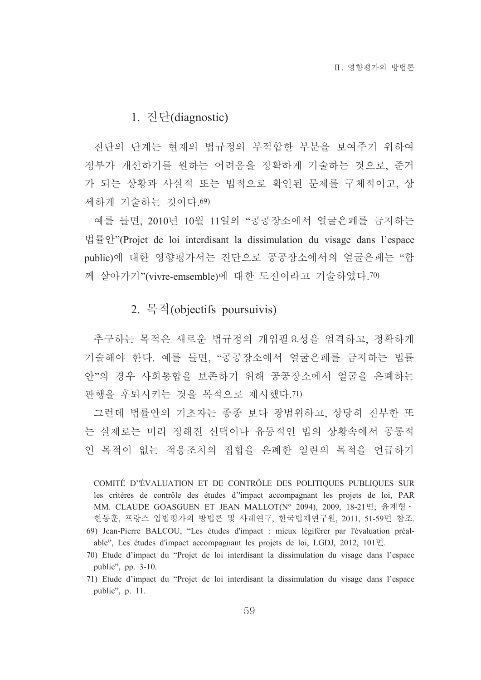### 1. 진단(diagnostic)

진단의 단계는 현재의 법규정의 부적합한 부분을 보여주기 위하여 정부가 개선하기를 워하는 어려움을 정확하게 기술하는 것으로 주거 가 되는 상황과 사실적 또는 법적으로 확인된 문제를 구체적이고, 상 세하게 기술하는 것이다 69)

예를 들면, 2010년 10월 11일의 "공공장소에서 얼굴은폐를 금지하는 법률안"(Projet de loi interdisant la dissimulation du visage dans l'espace public)에 대한 영향평가서는 진단으로 공공장소에서의 얼굴은폐는 "함 께 살아가기"(vivre-emsemble)에 대한 도전이라고 기술하였다.70)

### 2. 목적(objectifs poursuivis)

추구하는 목적은 새로운 법규정의 개입필요성을 엄격하고, 정확하게 기술해야 한다. 예를 들면. "공공장소에서 얼굴은폐를 금지하는 법률 아"의 경우 사회통합을 보존하기 위해 공공장소에서 얼굴을 은폐하는 관행을 후퇴시키는 것을 목적으로 제시했다. 71)

그런데 법률안의 기초자는 종종 보다 광범위하고, 상당히 진부한 또 는 실제로는 미리 정해진 선택이나 유동적인 법의 상황속에서 공통적 인 목적이 없는 적응조치의 집합을 은폐한 일련의 목적을 언급하기

COMITÉ D'ÉVALUATION ET DE CONTRÔLE DES POLITIQUES PUBLIQUES SUR les critères de contrôle des études d'impact accompagnant les projets de loi, PAR MM. CLAUDE GOASGUEN ET JEAN MALLOT(N° 2094), 2009, 18-21면; 윤계형 · 한동훈, 프랑스 입법평가의 방법론 및 사례연구, 한국법제연구워, 2011, 51-59면 참조.

<sup>69)</sup> Jean-Pierre BALCOU, "Les études d'impact : mieux légiférer par l'évaluation préalable", Les études d'impact accompagnant les projets de loi, LGDJ, 2012, 101면.

<sup>70)</sup> Etude d'impact du "Projet de loi interdisant la dissimulation du visage dans l'espace public", pp. 3-10.

<sup>71)</sup> Etude d'impact du "Projet de loi interdisant la dissimulation du visage dans l'espace public", p. 11.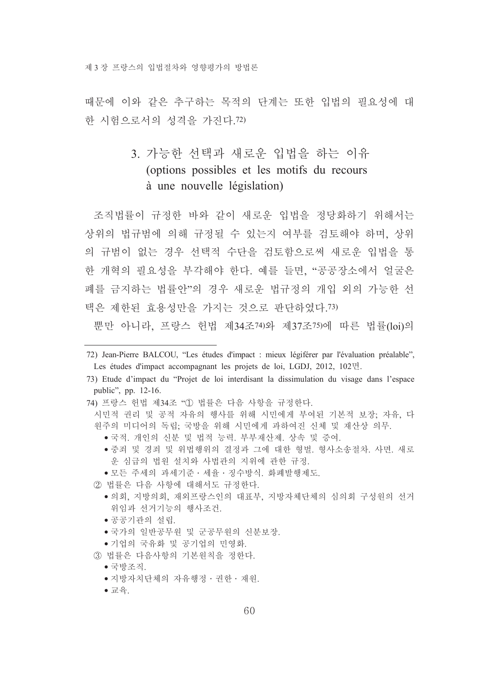제 3 장 프랑스의 입법절차와 영향평가의 방법론

때문에 이와 같은 추구하는 목적의 단계는 또한 입법의 필요성에 대 한 시험으로서의 성격을 가진다. 72)

# 3. 가능한 선택과 새로운 입법을 하는 이유 (options possibles et les motifs du recours à une nouvelle législation)

조직법률이 규정한 바와 같이 새로운 입법을 정당화하기 위해서는 상위의 법규범에 의해 규정될 수 있는지 여부를 검토해야 하며, 상위 의 규범이 없는 경우 선택적 수단을 검토함으로써 새로운 입법을 통 한 개혁의 필요성을 부각해야 하다. 예를 들면 "공공장소에서 얼굴은 폐를 금지하는 법률안"의 경우 새로운 법규정의 개입 외의 가능한 선 택은 제하되 효용성만을 가지는 것으로 파다하였다 73)

뿐만 아니라, 프랑스 헌법 제34조74)와 제37조75)에 따른 법률(loi)의

- 72) Jean-Pierre BALCOU, "Les études d'impact : mieux légiférer par l'évaluation préalable", Les études d'impact accompagnant les projets de loi, LGDJ, 2012, 102면.
- 73) Etude d'impact du "Projet de loi interdisant la dissimulation du visage dans l'espace public", pp. 12-16.
- 74) 프랑스 헌법 제34조 "① 법률은 다음 사항을 규정한다.
	- 시민적 권리 및 공적 자유의 행사를 위해 시민에게 부여된 기본적 보장, 자유, 다 원주의 미디어의 독립. 국방을 위해 시민에게 과하여진 신체 및 재산상 의무.
		- 국적, 개인의 신분 및 법적 능력, 부부재산제, 상속 및 증여,
		- ●중죄 및 경죄 및 위법행위의 결정과 그에 대한 형벌, 형사소송절차, 사면, 새로 운 심급의 법원 설치와 사법관의 지위에 관한 규정.
		- 모든 주세의 과세기주 · 세율 · 징수방식, 화폐발행제도,
	- 2 법률은 다음 사항에 대해서도 규정한다.
		- ●의회, 지방의회, 재외프랑스인의 대표부, 지방자체단체의 심의회 구성원의 선거 위임과 선거기능의 행사조건.
		- 공공기관의 설립.
		- 국가의 일반공무원 및 군공무원의 신분보장.
		- 기업의 국유화 및 공기업의 민영화.
	- 3) 법률은 다음사항의 기본워칙을 정한다.
		- 국방조직.
		- 지방자치단체의 자유행정 · 권한 · 재원.
		- $\bullet$  교육.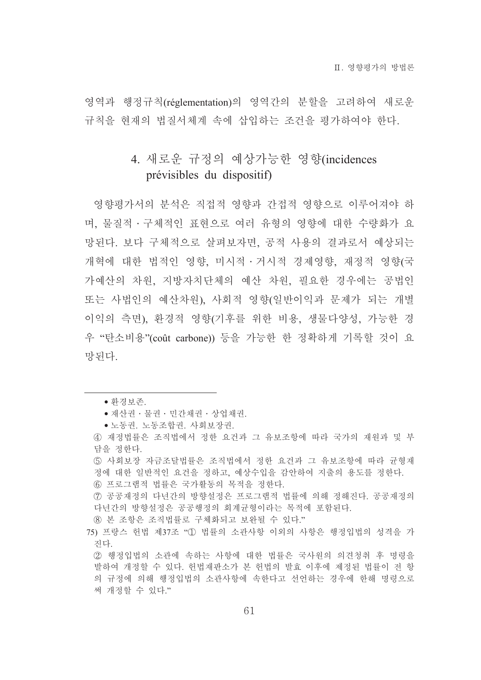영역과 행정규칙(réglementation)의 영역간의 분할을 고려하여 새로운 규칙을 현재의 법질서체계 속에 삽입하는 조건을 평가하여야 한다.

# 4. 새로운 규정의 예상가능한 영향(incidences prévisibles du dispositif)

영향평가서의 분석은 직접적 영향과 간접적 영향으로 이루어져야 하 며, 물질적 · 구체적인 표현으로 여러 유형의 영향에 대한 수량화가 요 망된다. 보다 구체적으로 살펴보자면, 공적 사용의 결과로서 예상되는 개혁에 대한 법적인 영향 미시적 · 거시적 경제영향 재정적 영향(국 가예산의 차원, 지방자치단체의 예산 차원, 필요한 경우에는 공법인 또는 사법인의 예산차원), 사회적 영향(일반이익과 문제가 되는 개별 이익의 측면). 화경적 영향(기후를 위한 비용, 생물다양성, 가능한 경 우 "탄소비용"(coût carbone)) 등을 가능한 한 정확하게 기록할 것이 요 망된다.

- 재산권 · 물권 · 민간채권 · 상업채권.
- 노동권. 노동조합권. 사회보장권.
- 4) 재정법률은 조직법에서 정한 요건과 그 유보조항에 따라 국가의 재워과 및 부 담을 정한다.
- 5 사회보장 자금조달법률은 조직법에서 정한 요건과 그 유보조항에 따라 균형재 정에 대한 일반적인 요건을 정하고, 예상수입을 감안하여 지출의 용도를 정한다.
- 6 프로그램적 법률은 국가활동의 목적을 정한다.
- ⑦ 공공재정의 다녀간의 방향설정은 프로그램적 법률에 의해 정해진다. 공공재정의 다년간의 방향설정은 공공행정의 회계균형이라는 목적에 포함된다.

⑧ 본 조항은 조직법률로 구체화되고 보완될 수 있다."

- 75) 프랑스 헌법 제37조 "① 법률의 소관사항 이외의 사항은 행정입법의 성격을 가 진다.
	- ② 행정입법의 소관에 속하는 사항에 대한 법률은 국사원의 의견청취 후 명령을 발하여 개정할 수 있다. 헌법재판소가 본 헌법의 발효 이후에 제정된 법률이 전 항 의 규정에 의해 행정입법의 소관사항에 속한다고 선언하는 경우에 한해 명령으로 써 개정할 수 있다."

<sup>•</sup> 환경보존.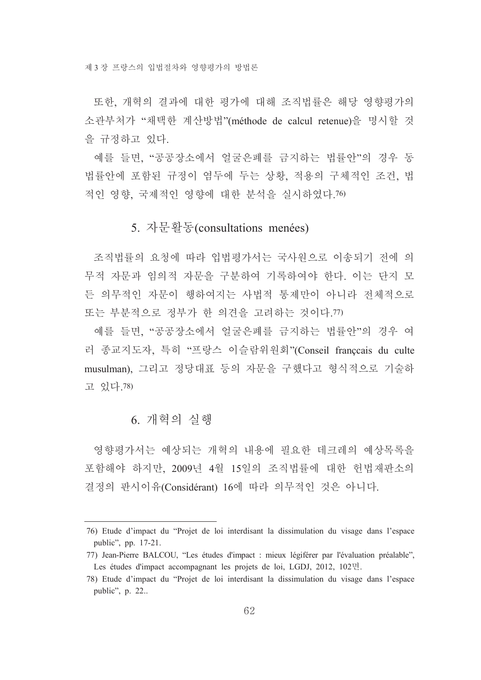또한 개혁의 결과에 대한 평가에 대해 조직법률은 해당 영향평가의 소관부처가 "채택한 계산방법"(méthode de calcul retenue)을 명시할 것 을 규정하고 있다.

예를 들면, "공공장소에서 얼굴은폐를 금지하는 법률안"의 경우 동 법률안에 포함된 규정이 염두에 두는 상황, 적용의 구체적인 조건, 법 적인 영향, 국제적인 영향에 대한 분석을 실시하였다.76)

## 5. 자문활동(consultations menées)

조직법률의 요청에 따라 입법평가서는 국사워으로 이송되기 전에 의 무적 자문과 임의적 자문을 구분하여 기록하여야 한다. 이는 단지 모 든 의무적인 자문이 행하여지는 사법적 통제만이 아니라 전체적으로 또는 부분적으로 정부가 한 의견을 고려하는 것이다. 77)

예를 들면. "공공장소에서 얼굴은폐를 금지하는 법률안"의 경우 여 러 종교지도자, 특히 "프랑스 이슬람위원회"(Conseil franccais du culte musulman). 그리고 정당대표 등의 자문을 구했다고 형식적으로 기술하 고 있다.78)

## 6. 개혁의 실행

영향평가서는 예상되는 개혁의 내용에 필요한 데크레의 예상목록을 포함해야 하지만, 2009년 4월 15일의 조직법률에 대한 헌법재판소의 결정의 판시이유(Considérant) 16에 따라 의무적인 것은 아니다.

<sup>76)</sup> Etude d'impact du "Projet de loi interdisant la dissimulation du visage dans l'espace public", pp. 17-21.

<sup>77)</sup> Jean-Pierre BALCOU, "Les études d'impact : mieux légiférer par l'évaluation préalable", Les études d'impact accompagnant les projets de loi, LGDJ, 2012, 102면.

<sup>78)</sup> Etude d'impact du "Projet de loi interdisant la dissimulation du visage dans l'espace public", p. 22..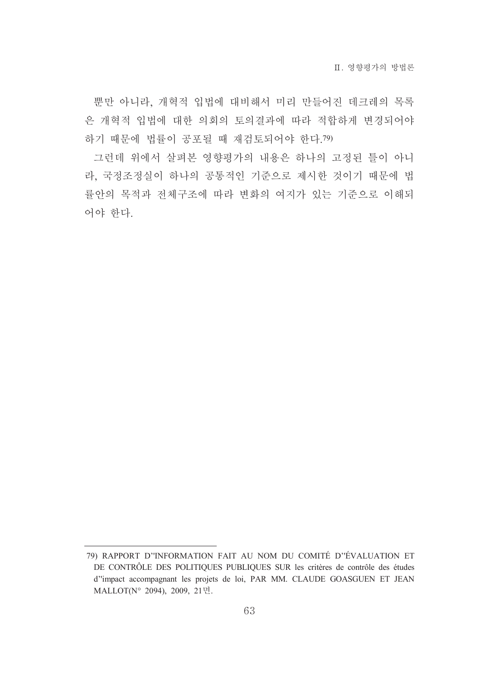뿐만 아니라, 개혁적 입법에 대비해서 미리 만들어진 데크레의 목록 은 개혁적 입법에 대한 의회의 토의결과에 따라 적합하게 변경되어야 하기 때문에 법률이 공포될 때 재검토되어야 한다.79)

그런데 위에서 살펴본 영향평가의 내용은 하나의 고정된 틀이 아니 라. 국정조정실이 하나의 공통적인 기준으로 제시한 것이기 때문에 법 률안의 목적과 전체구조에 따라 변화의 여지가 있는 기준으로 이해되 어야 한다.

<sup>79)</sup> RAPPORT D'INFORMATION FAIT AU NOM DU COMITÉ D'ÉVALUATION ET DE CONTRÔLE DES POLITIQUES PUBLIQUES SUR les critères de contrôle des études d''impact accompagnant les projets de loi, PAR MM. CLAUDE GOASGUEN ET JEAN MALLOT(N° 2094), 2009, 21면.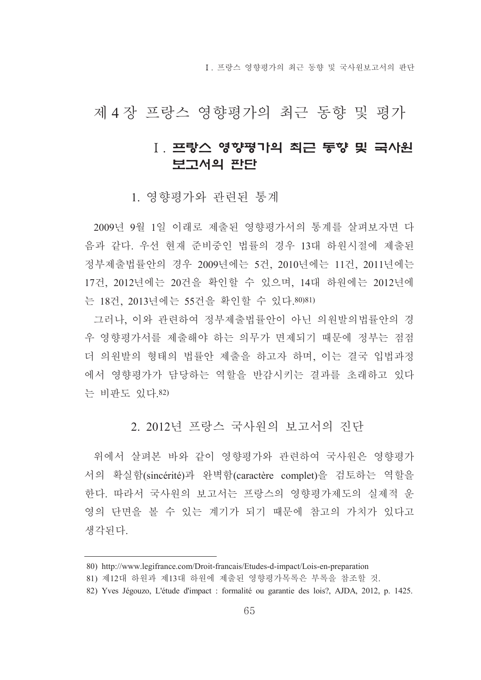[ 프랑스 영향평가의 최근 동향 및 국사워보고서의 판단

# 제 4 장 프랑스 영향평가의 최근 동향 및 평가

# Ⅰ. 프랑스 영향평가의 최근 동향 및 국사원 보고서의 판단

### 1. 영향평가와 관련된 통계

2009년 9월 1일 이래로 제출된 영향평가서의 통계를 살펴보자면 다 음과 같다. 우선 현재 준비중인 법률의 경우 13대 하원시절에 제출된 정부제출법률안의 경우 2009년에는 5건, 2010년에는 11건, 2011년에는 17건, 2012년에는 20건을 확인할 수 있으며, 14대 하원에는 2012년에 는 18건. 2013년에는 55건을 확인할 수 있다.80)81)

그러나, 이와 관련하여 정부제출법률안이 아닌 의원발의법률안의 경 우 영향평가서를 제출해야 하는 의무가 면제되기 때문에 정부는 점점 더 의원발의 형태의 법률안 제출을 하고자 하며, 이는 결국 입법과정 에서 영향평가가 담당하는 역할을 반감시키는 결과를 초래하고 있다 는 비판도 있다.82)

## 2. 2012년 프랑스 국사워의 보고서의 진단

위에서 살펴본 바와 같이 영향평가와 관련하여 국사원은 영향평가 서의 확실함(sincérité)과 완벽함(caractère complet)을 검토하는 역할을 한다. 따라서 국사원의 보고서는 프랑스의 영향평가제도의 실제적 운 영의 단면을 볼 수 있는 계기가 되기 때문에 참고의 가치가 있다고 생각되다

<sup>80)</sup> http://www.legifrance.com/Droit-francais/Etudes-d-impact/Lois-en-preparation

<sup>81)</sup> 제12대 하원과 제13대 하원에 제출된 영향평가목록은 부록을 참조할 것.

<sup>82)</sup> Yves Jégouzo, L'étude d'impact : formalité ou garantie des lois?, AJDA, 2012, p. 1425.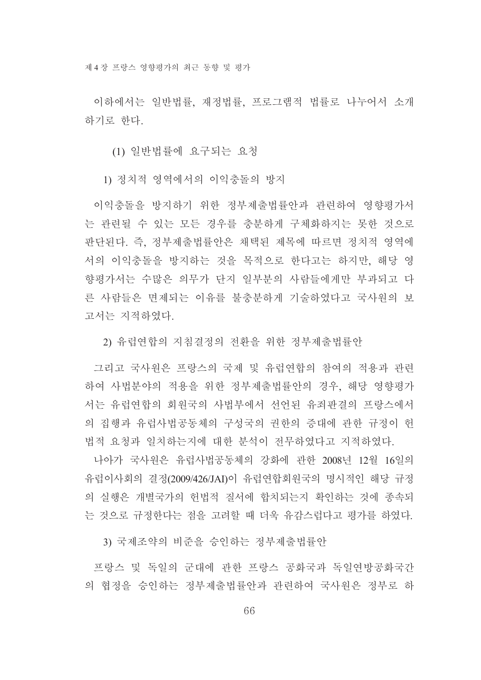이하에서는 일반법률, 재정법률, 프로그램적 법률로 나누어서 소개 하기로 하다.

(1) 일반법률에 요구되는 요청

1) 정치적 영역에서의 이익충돌의 방지

이익충돌을 방지하기 위한 정부제출법률안과 관련하여 영향평가서 는 관련될 수 있는 모든 경우를 충분하게 구체화하지는 못한 것으로 판단된다. 즉. 정부제출법률안은 채택된 제목에 따르면 정치적 영역에 서의 이익충돌을 방지하는 것을 목적으로 한다고는 하지만, 해당 영 향평가서는 수많은 의무가 단지 일부분의 사람들에게만 부과되고 다 른 사람들은 면제되는 이유를 불충분하게 기술하였다고 국사원의 보 고서는 지적하였다.

2) 유럽연합의 지침결정의 전환을 위한 정부제출법률안

그리고 국사원은 프랑스의 국제 및 유럽연합의 참여의 적용과 관련 하여 사법분야의 적용을 위한 정부제출법률안의 경우, 해당 영향평가 서는 유럽연합의 회원국의 사법부에서 선언된 유죄판결의 프랑스에서 의 집행과 유럽사법공동체의 구성국의 권한의 증대에 관한 규정이 헌 법적 요청과 일치하는지에 대한 분석이 전무하였다고 지적하였다.

나아가 국사원은 유럽사법공동체의 강화에 관한 2008년 12월 16일의 유럽이사회의 결정(2009/426/JAI)이 유럽연합회원국의 명시적인 해당 규정 의 실행은 개별국가의 헌법적 질서에 합치되는지 확인하는 것에 종속되 는 것으로 규정한다는 점을 고려할 때 더욱 유감스럽다고 평가를 하였다.

3) 국제조약의 비준을 승인하는 정부제출법률안

프랑스 및 독일의 군대에 관한 프랑스 공화국과 독일여방공화국간 의 협정을 승인하는 정부제출법률안과 관련하여 국사원은 정부로 하

66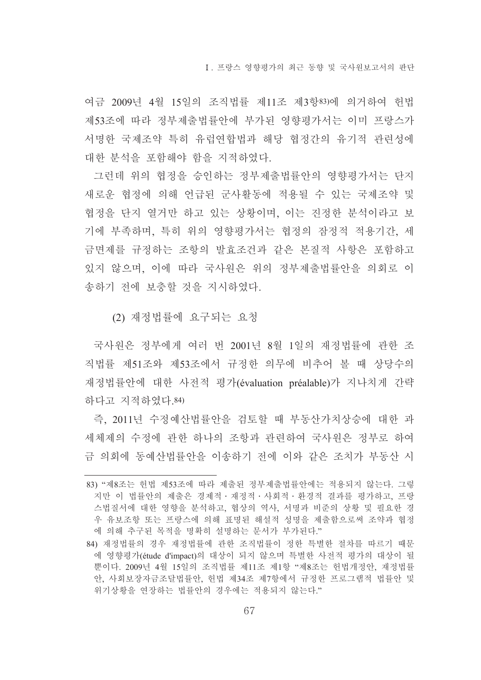여금 2009년 4월 15일의 조직법률 제11조 제3항83)에 의거하여 헌법 제53조에 따라 정부제출법률안에 부가된 영향평가서는 이미 프랑스가 서명한 국제조약 특히 유럽여합법과 해당 협정간의 유기적 관련성에 대한 분석을 포함해야 함을 지적하였다.

그런데 위의 협정을 승인하는 정부제출법률안의 영향평가서는 단지 새로운 협정에 의해 언급된 군사활동에 적용될 수 있는 국제조약 및 협정을 단지 열거만 하고 있는 상황이며, 이는 진정한 분석이라고 보 기에 부족하며, 특히 위의 영향평가서는 협정의 잠정적 적용기간, 세 금면제를 규정하는 조항의 발효조건과 같은 본질적 사항은 포함하고 있지 않으며, 이에 따라 국사원은 위의 정부제출법률안을 의회로 이 송하기 전에 보충할 것을 지시하였다.

(2) 재정법률에 요구되는 요청

국사원은 정부에게 여러 번 2001년 8월 1일의 재정법률에 관한 조 직법률 제51조와 제53조에서 규정한 의무에 비추어 볼 때 상당수의 재정법률안에 대한 사전적 평가(évaluation préalable)가 지나치게 간략 하다고 지적하였다 84)

즉, 2011년 수정예산법률안을 검토할 때 부동산가치상승에 대한 과 세체제의 수정에 관한 하나의 조항과 관련하여 국사원은 정부로 하여 금 의회에 동예사법률안을 이송하기 전에 이와 같은 조치가 부동산 시

<sup>83) &</sup>quot;제8조는 헌법 제53조에 따라 제출된 정부제출법률안에는 적용되지 않는다. 그렇 지만 이 법률안의 제출은 경제적 · 재정적 · 사회적 · 화경적 결과를 평가하고, 프랑 스법질서에 대한 영향을 분석하고, 협상의 역사, 서명과 비준의 상황 및 필요한 경 우 유보조항 또는 프랑스에 의해 표명된 해설적 성명을 제출함으로써 조약과 협정 에 의해 추구된 목적을 명확히 설명하는 문서가 부가된다."

<sup>84)</sup> 재정법률의 경우 재정법률에 관한 조직법률이 정한 특별한 절차를 따르기 때문 에 영향평가(étude d'impact)의 대상이 되지 않으며 특별한 사전적 평가의 대상이 될 뿐이다. 2009년 4월 15일의 조직법률 제11조 제1항 "제8조는 헌법개정안, 재정법률 안, 사회보장자금조달법률안, 헌법 제34조 제7항에서 규정한 프로그램적 법률안 및 위기상황을 연장하는 법률안의 경우에는 적용되지 않는다."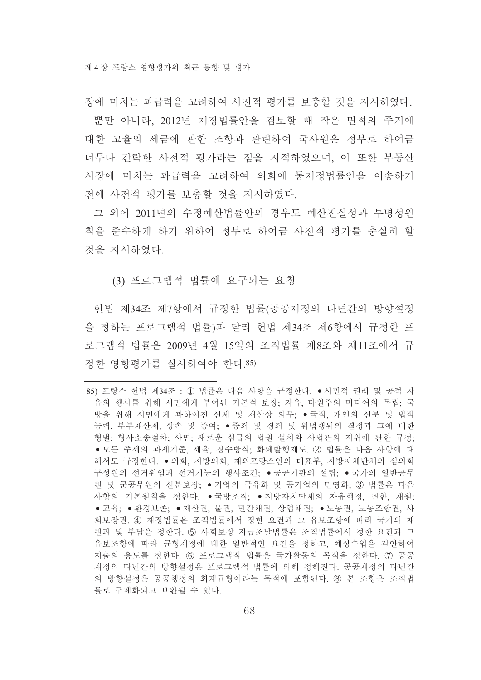장에 미치는 파급력을 고려하여 사전적 평가를 보충할 것을 지시하였다.

뿐만 아니라, 2012년 재정법률안을 검토할 때 작은 면적의 주거에 대한 고율의 세금에 관한 조항과 관련하여 국사원은 정부로 하여금 너무나 간략한 사전적 평가라는 점을 지적하였으며, 이 또한 부동산 시장에 미치는 파급력을 고려하여 의회에 동재정법률안을 이송하기 전에 사전적 평가를 보충할 것을 지시하였다.

그 외에 2011년의 수정예산법률안의 경우도 예산진실성과 투명성원 칙을 준수하게 하기 위하여 정부로 하여금 사전적 평가를 충실히 할 것을 지시하였다.

(3) 프로그램적 법률에 요구되는 요청

헌법 제34조 제7항에서 규정한 법률(공공재정의 다년간의 방향설정 을 정하는 프로그램적 법률)과 달리 헌법 제34조 제6항에서 규정한 프 로그램적 법률은 2009년 4월 15일의 조직법률 제8조와 제11조에서 규 정한 영향평가를 실시하여야 한다.85)

<sup>85)</sup> 프랑스 헌법 제34조 : ① 법률은 다음 사항을 규정한다. ●시민적 권리 및 공적 자 유의 행사를 위해 시민에게 부여된 기본적 보장, 자유, 다원주의 미디어의 독립, 국 방을 위해 시민에게 과하여진 신체 및 재산상 의무; ●국적, 개인의 신분 및 법적 능력, 부부재산제, 상속 및 증여; •중죄 및 경죄 및 위법행위의 결정과 그에 대한 형벌: 형사소송절차: 사면: 새로운 심급의 법원 설치와 사법관의 지위에 관한 규정: ● 모든 주세의 과세기준, 세율, 징수방식; 화폐발행제도, ② 법률은 다음 사항에 대 해서도 규정한다. ●의회, 지방의회, 재외프랑스인의 대표부, 지방자체단체의 심의회 구성워의 선거위임과 선거기능의 행사조건: ●공공기관의 설립: ●국가의 일반공무 원 및 군공무원의 신분보장: ●기업의 국유화 및 공기업의 민영화: ③ 법률은 다음 사항의 기본원칙을 정한다. ●국방조직: ●지방자치단체의 자유행정, 권한, 재원; ● 교육: ● 환경보존: ● 재산권, 물권, 민간채권, 상업채권: ● 노동권, 노동조합권, 사 회보장권. 4) 재정법률은 조직법률에서 정한 요건과 그 유보조항에 따라 국가의 재 원과 및 부담을 정한다. ⑤ 사회보장 자금조달법률은 조직법률에서 정한 요건과 그 유보조항에 따라 균형재정에 대한 일반적인 요건을 정하고, 예상수입을 감안하여 지출의 용도를 정하다. 60 프로그램적 법률은 국가활동의 목적을 정하다. ⑦ 공공 재정의 다년간의 방향설정은 프로그램적 법률에 의해 정해진다. 공공재정의 다년간 의 방향설정은 공공행정의 회계균형이라는 목적에 포함된다. ⑧ 본 조항은 조직법 률로 구체화되고 보완될 수 있다.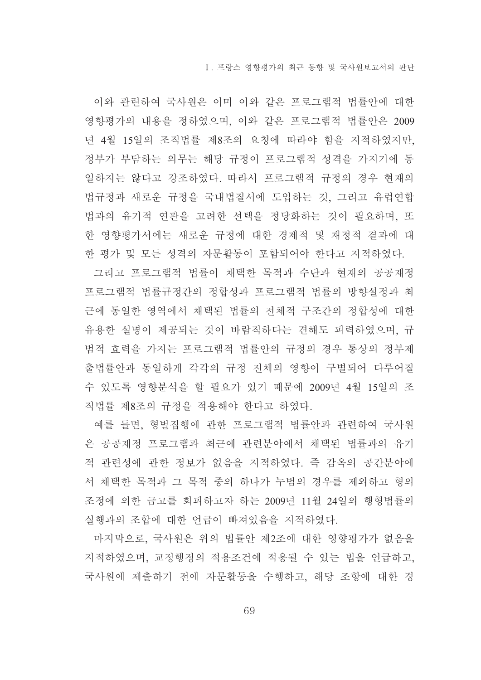이와 관련하여 국사원은 이미 이와 같은 프로그램적 법률안에 대한 영향평가의 내용을 정하였으며, 이와 같은 프로그램적 법률안은 2009 년 4월 15일의 조직법률 제8조의 요청에 따라야 함을 지적하였지만, 정부가 부담하는 의무는 해당 규정이 프로그램적 성격을 가지기에 동 일하지는 않다고 강조하였다. 따라서 프로그램적 규정의 경우 현재의 법규정과 새로운 규정을 국내법질서에 도입하는 것, 그리고 유럽연합 법과의 유기적 연관을 고려한 선택을 정당화하는 것이 필요하며, 또 한 영향평가서에는 새로운 규정에 대한 경제적 및 재정적 결과에 대 한 평가 및 모든 성격의 자문활동이 포함되어야 한다고 지적하였다.

그리고 프로그램적 법률이 채택한 목적과 수단과 현재의 공공재정 프로그램적 법률규정간의 정합성과 프로그램적 법률의 방향설정과 최 근에 동일한 영역에서 채택된 법률의 전체적 구조간의 정합성에 대한 유용한 설명이 제공되는 것이 바람직하다는 견해도 피력하였으며. 규 범적 효력을 가지는 프로그램적 법률안의 규정의 경우 통상의 정부제 출법률안과 동일하게 각각의 규정 전체의 영향이 구별되어 다루어질 수 있도록 영향분석을 할 필요가 있기 때문에 2009년 4월 15일의 조 직법률 제8조의 규정을 적용해야 한다고 하였다.

예를 들면, 형벌집행에 관한 프로그램적 법률안과 관련하여 국사원 은 공공재정 프로그램과 최근에 관련분야에서 채택된 법률과의 유기 적 관련성에 관한 정보가 없음을 지적하였다. 즉 감옥의 공간분야에 서 채택한 목적과 그 목적 중의 하나가 누범의 경우를 제외하고 형의 조정에 의한 금고를 회피하고자 하는 2009년 11월 24일의 행형법률의 실행과의 조합에 대한 언급이 빠져있음을 지적하였다.

마지막으로, 국사원은 위의 법률안 제2조에 대한 영향평가가 없음을 지적하였으며, 교정행정의 적용조건에 적용될 수 있는 법을 언급하고, 국사원에 제출하기 전에 자문활동을 수행하고, 해당 조항에 대한 경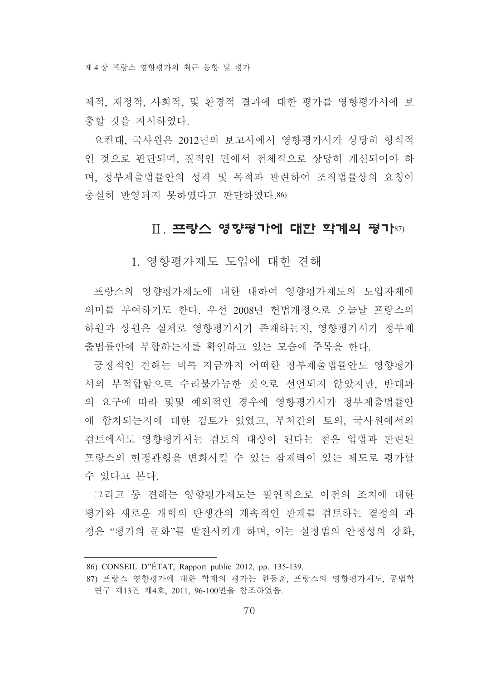제적, 재정적, 사회적, 및 환경적 결과에 대한 평가를 영향평가서에 보 충할 것을 지시하였다.

요컨대. 국사원은 2012년의 보고서에서 영향평가서가 상당히 형식적 인 것으로 판단되며, 질적인 면에서 전체적으로 상당히 개선되어야 하 며, 정부제출법률안의 성격 및 목적과 관련하여 조직법률상의 요청이 충실히 반영되지 못하였다고 판단하였다.86)

## $\Pi$ . 프랑스 영향평가에 대한 학계의 평가 $s\tau$

1. 영향평가제도 도입에 대한 견해

프랑스의 영향평가제도에 대한 대하여 영향평가제도의 도입자체에 의미를 부여하기도 하다. 우선 2008년 헌법개정으로 오늘날 프랑스의 하원과 상원은 실제로 영향평가서가 존재하는지, 영향평가서가 정부제 출법률안에 부합하는지를 확인하고 있는 모습에 주목을 한다.

긍정적인 견해는 비록 지금까지 어떠한 정부제출법률안도 영향평가 서의 부적합함으로 수리불가능한 것으로 선언되지 않았지만, 반대파 의 요구에 따라 몇몇 예외적인 경우에 영향평가서가 정부제출법률안 에 합치되는지에 대한 검토가 있었고, 부처간의 토의, 국사원에서의 검토에서도 영향평가서는 검토의 대상이 된다는 점은 입법과 관련된 프랑스의 헌정관행을 변화시킬 수 있는 잠재력이 있는 제도로 평가할 수 있다고 본다.

그리고 동 견해는 영향평가제도는 필연적으로 이전의 조치에 대한 평가와 새로운 개혁의 탄생간의 계속적인 관계를 검토하는 결정의 과 정은 "평가의 문화"를 발전시키게 하며, 이는 실정법의 안정성의 강화,

<sup>86)</sup> CONSEIL D'ÉTAT, Rapport public 2012, pp. 135-139.

<sup>87)</sup> 프랑스 영향평가에 대한 학계의 평가는 한동훈, 프랑스의 영향평가제도, 공법학 연구 제13권 제4호, 2011, 96-100면을 참조하였음.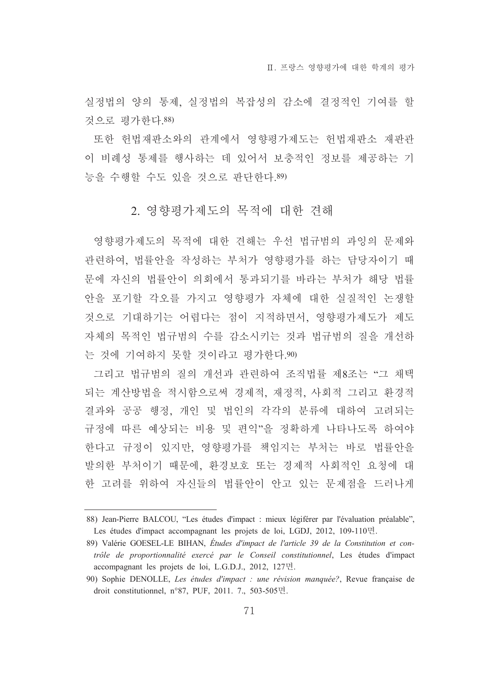Ⅱ. 프랑스 영향평가에 대한 학계의 평가

실정법의 양의 통제, 실정법의 복잡성의 감소에 결정적인 기여를 할 것으로 평가하다.88)

또한 헌법재판소와의 관계에서 영향평가제도는 헌법재판소 재판관 이 비례성 통제를 행사하는 데 있어서 보충적인 정보를 제공하는 기 능을 수행할 수도 있을 것으로 판단한다.89)

### 2. 영향평가제도의 목적에 대한 견해

영향평가제도의 목적에 대한 견해는 우선 법규범의 과잉의 문제와 관련하여, 법률안을 작성하는 부처가 영향평가를 하는 담당자이기 때 문에 자신의 법률안이 의회에서 통과되기를 바라는 부처가 해당 법률 안을 포기할 각오를 가지고 영향평가 자체에 대한 실질적인 논쟁할 것으로 기대하기는 어렵다는 점이 지적하면서. 영향평가제도가 제도 자체의 목적인 법규범의 수를 감소시키는 것과 법규범의 질을 개선하 는 것에 기여하지 못할 것이라고 평가한다.90)

그리고 법규범의 질의 개선과 관련하여 조직법률 제8조는 "그 채택 되는 계산방법을 적시함으로써 경제적, 재정적, 사회적 그리고 환경적 결과와 공공 행정, 개인 및 법인의 각각의 분류에 대하여 고려되는 규정에 따른 예상되는 비용 및 편익"을 정확하게 나타나도록 하여야 한다고 규정이 있지만, 영향평가를 책임지는 부처는 바로 법률안을 발의한 부처이기 때문에, 환경보호 또는 경제적 사회적인 요청에 대 한 고려를 위하여 자신들의 법률안이 안고 있는 문제점을 드러나게

<sup>88)</sup> Jean-Pierre BALCOU, "Les études d'impact : mieux légiférer par l'évaluation préalable", Les études d'impact accompagnant les projets de loi, LGDJ, 2012, 109-110면.

<sup>89)</sup> Valérie GOESEL-LE BIHAN, Études d'impact de l'article 39 de la Constitution et contrôle de proportionnalité exercé par le Conseil constitutionnel, Les études d'impact accompagnant les projets de loi, L.G.D.J., 2012, 127면.

<sup>90)</sup> Sophie DENOLLE, Les études d'impact : une révision manquée?, Revue française de droit constitutionnel, n°87, PUF, 2011. 7., 503-505면.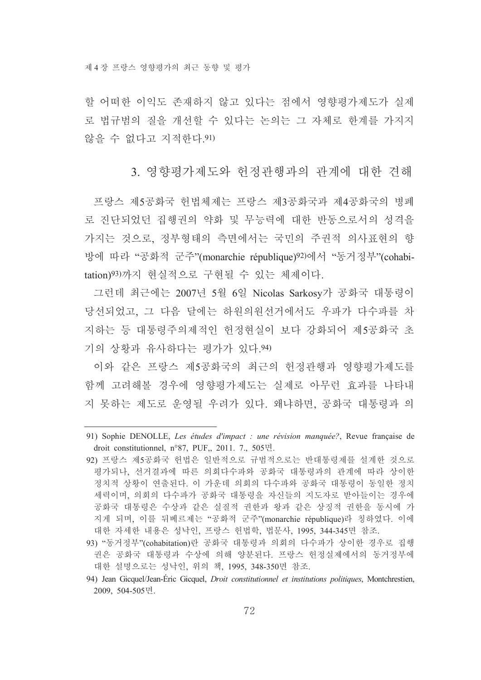할 어떠한 이익도 존재하지 않고 있다는 점에서 영향평가제도가 실제 로 법규범의 질을 개선할 수 있다는 논의는 그 자체로 한계를 가지지 않을 수 없다고 지적하다.91)

3. 영향평가제도와 헌정관행과의 관계에 대한 견해

프랑스 제5공화국 헌법체제는 프랑스 제3공화국과 제4공화국의 병폐 로 진단되었던 집행권의 약화 및 무능력에 대한 반동으로서의 성격을 가지는 것으로, 정부형태의 측면에서는 국민의 주권적 의사표현의 향 방에 따라 "공화적 군주"(monarchie république)<sup>92)</sup>에서 "동거정부"(cohabitation)<sup>93)</sup>까지 현실적으로 구현될 수 있는 체제이다.

그런데 최근에는 2007년 5월 6일 Nicolas Sarkosy가 공화국 대통령이 당선되었고, 그 다음 달에는 하원의원선거에서도 우파가 다수파를 차 지하는 등 대통령주의제적인 헌정혁실이 보다 강화되어 제5공화국 초 기의 상황과 유사하다는 평가가 있다.94)

이와 같은 프랑스 제5공화국의 최근의 헌정과행과 영향평가제도를 함께 고려해볼 경우에 영향평가제도는 실제로 아무런 효과를 나타내 지 못하는 제도로 운영될 우려가 있다. 왜냐하면, 공화국 대통령과 의

<sup>91)</sup> Sophie DENOLLE, Les études d'impact : une révision manquée?, Revue française de droit constitutionnel, n°87, PUF,, 2011, 7,, 505면,

<sup>92)</sup> 프랑스 제5공화국 헌법은 일반적으로 규범적으로는 반대통령제를 설계한 것으로 평가되나, 선거결과에 따른 의회다수파와 공화국 대통령과의 관계에 따라 상이한 정치적 상황이 연출된다. 이 가운데 의회의 다수파와 공화국 대통령이 동일한 정치 세력이며, 의회의 다수파가 공화국 대통령을 자신들의 지도자로 받아들이는 경우에 공화국 대통령은 수상과 같은 실질적 권한과 왕과 같은 상징적 권한을 동시에 가 지게 되며, 이를 뒤베르제는 "공화적 군주"(monarchie république)라 칭하였다. 이에 대한 자세한 내용은 성낙인, 프랑스 헌법학, 법문사, 1995, 344-345면 참조.

<sup>93) &</sup>quot;동거정부"(cohabitation)란 공화국 대통령과 의회의 다수파가 상이한 경우로 집행 권은 공화국 대통령과 수상에 의해 양분된다. 프랑스 헌정실제에서의 동거정부에 대한 설명으로는 성낙인, 위의 책, 1995, 348-350면 참조.

<sup>94)</sup> Jean Gicquel/Jean-Éric Gicquel, *Droit constitutionnel et institutions politiques*, Montchrestien, 2009, 504-505면.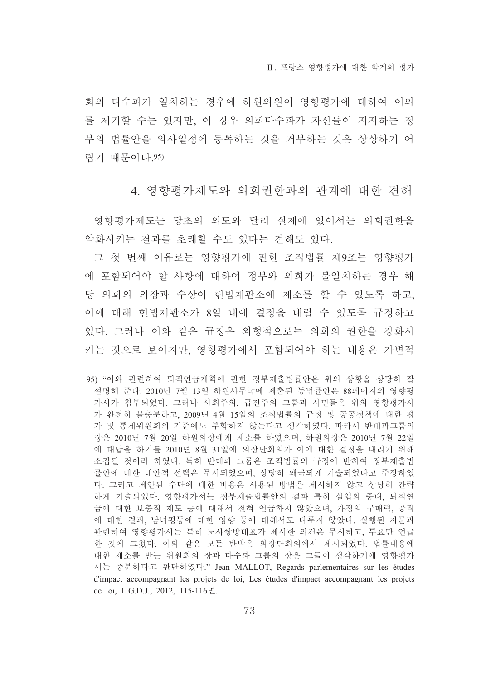회의 다수파가 일치하는 경우에 하워의워이 영향평가에 대하여 이의 를 제기할 수는 있지만, 이 경우 의회다수파가 자신들이 지지하는 정 부의 법률안을 의사일정에 등록하는 것을 거부하는 것은 상상하기 어 렵기 때문이다. 95)

4. 영향평가제도와 의회권한과의 관계에 대한 견해

영향평가제도는 당초의 의도와 달리 실제에 있어서는 의회권한을 약화시키는 결과를 초래할 수도 있다는 견해도 있다.

그 첫 번째 이유로는 영향평가에 관한 조직법률 제9조는 영향평가 에 포함되어야 할 사항에 대하여 정부와 의회가 불일치하는 경우 해 당 의회의 의장과 수상이 헌법재판소에 제소를 할 수 있도록 하고. 이에 대해 헌법재판소가 8일 내에 결정을 내릴 수 있도록 규정하고 있다. 그러나 이와 같은 규정은 외형적으로는 의회의 권한을 강화시 키는 것으로 보이지만, 영형평가에서 포함되어야 하는 내용은 가변적

<sup>95) &</sup>quot;이와 과련하여 퇴직연금개혁에 과한 정부제출법률안은 위의 상황을 상당히 잘 설명해 준다. 2010년 7월 13일 하원사무국에 제출된 동법률안은 88페이지의 영향평 가서가 첨부되었다. 그러나 사회주의, 급진주의 그룹과 시민들은 위의 영향평가서 가 와전히 불충분하고. 2009년 4월 15일의 조직법률의 규정 및 공공정책에 대한 평 가 및 통제위원회의 기준에도 부합하지 않는다고 생각하였다. 따라서 반대파그룹의 장은 2010년 7월 20일 하워의장에게 제소를 하였으며, 하워의장은 2010년 7월 22일 에 대답을 하기를 2010년 8월 31일에 의장단회의가 이에 대한 결정을 내리기 위해 소집될 것이라 하였다. 특히 반대파 그룹은 조직법률의 규정에 반하여 정부제출법 률안에 대한 대안적 선택은 무시되었으며, 상당히 왜곡되게 기술되었다고 주장하였 다. 그리고 제안된 수단에 대한 비용은 사용된 방법을 제시하지 않고 상당히 간략 하게 기술되었다. 영향평가서는 정부제출법률안의 결과 특히 실업의 증대, 퇴직연 금에 대한 보충적 제도 등에 대해서 전혀 언급하지 않았으며, 가정의 구매력, 공직 에 대한 결과, 남녀평등에 대한 영향 등에 대해서도 다루지 않았다. 실행된 자문과 관련하여 영향평가서는 특히 노사쌍방대표가 제시한 의견은 무시하고, 투표만 언급 한 것에 그쳤다. 이와 같은 모든 반박은 의장단회의에서 제시되었다. 법률내용에 대한 제소를 받는 위워회의 장과 다수파 그룹의 장은 그들이 생각하기에 영향평가 서는 충분하다고 판단하였다." Jean MALLOT, Regards parlementaires sur les études d'impact accompagnant les projets de loi. Les études d'impact accompagnant les projets de loi, L.G.D.J., 2012, 115-116면.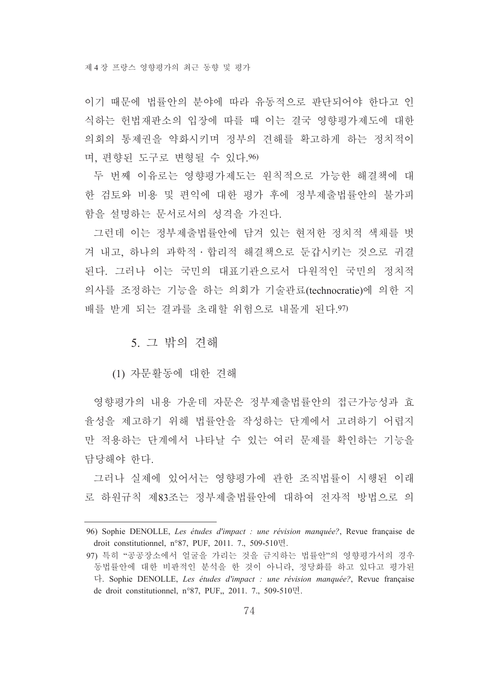이기 때문에 법률아의 부야에 따라 유동적으로 판단되어야 한다고 인 식하는 헌법재판소의 입장에 따를 때 이는 결국 영향평가제도에 대한 의회의 통제권을 약화시키며 정부의 견해를 확고하게 하는 정치적이 며, 편향된 도구로 변형될 수 있다.96)

두 번째 이유로는 영향평가제도는 원칙적으로 가능한 해결책에 대 한 검토와 비용 및 편익에 대한 평가 후에 정부제출법률안의 불가피 함을 설명하는 문서로서의 성격을 가진다.

그런데 이는 정부제출법률안에 담겨 있는 현저한 정치적 색채를 벗 겨 내고, 하나의 과학적 · 합리적 해결책으로 둔갑시키는 것으로 귀결 된다. 그러나 이는 국민의 대표기관으로서 다원적인 국민의 정치적 의사를 조정하는 기능을 하는 의회가 기술관료(technocratie)에 의한 지 배를 받게 되는 결과를 초래할 위험으로 내몰게 된다.97)

### 5. 그 밖의 견해

(1) 자문활동에 대한 견해

영향평가의 내용 가운데 자문은 정부제출법률안의 접근가능성과 효 율성을 제고하기 위해 법률아을 작성하는 단계에서 고려하기 어렵지 만 적용하는 단계에서 나타날 수 있는 여러 문제를 확인하는 기능을 담당해야 하다.

그러나 실제에 있어서는 영향평가에 관한 조직법률이 시행된 이래 로 하원규칙 제83조는 정부제출법률안에 대하여 전자적 방법으로 의

<sup>96)</sup> Sophie DENOLLE, Les études d'impact : une révision manquée?, Revue française de droit constitutionnel, n°87, PUF, 2011. 7., 509-510면.

<sup>97)</sup> 특히 "공공장소에서 얼굴을 가리는 것을 금지하는 법률안"의 영향평가서의 경우 동법률안에 대한 비판적인 분석을 한 것이 아니라, 정당화를 하고 있다고 평가된 다. Sophie DENOLLE, Les études d'impact : une révision manquée?, Revue française de droit constitutionnel, n°87, PUF,, 2011. 7., 509-510면.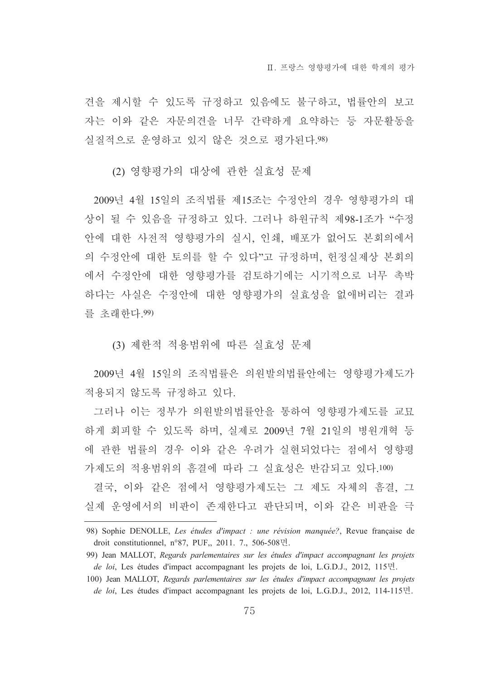견을 제시할 수 있도록 규정하고 있음에도 불구하고, 법률안의 보고 자는 이와 같은 자문의견을 너무 간략하게 요약하는 등 자문활동을 실질적으로 운영하고 있지 않은 것으로 평가된다.98)

(2) 영향평가의 대상에 관한 실효성 문제

2009년 4월 15일의 조직법률 제15조는 수정안의 경우 영향평가의 대 상이 될 수 있음을 규정하고 있다. 그러나 하원규칙 제98-1조가 "수정 안에 대한 사전적 영향평가의 실시, 인쇄, 배포가 없어도 본회의에서 의 수정안에 대한 토의를 할 수 있다"고 규정하며, 헌정실제상 본회의 에서 수정안에 대한 영향평가를 검토하기에는 시기적으로 너무 촉박 하다는 사실은 수정안에 대한 영향평가의 실효성을 없애버리는 결과 를 초래하다. 99)

(3) 제한적 적용범위에 따른 실효성 문제

2009년 4월 15일의 조직법률은 의원발의법률안에는 영향평가제도가 적용되지 않도록 규정하고 있다.

그러나 이는 정부가 의워발의법률안을 통하여 영향평가제도를 교묘 하게 회피할 수 있도록 하며, 실제로 2009년 7월 21일의 병원개혁 등 에 관한 법률의 경우 이와 같은 우려가 실현되었다는 점에서 영향평 가제도의 적용범위의 흠결에 따라 그 실효성은 반감되고 있다.100)

결국, 이와 같은 점에서 영향평가제도는 그 제도 자체의 흠결, 그 실제 운영에서의 비판이 존재한다고 판단되며, 이와 같은 비판을 극

<sup>98)</sup> Sophie DENOLLE, Les études d'impact : une révision manquée?, Revue française de droit constitutionnel, n°87, PUF,, 2011. 7., 506-508면.

<sup>99)</sup> Jean MALLOT, Regards parlementaires sur les études d'impact accompagnant les projets de loi, Les études d'impact accompagnant les projets de loi, L.G.D.J., 2012, 115<sup>-</sup>E.

<sup>100)</sup> Jean MALLOT, Regards parlementaires sur les études d'impact accompagnant les projets de loi, Les études d'impact accompagnant les projets de loi, L.G.D.J., 2012, 114-115<sup>n</sup>.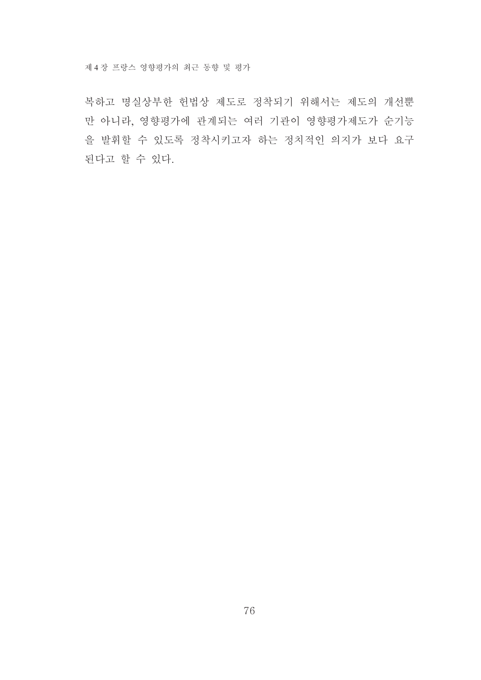복하고 명실상부한 헌법상 제도로 정착되기 위해서는 제도의 개선뿐 만 아니라, 영향평가에 관계되는 여러 기관이 영향평가제도가 순기능 을 발휘할 수 있도록 정착시키고자 하는 정치적인 의지가 보다 요구 된다고 할 수 있다.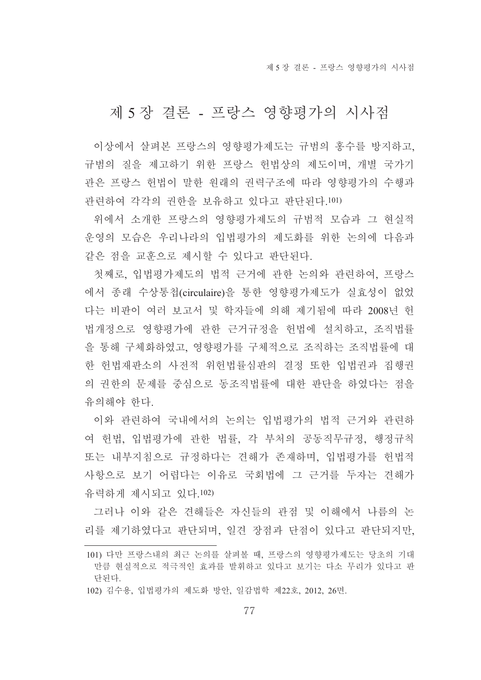제 5 장 결론 - 프랑스 영향평가의 시사점

### 제 5 장결론 - 프랑스 영향평가의 시사점

이상에서 살펴본 프랑스의 영향평가제도는 규범의 홍수를 방지하고. 규범의 질을 제고하기 위한 프랑스 헌법상의 제도이며. 개별 국가기 과은 프랑스 허법이 말한 워래의 권력구조에 따라 영향평가의 수행과 관련하여 각각의 권한을 보유하고 있다고 판단된다.101)

위에서 소개한 프랑스의 영향평가제도의 규범적 모습과 그 현실적 운영의 모습은 우리나라의 입법평가의 제도화를 위한 논의에 다음과 같은 점을 교훈으로 제시할 수 있다고 판단된다.

첫째로, 입법평가제도의 법적 근거에 관한 논의와 관련하여, 프랑스 에서 종래 수상통첩(circulaire)을 통한 영향평가제도가 실효성이 없었 다는 비판이 여러 보고서 및 학자들에 의해 제기됨에 따라 2008년 헌 법개정으로 영향평가에 관한 근거규정을 헌법에 설치하고, 조직법률 을 통해 구체화하였고, 영향평가를 구체적으로 조직하는 조직법률에 대 한 헌법재판소의 사전적 위헌법률심판의 결정 또한 입법권과 집행권 의 권한의 문제를 중심으로 동조직법률에 대한 판단을 하였다는 점을 유의해야 한다.

이와 관련하여 국내에서의 논의는 입법평가의 법적 근거와 관련하 여 헌법, 입법평가에 관한 법률, 각 부처의 공동직무규정, 행정규칙 또는 내부지침으로 규정하다는 견해가 존재하며, 입법평가를 헌법적 사항으로 보기 어렵다는 이유로 국회법에 그 근거를 두자는 견해가 유력하게 제시되고 있다.102)

그러나 이와 같은 견해들은 자신들의 관점 및 이해에서 나름의 논 리를 제기하였다고 판단되며, 일견 장점과 단점이 있다고 판단되지만,

<sup>101)</sup> 다만 프랑스내의 최근 논의를 살펴볼 때, 프랑스의 영향평가제도는 당초의 기대 만큼 현실적으로 적극적인 효과를 발휘하고 있다고 보기는 다소 무리가 있다고 판 단된다.

<sup>102)</sup> 김수용, 입법평가의 제도화 방안, 일감법학 제22호, 2012, 26면.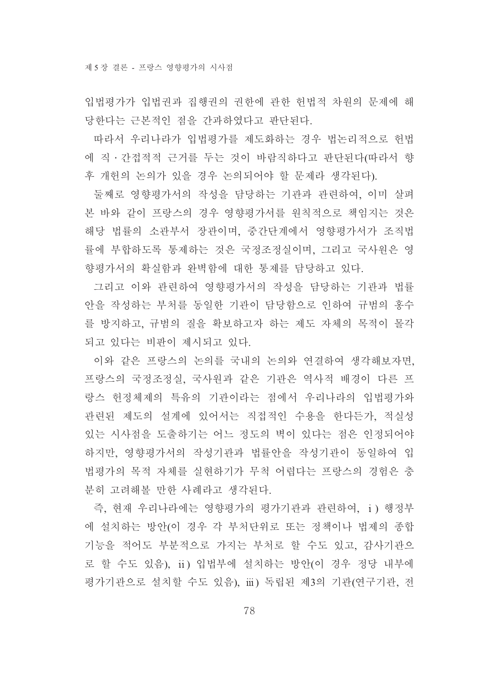입법평가가 입법권과 집행권의 권한에 관한 헌법적 차원의 문제에 해 당한다는 근본적인 점을 간과하였다고 판단된다.

따라서 우리나라가 입법평가를 제도화하는 경우 법논리적으로 헌법 에 직 • 간접적적 근거를 두는 것이 바람직하다고 판단된다(따라서 향 후 개헌의 논의가 있을 경우 논의되어야 할 문제라 생각된다).

둘째로 영향평가서의 작성을 담당하는 기관과 관련하여, 이미 살펴 본 바와 같이 프랑스의 경우 영향평가서를 원칙적으로 책임지는 것은 해당 법률의 소관부서 장관이며, 중간단계에서 영향평가서가 조직법 률에 부합하도록 통제하는 것은 국정조정실이며, 그리고 국사원은 영 향평가서의 확실함과 완벽함에 대한 통제를 담당하고 있다.

그리고 이와 관련하여 영향평가서의 작성을 담당하는 기관과 법률 안을 작성하는 부처를 동일한 기관이 담당함으로 인하여 규범의 홍수 를 방지하고, 규범의 질을 확보하고자 하는 제도 자체의 목적이 몰각 되고 있다는 비판이 제시되고 있다.

이와 같은 프랑스의 논의를 국내의 논의와 연결하여 생각해보자면, 프랑스의 국정조정실, 국사원과 같은 기관은 역사적 배경이 다른 프 랑스 헌정체제의 특유의 기관이라는 점에서 우리나라의 입법평가와 관련된 제도의 설계에 있어서는 직접적인 수용을 한다든가, 적실성 있는 시사점을 도출하기는 어느 정도의 벽이 있다는 점은 인정되어야 하지만, 영향평가서의 작성기관과 법률안을 작성기관이 동일하여 입 법평가의 목적 자체를 실현하기가 무척 어렵다는 프랑스의 경험은 충 부히 고려해볼 만한 사례라고 생각되다.

즉, 현재 우리나라에는 영향평가의 평가기관과 관련하여, i) 행정부 에 설치하는 방안(이 경우 각 부처단위로 또는 정책이나 법제의 종합 기능을 적어도 부분적으로 가지는 부처로 할 수도 있고, 감사기관으 로 할 수도 있음), ii) 입법부에 설치하는 방안(이 경우 정당 내부에 평가기관으로 설치할 수도 있음), iii) 독립된 제3의 기관(연구기관, 전

78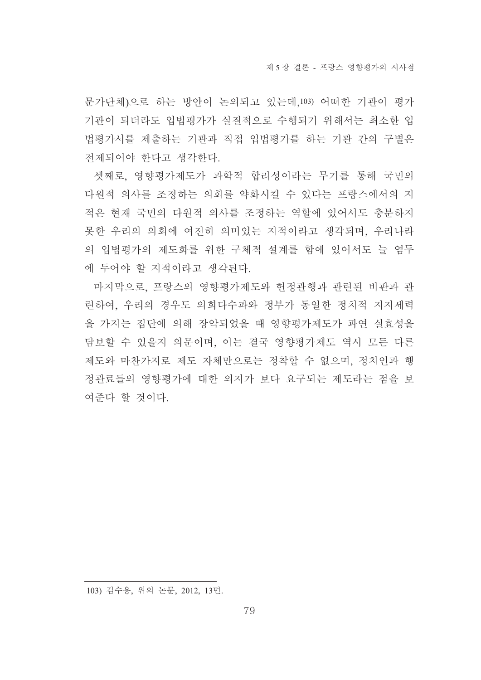문가단체)으로 하는 방안이 논의되고 있는데 103) 어떠한 기관이 평가 기관이 되더라도 입법평가가 실질적으로 수행되기 위해서는 최소한 입 법평가서를 제출하는 기관과 직접 입법평가를 하는 기관 간의 구별은 전제되어야 한다고 생각한다.

셋째로, 영향평가제도가 과학적 합리성이라는 무기를 통해 국민의 다원적 의사를 조정하는 의회를 약화시킬 수 있다는 프랑스에서의 지 적은 현재 국민의 다원적 의사를 조정하는 역할에 있어서도 충분하지 못한 우리의 의회에 여전히 의미있는 지적이라고 생각되며, 우리나라 의 입법평가의 제도화를 위한 구체적 설계를 함에 있어서도 늘 염두 에 두어야 할 지적이라고 생각된다.

마지막으로, 프랑스의 영향평가제도와 헌정관행과 관련된 비판과 관 련하여, 우리의 경우도 의회다수파와 정부가 동일한 정치적 지지세력 을 가지는 집단에 의해 장악되었을 때 영향평가제도가 과연 실효성을 담보할 수 있을지 의문이며, 이는 결국 영향평가제도 역시 모든 다른 제도와 마찬가지로 제도 자체만으로는 정착할 수 없으며, 정치인과 행 정관료들의 영향평가에 대한 의지가 보다 요구되는 제도라는 점을 보 여준다 할 것이다.

103) 김수용, 위의 논문, 2012, 13면.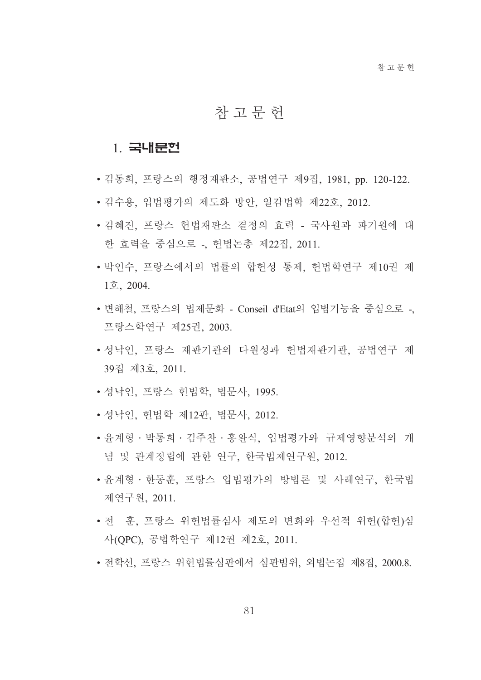#### 참고문헌

#### 1 국내문헌

- 김동희, 프랑스의 행정재판소, 공법연구 제9집, 1981, pp. 120-122.
- 김수용, 입법평가의 제도화 방안, 일감법학 제22호, 2012.
- 김혜진. 프랑스 헌법재판소 결정의 효력 국사워과 파기워에 대 한 효력을 중심으로 - 헌법논총 제22집, 2011.
- 박인수, 프랑스에서의 법률의 합헌성 통제, 헌법학연구 제10권 제  $1\bar{\Sigma}$ , 2004.
- 변해철, 프랑스의 법제문화 Conseil d'Etat의 입법기능을 중심으로 -, 프랑스학연구 제25권, 2003.
- 성낙인, 프랑스 재판기관의 다원성과 헌법재판기관, 공법연구 제 39집 제3호 2011.
- 성낙인, 프랑스 헌법학, 법문사, 1995.
- 성낙인, 헌법학 제12판, 법문사, 2012.
- 윤계형 · 박통희 · 김주찬 · 홍완식, 입법평가와 규제영향분석의 개 념 및 관계정립에 관한 연구, 한국법제연구원, 2012.
- 유계형 · 한동훈, 프랑스 입법평가의 방법론 및 사례연구, 한국법 제연구원, 2011.
- 전 훈, 프랑스 위헌법률심사 제도의 변화와 우선적 위헌(합헌)심 사(OPC), 공법학연구 제12권 제2호, 2011.
- 전학선, 프랑스 위헌법률심판에서 심판범위, 외법논집 제8집, 2000.8.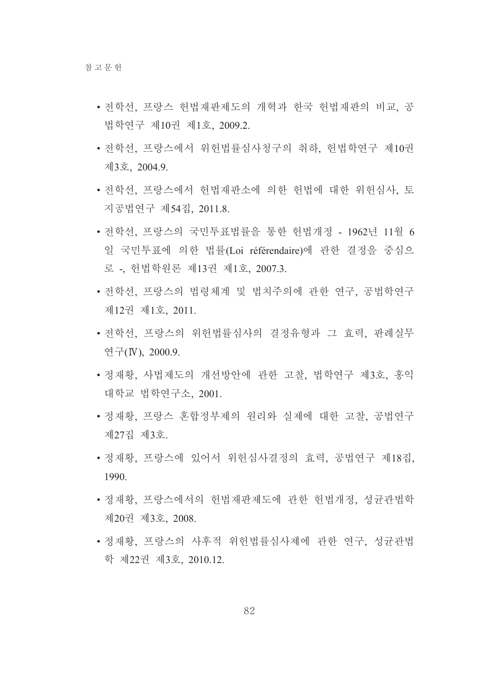- 저학서, 프랑스 헌법재판제도의 개혁과 한국 헌법재판의 비교, 공 법학연구 제10권 제1호, 2009.2.
- 전학선, 프랑스에서 위헌법률심사청구의 취하, 헌법학연구 제10권 제3호, 2004.9.
- 전학선, 프랑스에서 헌법재판소에 의한 헌법에 대한 위헌심사, 토 지공법연구 제54집, 2011.8.
- 전학선, 프랑스의 국민투표법률을 통한 헌법개정 1962년 11월 6 일 국민투표에 의한 법률(Loi référendaire)에 관한 결정을 중심으 로 -, 헌법학원론 제13권 제1호, 2007.3.
- 전학선, 프랑스의 법령체계 및 법치주의에 관한 연구, 공법학연구 제12권 제1호, 2011.
- 전학선, 프랑스의 위헌법률심사의 결정유형과 그 효력, 판례실무 연구(IV), 2000.9.
- 정재황, 사법제도의 개선방안에 관한 고찰, 법학연구 제3호, 홍익 대학교 법학여구소 2001.
- 정재황, 프랑스 혼합정부제의 원리와 실제에 대한 고찰, 공법연구 제27집 제3호.
- 정재황, 프랑스에 있어서 위헌심사결정의 효력, 공법연구 제18집, 1990.
- 정재황. 프랑스에서의 헌법재판제도에 관한 헌법개정. 성규관법학 제20권 제3호, 2008.
- 정재황, 프랑스의 사후적 위헌법률심사제에 관한 연구, 성균관법 학 제22권 제3호, 2010.12.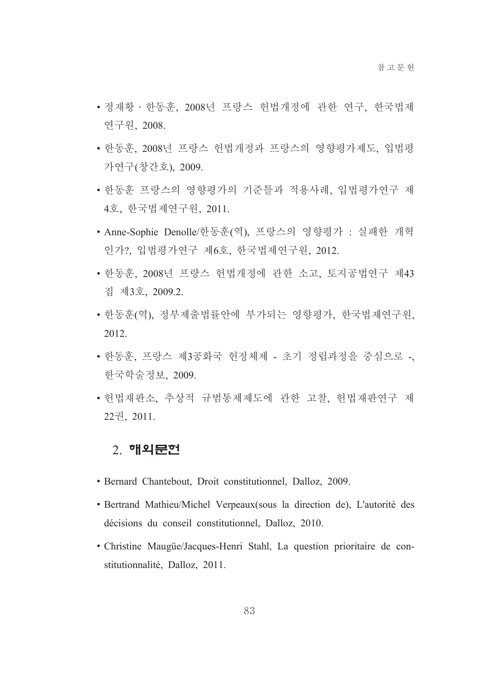- 정재황 · 한동훈, 2008년 프랑스 헌법개정에 관한 연구, 한국법제 연구워. 2008.
- 한동훈, 2008년 프랑스 헌법개정과 프랑스의 영향평가제도, 입법평 가연구(창간호), 2009.
- 한동훈 프랑스의 영향평가의 기준틀과 적용사례, 입법평가연구 제 4호, 한국법제연구원, 2011.
- Anne-Sophie Denolle/한동훈(역), 프랑스의 영향평가 : 실패한 개혁 인가?, 입법평가연구 제6호, 한국법제연구원, 2012.
- 한동훈. 2008년 프랑스 헌법개정에 관한 소고. 토지공법연구 제43 집 제3호, 2009.2.
- 한동훈(역), 정부제출법률안에 부가되는 영향평가, 한국법제연구원, 2012.
- 한동훈, 프랑스 제3공화국 헌정체제 초기 정립과정을 중심으로 -, 한국학술정보, 2009.
- 헌법재판소, 추상적 규범통제제도에 관한 고찰, 헌법재판연구 제 22권, 2011.

#### <u>2</u>. 해외문헌

- · Bernard Chantebout, Droit constitutionnel, Dalloz, 2009.
- Bertrand Mathieu/Michel Verpeaux (sous la direction de), L'autorité des décisions du conseil constitutionnel, Dalloz, 2010.
- Christine Maugüe/Jacques-Henri Stahl, La question prioritaire de constitutionnalité, Dalloz, 2011.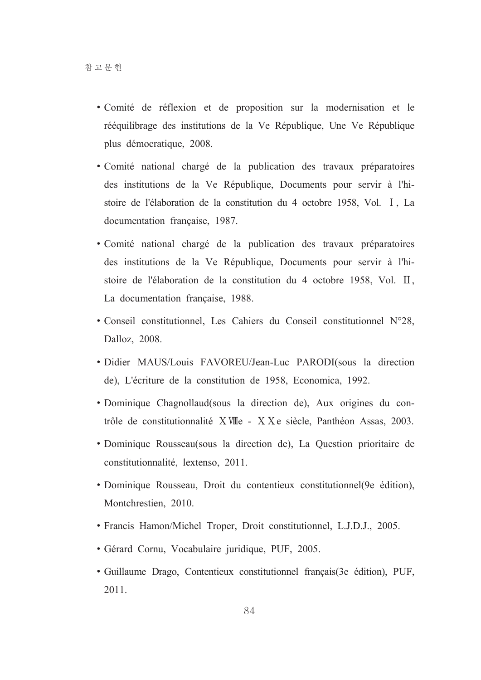- Comité de réflexion et de proposition sur la modernisation et le rééquilibrage des institutions de la Ve République, Une Ve République plus démocratique, 2008.
- Comité national chargé de la publication des travaux préparatoires des institutions de la Ve République, Documents pour servir à l'histoire de l'élaboration de la constitution du 4 octobre 1958, Vol. I, La documentation française, 1987.
- · Comité national chargé de la publication des travaux préparatoires des institutions de la Ve République, Documents pour servir à l'histoire de l'élaboration de la constitution du 4 octobre 1958, Vol. II, La documentation française, 1988.
- Conseil constitutionnel, Les Cahiers du Conseil constitutionnel N°28, Dalloz, 2008.
- · Didier MAUS/Louis FAVOREU/Jean-Luc PARODI(sous la direction de), L'écriture de la constitution de 1958, Economica, 1992.
- Dominique Chagnollaud(sous la direction de), Aux origines du contrôle de constitutionnalité XVIIIe - XX e siècle, Panthéon Assas, 2003.
- Dominique Rousseau (sous la direction de), La Question prioritaire de constitutionnalité, lextenso, 2011.
- · Dominique Rousseau, Droit du contentieux constitutionnel(9e édition), Montchrestien, 2010.
- Francis Hamon/Michel Troper, Droit constitutionnel, L.J.D.J., 2005.
- · Gérard Cornu, Vocabulaire juridique, PUF, 2005.
- · Guillaume Drago, Contentieux constitutionnel français (3e édition), PUF, 2011.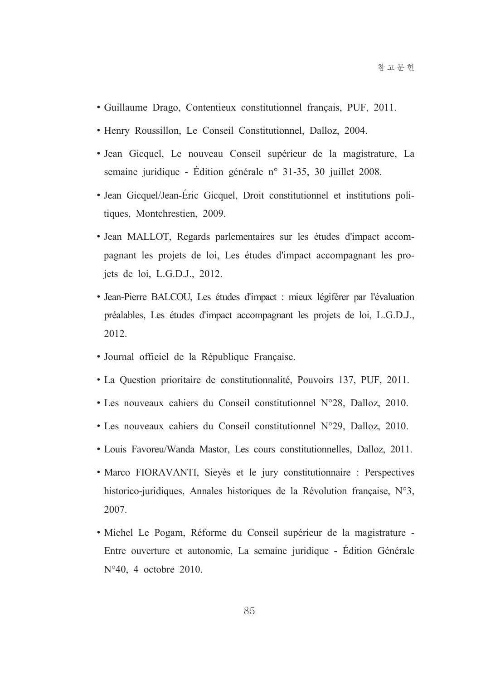- · Guillaume Drago, Contentieux constitutionnel français, PUF, 2011.
- · Henry Roussillon, Le Conseil Constitutionnel, Dalloz, 2004.
- · Jean Gicquel, Le nouveau Conseil supérieur de la magistrature, La semaine juridique - Édition générale n° 31-35, 30 juillet 2008.
- Jean Gicquel/Jean-Éric Gicquel, Droit constitutionnel et institutions politiques, Montchrestien, 2009.
- · Jean MALLOT, Regards parlementaires sur les études d'impact accompagnant les projets de loi. Les études d'impact accompagnant les projets de loi, L.G.D.J., 2012.
- Jean-Pierre BALCOU, Les études d'impact : mieux légiférer par l'évaluation préalables, Les études d'impact accompagnant les projets de loi, L.G.D.J., 2012
- · Journal officiel de la République Française.
- La Question prioritaire de constitutionnalité, Pouvoirs 137, PUF, 2011.
- Les nouveaux cahiers du Conseil constitutionnel N°28, Dalloz, 2010.
- Les nouveaux cahiers du Conseil constitutionnel N°29, Dalloz, 2010.
- Louis Favoreu/Wanda Mastor, Les cours constitutionnelles, Dalloz, 2011.
- Marco FIORAVANTI, Sievès et le jury constitutionnaire : Perspectives historico-juridiques, Annales historiques de la Révolution française, N°3, 2007.
- Michel Le Pogam, Réforme du Conseil supérieur de la magistrature -Entre ouverture et autonomie, La semaine juridique - Édition Générale  $N°40$ , 4 octobre 2010.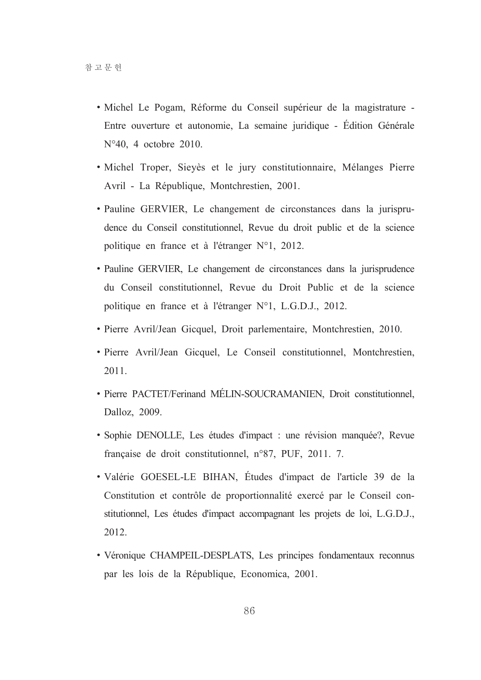- · Michel Le Pogam, Réforme du Conseil supérieur de la magistrature -Entre ouverture et autonomie, La semaine juridique - Édition Générale  $N°40$ , 4 octobre 2010.
- · Michel Troper, Sieyès et le jury constitutionnaire, Mélanges Pierre Avril - La République, Montchrestien, 2001.
- Pauline GERVIER, Le changement de circonstances dans la jurisprudence du Conseil constitutionnel, Revue du droit public et de la science politique en france et à l'étranger N°1, 2012.
- Pauline GERVIER, Le changement de circonstances dans la jurisprudence du Conseil constitutionnel. Revue du Droit Public et de la science politique en france et à l'étranger N°1, L.G.D.J., 2012.
- · Pierre Avril/Jean Gicquel, Droit parlementaire, Montchrestien, 2010.
- Pierre Avril/Jean Gicquel, Le Conseil constitutionnel, Montchrestien, 2011.
- · Pierre PACTET/Ferinand MÉLIN-SOUCRAMANIEN, Droit constitutionnel, Dalloz, 2009.
- Sophie DENOLLE, Les études d'impact : une révision manquée?, Revue française de droit constitutionnel, n°87, PUF, 2011. 7.
- · Valérie GOESEL-LE BIHAN, Études d'impact de l'article 39 de la Constitution et contrôle de proportionnalité exercé par le Conseil constitutionnel, Les études d'impact accompagnant les projets de loi, L.G.D.J., 2012.
- Véronique CHAMPEIL-DESPLATS, Les principes fondamentaux reconnus par les lois de la République, Economica, 2001.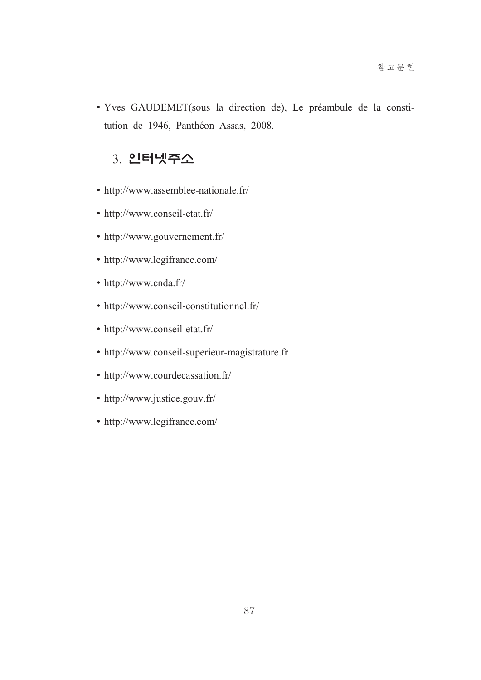• Yves GAUDEMET(sous la direction de), Le préambule de la constitution de 1946, Panthéon Assas, 2008.

#### 3. 인터넷주소

- http://www.assemblee-nationale.fr/
- http://www.conseil-etat.fr/
- http://www.gouvernement.fr/
- http://www.legifrance.com/
- http://www.cnda.fr/
- http://www.conseil-constitutionnel.fr/
- http://www.conseil-etat.fr/
- http://www.conseil-superieur-magistrature.fr
- http://www.courdecassation.fr/
- http://www.justice.gouv.fr/
- http://www.legifrance.com/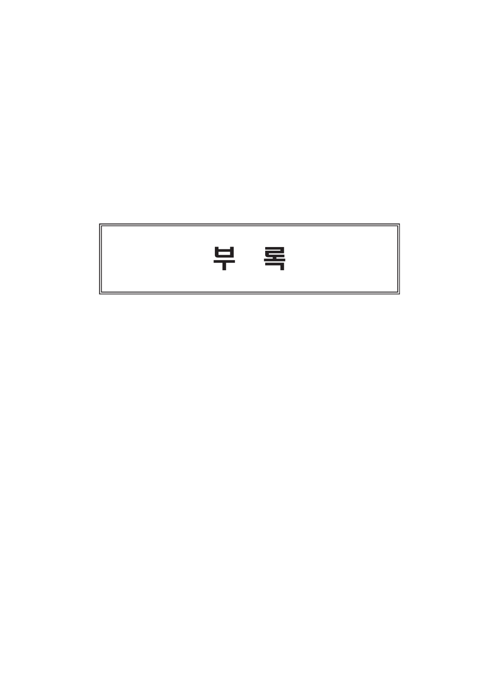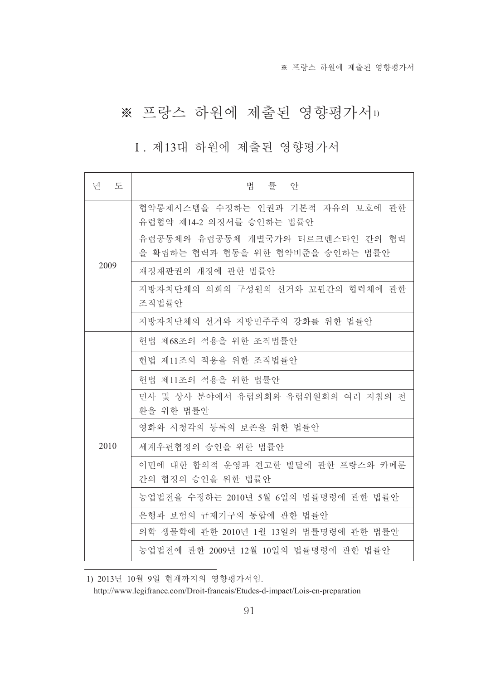## ※ 프랑스 하원에 제출된 영향평가서 1)

#### I. 제13대 하원에 제출된 영향평가서

| - 도<br>년 | 법 률 안                                                                |  |
|----------|----------------------------------------------------------------------|--|
|          | 협약통제시스템을 수정하는 인권과 기본적 자유의 보호에 관한<br>유럽협약 제14-2 의정서를 승인하는 법률안         |  |
|          | 유럽공동체와 유럽공동체 개별국가와 티르크멘스타인 간의 협력<br>을 확립하는 협력과 협동을 위한 협약비준을 승인하는 법률안 |  |
| 2009     | 재정재판권의 개정에 관한 법률안                                                    |  |
|          | 지방자치단체의 의회의 구성원의 선거와 꼬뮌간의 협력체에 관한<br>조직법률안                           |  |
|          | 지방자치단체의 선거와 지방민주주의 강화를 위한 법률안                                        |  |
|          | 헌법 제68조의 적용을 위한 조직법률안                                                |  |
|          | 헌법 제11조의 적용을 위한 조직법률안                                                |  |
|          | 헌법 제11조의 적용을 위한 법률안                                                  |  |
|          | 민사 및 상사 분야에서 유럽의회와 유럽위원회의 여러 지침의 전<br>환을 위한 법률안                      |  |
|          | 영화와 시청각의 등록의 보존을 위한 법률안                                              |  |
| 2010     | 세계우편협정의 승인을 위한 법률안                                                   |  |
|          | 이민에 대한 합의적 운영과 견고한 발달에 관한 프랑스와 카메룬<br>간의 협정의 승인을 위한 법률안              |  |
|          | 농업법전을 수정하는 2010년 5월 6일의 법률명령에 관한 법률안                                 |  |
|          | 은행과 보험의 규제기구의 통합에 관한 법률안                                             |  |
|          | 의학 생물학에 관한 2010년 1월 13일의 법률명령에 관한 법률안                                |  |
|          | 농업법전에 관한 2009년 12월 10일의 법률명령에 관한 법률안                                 |  |

1) 2013년 10월 9일 현재까지의 영향평가서임.

http://www.legifrance.com/Droit-francais/Etudes-d-impact/Lois-en-preparation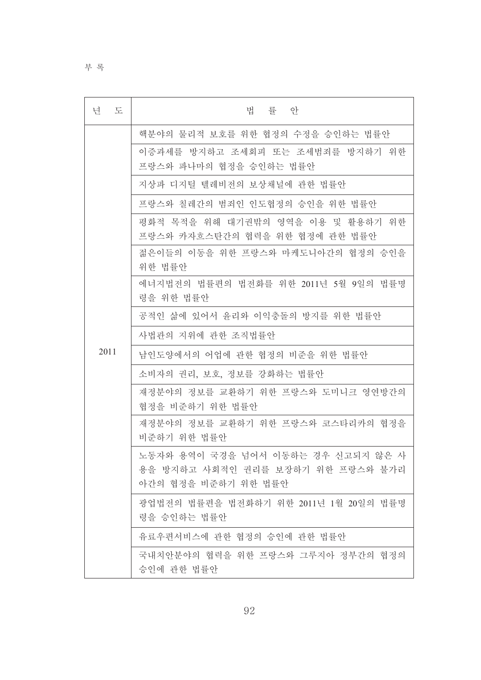부 록

| 넘<br>도 | 법<br>률 안                                                                                       |  |
|--------|------------------------------------------------------------------------------------------------|--|
|        | 핵분야의 물리적 보호를 위한 협정의 수정을 승인하는 법률안                                                               |  |
|        | 이증과세를 방지하고 조세회피 또는 조세범죄를 방지하기 위한<br>프랑스와 파나마의 협정을 승인하는 법률안                                     |  |
|        | 지상파 디지털 텔레비전의 보상채널에 관한 법률안                                                                     |  |
|        | 프랑스와 칠레간의 범죄인 인도협정의 승인을 위한 법률안                                                                 |  |
|        | 평화적 목적을 위해 대기권밖의 영역을 이용 및 활용하기 위한<br>프랑스와 카자흐스탄간의 협력을 위한 협정에 관한 법률안                            |  |
|        | 젊은이들의 이동을 위한 프랑스와 마케도니아간의 협정의 승인을<br>위한 법률안                                                    |  |
|        | 에너지법전의 법률편의 법전화를 위한 2011년 5월 9일의 법률명<br>령을 위한 법률안                                              |  |
|        | 공적인 삶에 있어서 윤리와 이익충돌의 방지를 위한 법률안                                                                |  |
|        | 사법관의 지위에 관한 조직법률안                                                                              |  |
| 2011   | 남인도양에서의 어업에 관한 협정의 비준을 위한 법률안                                                                  |  |
|        | 소비자의 권리, 보호, 정보를 강화하는 법률안                                                                      |  |
|        | 재정분야의 정보를 교환하기 위한 프랑스와 도미니크 영연방간의<br>협정을 비준하기 위한 법률안                                           |  |
|        | 재정분야의 정보를 교환하기 위한 프랑스와 코스타리카의 협정을<br>비준하기 위한 법률안                                               |  |
|        | 노동자와 용역이 국경을 넘어서 이동하는 경우 신고되지 않은 사<br>용을 방지하고 사회적인 권리를 보장하기 위한 프랑스와 불가리<br>아간의 협정을 비준하기 위한 법률안 |  |
|        | 광업법전의 법률편을 법전화하기 위한 2011년 1월 20일의 법률명<br>령을 승인하는 법률안                                           |  |
|        | 유료우편서비스에 관한 협정의 승인에 관한 법률안                                                                     |  |
|        | 국내치안분야의 협력을 위한 프랑스와 그루지아 정부간의 협정의<br>승인에 관한 법률안                                                |  |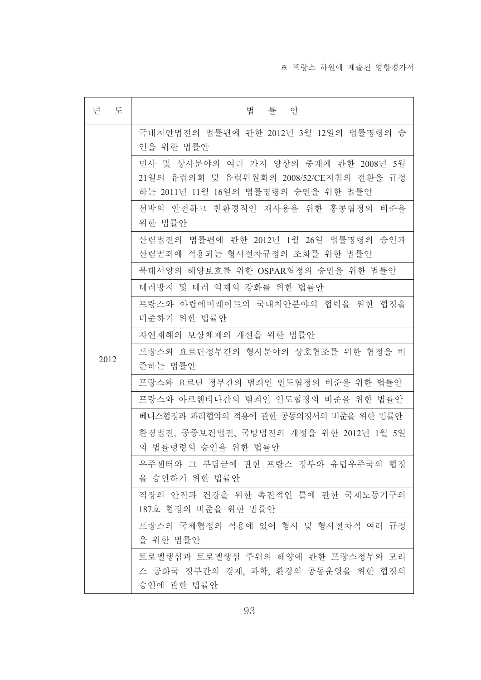| 년<br>도 | 법 률 안                                                                                                                 |  |
|--------|-----------------------------------------------------------------------------------------------------------------------|--|
|        | 국내치안법전의 법률편에 관한 2012년 3월 12일의 법률명령의 승<br>인을 위한 법률안                                                                    |  |
|        | 민사 및 상사분야의 여러 가지 양상의 중재에 관한 2008년 5월<br>21일의 유럽의회 및 유럽위원회의 2008/52/CE지침의 전환을 규정<br>하는 2011년 11월 16일의 법률명령의 승인을 위한 법률안 |  |
|        | 선박의 안전하고 친환경적인 재사용을 위한 홍콩협정의 비준을<br>위한 법률안                                                                            |  |
|        | 산림법전의 법률편에 관한 2012년 1월 26일 법률명령의 승인과<br>산림범죄에 적용되는 형사절차규정의 조화를 위한 법률안                                                 |  |
|        | 북대서양의 해양보호를 위한 OSPAR협정의 승인을 위한 법률안                                                                                    |  |
|        | 테러방지 및 테러 억제의 강화를 위한 법률안                                                                                              |  |
|        | 프랑스와 아랍에미레이트의 국내치안분야의 협력을 위한 협정을<br>비준하기 위한 법률안                                                                       |  |
|        | 자연재해의 보상체제의 개선을 위한 법률안                                                                                                |  |
| 2012   | 프랑스와 요르단정부간의 형사분야의 상호협조를 위한 협정을 비<br>준하는 법률안                                                                          |  |
|        | 프랑스와 요르단 정부간의 범죄인 인도협정의 비준을 위한 법률안                                                                                    |  |
|        | 프랑스와 아르헨티나간의 범죄인 인도협정의 비준을 위한 법률안                                                                                     |  |
|        | 베니스협정과 파리협약의 적용에 관한 공동의정서의 비준을 위한 법률안                                                                                 |  |
|        | 환경법전, 공중보건법전, 국방법전의 개정을 위한 2012년 1월 5일<br>의 법률명령의 승인을 위한 법률안                                                          |  |
|        | 우주센터와 그 부담금에 관한 프랑스 정부와 유럽우주국의 협정<br>을 승인하기 위한 법률안                                                                    |  |
|        | 직장의 안전과 건강을 위한 촉진적인 틀에 관한 국제노동기구의<br>187호 협정의 비준을 위한 법률안                                                              |  |
|        | 프랑스의 국제협정의 적용에 있어 형사 및 형사절차적 여러 규정<br>을 위한 법률안                                                                        |  |
|        | 트로멜랭섬과 트로멜랭섬 주위의 해양에 관한 프랑스정부와 모리<br>스 공화국 정부간의 경제, 과학, 환경의 공동운영을 위한 협정의<br>승인에 관한 법률안                                |  |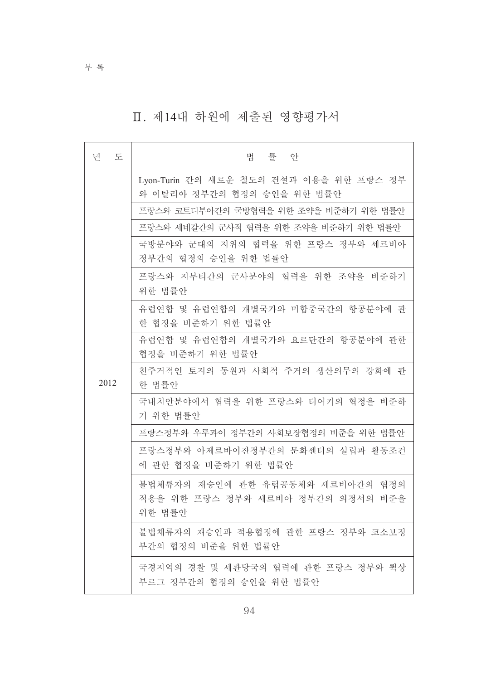## Ⅱ. 제14대 하원에 제출된 영향평가서

| 년<br>도 | 법<br>률 안                                                                        |  |
|--------|---------------------------------------------------------------------------------|--|
|        | Lyon-Turin 간의 새로운 철도의 건설과 이용을 위한 프랑스 정부<br>와 이탈리아 정부간의 협정의 승인을 위한 법률안           |  |
|        | 프랑스와 코트디부아간의 국방협력을 위한 조약을 비준하기 위한 법률안                                           |  |
|        | 프랑스와 세네갈간의 군사적 협력을 위한 조약을 비준하기 위한 법률안                                           |  |
| 2012   | 국방분야와 군대의 지위의 협력을 위한 프랑스 정부와 세르비아<br>정부간의 협정의 승인을 위한 법률안                        |  |
|        | 프랑스와 지부티간의 군사분야의 협력을 위한 조약을 비준하기<br>위한 법률안                                      |  |
|        | 유럽연합 및 유럽연합의 개별국가와 미합중국간의 항공분야에 관<br>한 협정을 비준하기 위한 법률안                          |  |
|        | 유럽여합 및 유럽여합의 개별국가와 요르단간의 항공분야에 관한<br>협정을 비준하기 위한 법률안                            |  |
|        | 친주거적인 토지의 동원과 사회적 주거의 생산의무의 강화에 관<br>한 법률안                                      |  |
|        | 국내치안분야에서 협력을 위한 프랑스와 터어키의 협정을 비준하<br>기 위한 법률안                                   |  |
|        | 프랑스정부와 우루과이 정부간의 사회보장협정의 비준을 위한 법률안                                             |  |
|        | 프랑스정부와 아제르바이잔정부간의 문화센터의 설립과 활동조건<br>에 관한 협정을 비준하기 위한 법률안                        |  |
|        | 불법체류자의 재승인에 관한 유럽공동체와 세르비아간의 협정의<br>적용을 위한 프랑스 정부와 세르비아 정부간의 의정서의 비준을<br>위한 법률안 |  |
|        | 불법체류자의 재승인과 적용협정에 관한 프랑스 정부와 코소보정<br>부간의 협정의 비준을 위한 법률안                         |  |
|        | 국경지역의 경찰 및 세관당국의 협력에 관한 프랑스 정부와 뤽상<br>부르그 정부간의 협정의 승인을 위한 법률안                   |  |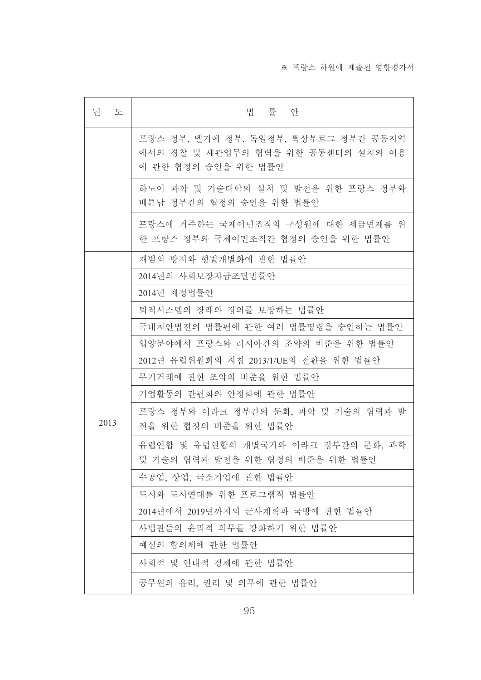#### ※ 프랑스 하원에 제출된 영향평가서

| 년<br>도 | 법<br>률 안                                                                                          |  |
|--------|---------------------------------------------------------------------------------------------------|--|
|        | 프랑스 정부, 벨기에 정부, 독일정부, 뤽상부르그 정부간 공동지역<br>에서의 경찰 및 세관업무의 협력을 위한 공동센터의 설치와 이용<br>에 관한 협정의 승인을 위한 법률안 |  |
|        | 하노이 과학 및 기술대학의 설치 및 발전을 위한 프랑스 정부와<br>베튼남 정부간의 협정의 승인을 위한 법률안                                     |  |
|        | 프랑스에 거주하는 국제이민조직의 구성원에 대한 세금면제를 위<br>한 프랑스 정부와 국제이민조직간 협정의 승인을 위한 법률안                             |  |
|        | 재범의 방지와 형벌개별화에 관한 법률안                                                                             |  |
|        | 2014년의 사회보장자금조달법률안                                                                                |  |
|        | 2014년 재정법률안                                                                                       |  |
|        | 퇴직시스템의 장래와 정의를 보장하는 법률안                                                                           |  |
|        | 국내치안법전의 법률편에 관한 여러 법률명령을 승인하는 법률안                                                                 |  |
|        | 입양분야에서 프랑스와 러시아간의 조약의 비준을 위한 법률안                                                                  |  |
|        | 2012년 유럽위원회의 지침 2013/1/UE의 전환을 위한 법률안                                                             |  |
|        | 무기거래에 관한 조약의 비준을 위한 법률안                                                                           |  |
|        | 기업활동의 간편화와 안정화에 관한 법률안                                                                            |  |
| 2013   | 프랑스 정부와 이라크 정부간의 문화, 과학 및 기술의 협력과 발<br>전을 위한 협정의 비준을 위한 법률안                                       |  |
|        | 유럽연합 및 유럽연합의 개별국가와 이라크 정부간의 문화, 과학<br>및 기술의 협력과 발전을 위한 협정의 비준을 위한 법률안                             |  |
|        | 수공업, 상업, 극소기업에 관한 법률안                                                                             |  |
|        | 도시와 도시연대를 위한 프로그램적 법률안                                                                            |  |
|        | 2014년에서 2019년까지의 군사계획과 국방에 관한 법률안                                                                 |  |
|        | 사법관들의 윤리적 의무를 강화하기 위한 법률안                                                                         |  |
|        | 예심의 합의체에 관한 법률안                                                                                   |  |
|        | 사회적 및 연대적 경제에 관한 법률안                                                                              |  |
|        | 공무원의 윤리, 권리 및 의무에 관한 법률안                                                                          |  |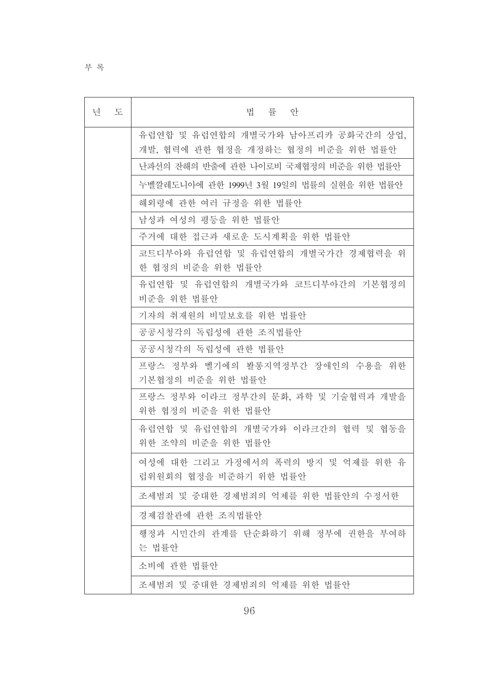부록

| 년<br>도 | 법 률 안                                                                    |
|--------|--------------------------------------------------------------------------|
|        | 유럽연합 및 유럽연합의 개별국가와 남아프리카 공화국간의 상업,<br>개발, 협력에 관한 협정을 개정하는 협정의 비준을 위한 법률안 |
|        | 난파선의 잔해의 반출에 관한 나이로비 국제협정의 비준을 위한 법률안                                    |
|        | 누벨깔레도니아에 관한 1999년 3월 19일의 법률의 실현을 위한 법률안                                 |
|        | 해외령에 관한 여러 규정을 위한 법률안                                                    |
|        | 남성과 여성의 평등을 위한 법률안                                                       |
|        | 주거에 대한 접근과 새로운 도시계획을 위한 법률안                                              |
|        | 코트디부아와 유럽연합 및 유럽연합의 개별국가간 경제협력을 위<br>한 협정의 비준을 위한 법률안                    |
|        | 유럽연합 및 유럽연합의 개별국가와 코트디부아간의 기본협정의<br>비준을 위한 법률안                           |
|        | 기자의 취재원의 비밀보호를 위한 법률안                                                    |
|        | 공공시청각의 독립성에 관한 조직법률안                                                     |
|        | 공공시청각의 독립성에 관한 법률안                                                       |
|        | 프랑스 정부와 벨기에의 봘롱지역정부간 장애인의 수용을 위한<br>기본협정의 비준을 위한 법률안                     |
|        | 프랑스 정부와 이라크 정부간의 문화, 과학 및 기술협력과 개발을<br>위한 협정의 비준을 위한 법률안                 |
|        | 유럽연합 및 유럽연합의 개별국가와 이라크간의 협력 및 협동을<br>위한 조약의 비준을 위한 법률안                   |
|        | 여성에 대한 그리고 가정에서의 폭력의 방지 및 억제를 위한 유<br>럽위원회의 협정을 비준하기 위한 법률안              |
|        | 조세범죄 및 중대한 경제범죄의 억제를 위한 법률안의 수정서한                                        |
|        | 경제검찰관에 관한 조직법률안                                                          |
|        | 행정과 시민간의 관계를 단순화하기 위해 정부에 권한을 부여하<br>는 법률안                               |
|        | 소비에 관한 법률안                                                               |
|        | 조세범죄 및 중대한 경제범죄의 억제를 위한 법률안                                              |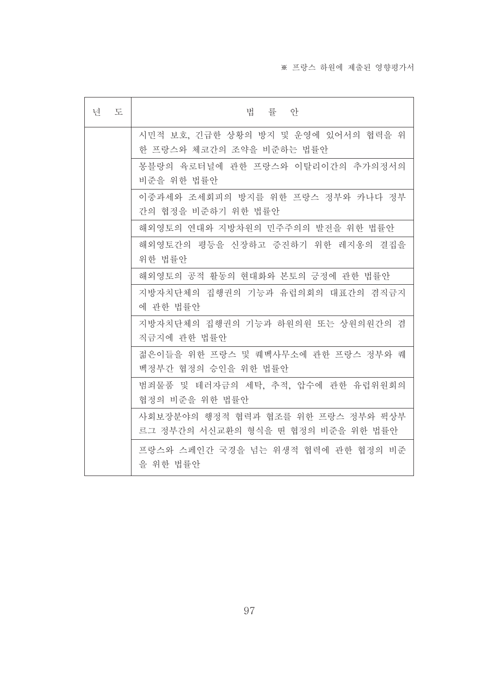| 넌 | 도 | 법률 안                                                                     |
|---|---|--------------------------------------------------------------------------|
|   |   | 시민적 보호, 긴급한 상황의 방지 및 운영에 있어서의 협력을 위<br>한 프랑스와 체코간의 조약을 비준하는 법률안          |
|   |   | 몽블랑의 육로터널에 관한 프랑스와 이탈리이간의 추가의정서의<br>비준을 위한 법률안                           |
|   |   | 이중과세와 조세회피의 방지를 위한 프랑스 정부와 카나다 정부<br>간의 협정을 비준하기 위한 법률안                  |
|   |   | 해외영토의 연대와 지방차원의 민주주의의 발전을 위한 법률안                                         |
|   |   | 해외영토간의 평등을 신장하고 증진하기 위한 레지옹의 결집을<br>위한 법률안                               |
|   |   | 해외영토의 공적 활동의 현대화와 본토의 긍정에 관한 법률안                                         |
|   |   | 지방자치단체의 집행권의 기능과 유럽의회의 대표간의 겸직금지<br>에 관한 법률안                             |
|   |   | 지방자치단체의 집행권의 기능과 하원의원 또는 상원의원간의 겸<br>직금지에 관한 법률안                         |
|   |   | 젊은이들을 위한 프랑스 및 퀘벡사무소에 관한 프랑스 정부와 퀘<br>벡정부간 협정의 승인을 위한 법률안                |
|   |   | 범죄물품 및 테러자금의 세탁, 추적, 압수에 관한 유럽위원회의<br>협정의 비준을 위한 법률안                     |
|   |   | 사회보장분야의 행정적 협력과 협조를 위한 프랑스 정부와 뤽상부<br>르그 정부간의 서신교환의 형식을 띤 협정의 비준을 위한 법률안 |
|   |   | 프랑스와 스페인간 국경을 넘는 위생적 협력에 관한 협정의 비준<br>을 위한 법률안                           |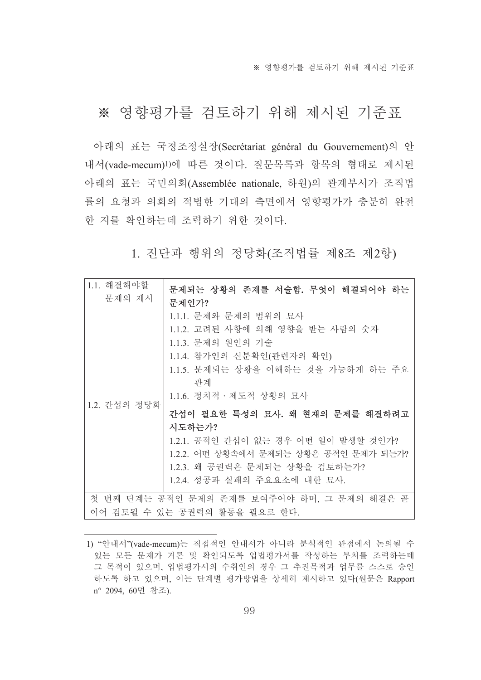※ 영향평가를 검토하기 위해 제시된 기준표

## ※ 영향평가를 검토하기 위해 제시된 기준표

아래의 표는 국정조정실장(Secrétariat général du Gouvernement)의 안 내서(vade-mecum) 이 따른 것이다. 질문목록과 항목의 형태로 제시된 아래의 표는 국민의회(Assemblée nationale, 하원)의 관계부서가 조직법 률의 요청과 의회의 적법한 기대의 측면에서 영향평가가 충분히 완전 한 지를 확인하는데 조력하기 위한 것이다.

1. 진단과 행위의 정당화(조직법률 제8조 제2항)

| 1.1. 해결해야할<br>문제의 제시                                                       | 문제되는 상황의 존재를 서술함. 무엇이 해결되어야 하는<br>문제인가?                                                                                                                                                                                                                                                                                                                                        |  |
|----------------------------------------------------------------------------|--------------------------------------------------------------------------------------------------------------------------------------------------------------------------------------------------------------------------------------------------------------------------------------------------------------------------------------------------------------------------------|--|
| 1.2. 간섭의 정당화                                                               | 1.1.1. 문제와 문제의 범위의 묘사<br>1.1.2. 고려된 사항에 의해 영향을 받는 사람의 숫자<br>1.1.3. 문제의 원인의 기술<br>1.1.4. 참가인의 신분확인(관련자의 확인)<br>1.1.5. 문제되는 상황을 이해하는 것을 가능하게 하는 주요<br>관계<br>1.1.6. 정치적 · 제도적 상황의 묘사<br>간섭이 필요한 특성의 묘사. 왜 현재의 문제를 해결하려고<br>시도하는가?<br>1.2.1. 공적인 간섭이 없는 경우 어떤 일이 발생할 것인가?<br>1.2.2. 어떤 상황속에서 문제되는 상황은 공적인 문제가 되는가?<br>1.2.3. 왜 공권력은 문제되는 상황을 검토하는가?<br>1.2.4. 성공과 실패의 주요요소에 대한 묘사. |  |
| 첫 번째 단계는 공적인 문제의 존재를 보여주어야 하며, 그 문제의 해결은 곧<br>이어 검토될 수 있는 공권력의 활동을 필요로 한다. |                                                                                                                                                                                                                                                                                                                                                                                |  |

<sup>1) &</sup>quot;안내서"(vade-mecum)는 직접적인 안내서가 아니라 분석적인 관점에서 논의될 수 있는 모든 문제가 거론 및 확인되도록 입법평가서를 작성하는 부처를 조력하는데 그 목적이 있으며, 입법평가서의 수취인의 경우 그 추진목적과 업무를 스스로 승인 하도록 하고 있으며, 이는 단계별 평가방법을 상세히 제시하고 있다(원문은 Rapport n° 2094, 60면 참조).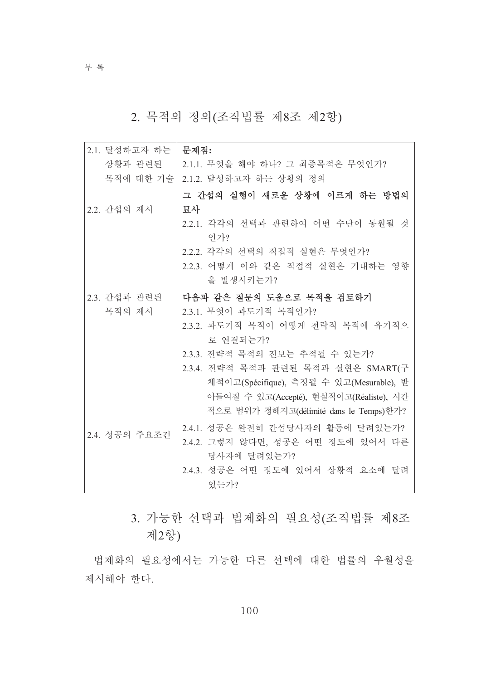부록

### 2. 목적의 정의(조직법률 제8조 제2항)

| 2.1. 달성하고자 하는 | 문제점:                                     |
|---------------|------------------------------------------|
| 상황과 관련된       | 2.1.1. 무엇을 해야 하나? 그 최종목적은 무엇인가?          |
| 목적에 대한 기술     | 2.1.2. 달성하고자 하는 상황의 정의                   |
|               | 그 간섭의 실행이 새로운 상황에 이르게 하는 방법의             |
| 2.2. 간섭의 제시   | 묘사                                       |
|               | 2.2.1. 각각의 선택과 관련하여 어떤 수단이 동원될 것         |
|               | 인가?                                      |
|               | 2.2.2. 각각의 선택의 직접적 실현은 무엇인가?             |
|               | 2.2.3. 어떻게 이와 같은 직접적 실현은 기대하는 영향         |
|               | 을 발생시키는가?                                |
| 2.3. 간섭과 관련된  | 다음과 같은 질문의 도움으로 목적을 검토하기                 |
| 목적의 제시        | 2.3.1. 무엇이 과도기적 목적인가?                    |
|               | 2.3.2. 과도기적 목적이 어떻게 전략적 목적에 유기적으         |
|               | 로 연결되는가?                                 |
|               | 2.3.3. 전략적 목적의 진보는 추적될 수 있는가?            |
|               | 2.3.4. 전략적 목적과 관련된 목적과 실현은 SMART(구       |
|               | 체적이고(Spécifique), 측정될 수 있고(Mesurable), 받 |
|               | 아들여질 수 있고(Accepté), 현실적이고(Réaliste), 시간  |
|               | 적으로 범위가 정해지고(délimité dans le Temps)한가?  |
|               | 2.4.1. 성공은 완전히 간섭당사자의 활동에 달려있는가?         |
| 2.4. 성공의 주요조건 | 2.4.2. 그렇지 않다면, 성공은 어떤 정도에 있어서 다른        |
|               | 당사자에 달려있는가?                              |
|               | 2.4.3. 성공은 어떤 정도에 있어서 상황적 요소에 달려         |
|               | 있는가?                                     |

3. 가능한 선택과 법제화의 필요성(조직법률 제8조 제2항)

법제화의 필요성에서는 가능한 다른 선택에 대한 법률의 우월성을 제시해야 한다.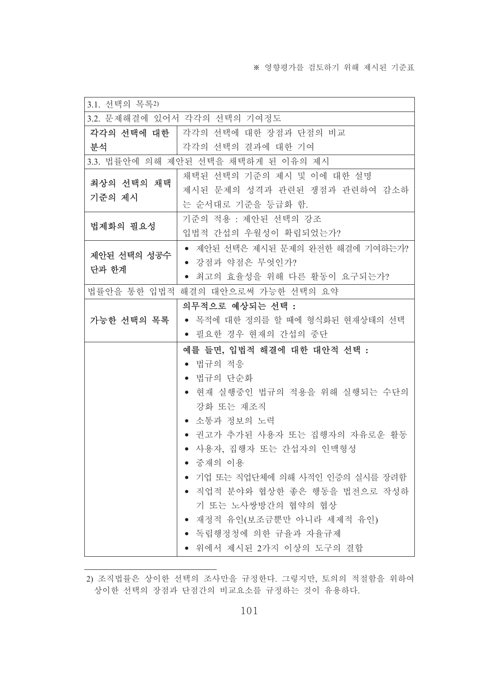| 3.1. 선택의 목록2) |                                        |  |  |
|---------------|----------------------------------------|--|--|
|               | 3.2. 문제해결에 있어서 각각의 선택의 기여정도            |  |  |
| 각각의 선택에 대한    | 각각의 선택에 대한 장점과 단점의 비교                  |  |  |
| 분석            | 각각의 선택의 결과에 대한 기여                      |  |  |
|               | 3.3. 법률안에 의해 제안된 선택을 채택하게 된 이유의 제시     |  |  |
| 최상의 선택의 채택    | 채택된 선택의 기준의 제시 및 이에 대한 설명              |  |  |
| 기준의 제시        | 제시된 문제의 성격과 관련된 쟁점과 관련하여 감소하           |  |  |
|               | 는 순서대로 기준을 등급화 함.                      |  |  |
| 법제화의 필요성      | 기준의 적용 : 제안된 선택의 강조                    |  |  |
|               | 입법적 간섭의 우월성이 확립되었는가?                   |  |  |
| 제안된 선택의 성공수   | • 제안된 선택은 제시된 문제의 완전한 해결에 기여하는가?       |  |  |
| 단과 한계         | • 강점과 약점은 무엇인가?                        |  |  |
|               | 최고의 효율성을 위해 다른 활동이 요구되는가?<br>$\bullet$ |  |  |
| 법률안을 통한 입법적   | 해결의 대안으로써 가능한 선택의 요약                   |  |  |
|               | 의무적으로 예상되는 선택 :                        |  |  |
| 가능한 선택의 목록    | ● 목적에 대한 정의를 할 때에 형식화된 현재상태의 선택        |  |  |
|               | ● 필요한 경우 현재의 간섭의 중단                    |  |  |
|               | 예를 들면, 입법적 해결에 대한 대안적 선택 :             |  |  |
|               | ● 법규의 적응                               |  |  |
|               | • 법규의 단순화                              |  |  |
|               | ● 현재 실행중인 법규의 적용을 위해 실행되는 수단의          |  |  |
|               | 강화 또는 재조직                              |  |  |
|               | 소통과 정보의 노력                             |  |  |
|               | 권고가 추가된 사용자 또는 집행자의 자유로운 활동            |  |  |
|               | ● 사용자, 집행자 또는 간섭자의 인맥형성                |  |  |
|               | • 중재의 이용                               |  |  |
|               | ● 기업 또는 직업단체에 의해 사적인 인증의 실시를 장려함       |  |  |
|               | ● 직업적 분야와 협상한 좋은 행동을 법전으로 작성하          |  |  |
|               | 기 또는 노사쌍방간의 협약의 협상                     |  |  |
|               | 재정적 유인(보조금뿐만 아니라 세제적 유인)<br>$\bullet$  |  |  |
|               | ● 독립행정청에 의한 규율과 자율규제                   |  |  |
|               | ● 위에서 제시된 2가지 이상의 도구의 결합               |  |  |

<sup>2)</sup> 조직법률은 상이한 선택의 조사만을 규정한다. 그렇지만, 토의의 적절함을 위하여 상이한 선택의 장점과 단점간의 비교요소를 규정하는 것이 유용하다.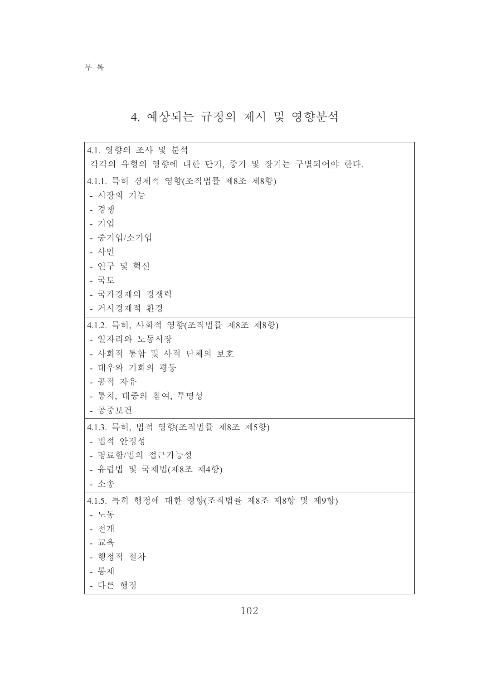부록

# 4. 예상되는 규정의 제시 및 영향분석

| 4.1. 영향의 조사 및 분석                        |
|-----------------------------------------|
| 각각의 유형의 영향에 대한 단기, 중기 및 장기는 구별되어야 한다.   |
| 4.1.1. 특히 경제적 영향(조직법률 제8조 제8항)          |
| - 시장의 기능                                |
| - 경쟁                                    |
| - 기업                                    |
| - 중기업/소기업                               |
| - 사인                                    |
| - 연구 및 혁신                               |
| - 국토                                    |
| - 국가경제의 경쟁력                             |
| - 거시경제적 환경                              |
| 4.1.2. 특히, 사회적 영향(조직법률 제8조 제8항)         |
| - 일자리와 노동시장                             |
| - 사회적 통합 및 사적 단체의 보호                    |
| - 대우와 기회의 평등                            |
| - 공적 자유                                 |
| - 통치, 대중의 참여, 투명성                       |
| - 공중보건                                  |
| 4.1.3. 특히, 법적 영향(조직법률 제8조 제5항)          |
| - 법적 안정성                                |
| - 명료함/법의 접근가능성                          |
| - 유럽법 및 국제법(제8조 제4항)                    |
| - 소송                                    |
| 4.1.5. 특히 행정에 대한 영향(조직법률 제8조 제8항 및 제9항) |
| - 노동                                    |
| - 전개                                    |
| - 교육                                    |
| - 행정적 절차                                |
| - 통제                                    |
| - 다른 행정                                 |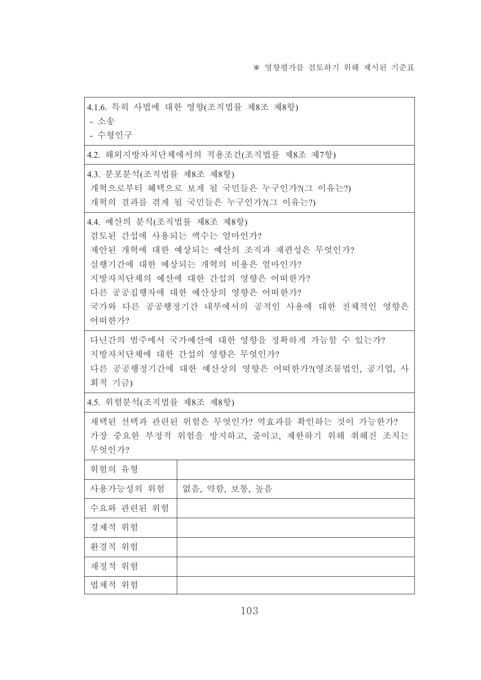| 4.1.6. 특히 사법에 대한 영향(조직법률 제8조 제8항)                                                                                                                                                                                                           |                                     |  |  |
|---------------------------------------------------------------------------------------------------------------------------------------------------------------------------------------------------------------------------------------------|-------------------------------------|--|--|
| - 소송                                                                                                                                                                                                                                        |                                     |  |  |
| - 수형인구                                                                                                                                                                                                                                      |                                     |  |  |
|                                                                                                                                                                                                                                             | 4.2. 해외지방자치단체에서의 적용조건(조직법률 제8조 제7항) |  |  |
| 4.3. 분포분석(조직법률 제8조 제8항)<br>개혁으로부터 혜택으로 보게 될 국민들은 누구인가?(그 이유는?)<br>개혁의 결과를 겪게 될 국민들은 누구인가?(그 이유는?)                                                                                                                                           |                                     |  |  |
| 4.4. 예산의 분석(조직법률 제8조 제8항)<br>검토된 간섭에 사용되는 액수는 얼마인가?<br>제안된 개혁에 대한 예상되는 예산의 조직과 재편성은 무엇인가?<br>실행기간에 대한 예상되는 개혁의 비용은 얼마인가?<br>지방자치단체의 예산에 대한 간섭의 영향은 어떠한가?<br>다른 공공집행자에 대한 예산상의 영향은 어떠한가?<br>국가와 다른 공공행정기간 내부에서의 공적인 사용에 대한 전체적인 영향은<br>어떠한가? |                                     |  |  |
| 다년간의 범주에서 국가예산에 대한 영향을 정확하게 가늠할 수 있는가?<br>지방자치단체에 대한 간섭의 영향은 무엇인가?<br>다른 공공행정기간에 대한 예산상의 영향은 어떠한가?(영조물법인, 공기업, 사<br>회적 기금)                                                                                                                  |                                     |  |  |
| 4.5. 위험분석(조직법률 제8조 제8항)                                                                                                                                                                                                                     |                                     |  |  |
| 채택된 선택과 관련된 위험은 무엇인가? 역효과를 확인하는 것이 가능한가?<br>가장 중요한 부정적 위험을 방지하고, 줄이고, 제한하기 위해 취해진 조치는<br>무엇인가?                                                                                                                                              |                                     |  |  |
| 위험의 유형                                                                                                                                                                                                                                      |                                     |  |  |
| 사용가능성의 위험                                                                                                                                                                                                                                   | 없음, 약함, 보통, 높음                      |  |  |
| 수요와 관련된 위험                                                                                                                                                                                                                                  |                                     |  |  |
| 경제적 위험                                                                                                                                                                                                                                      |                                     |  |  |
| 환경적 위험                                                                                                                                                                                                                                      |                                     |  |  |
| 재정적 위험                                                                                                                                                                                                                                      |                                     |  |  |
| 법제적 위험                                                                                                                                                                                                                                      |                                     |  |  |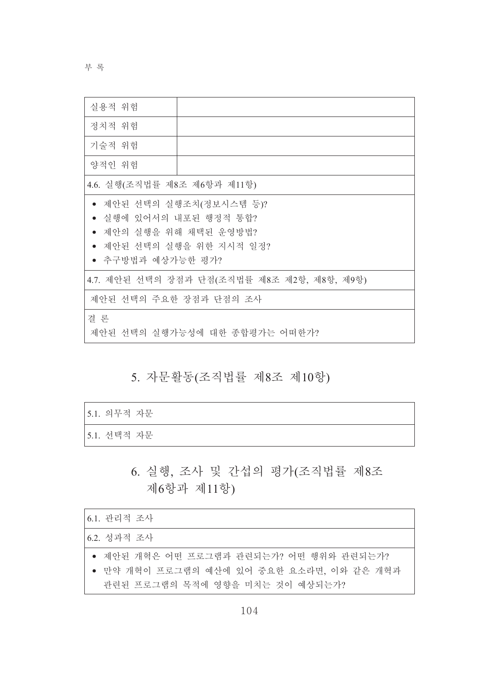부 록

| 실용적 위험                                                                                                                  |                                             |  |
|-------------------------------------------------------------------------------------------------------------------------|---------------------------------------------|--|
| 정치적 위험                                                                                                                  |                                             |  |
| 기술적 위험                                                                                                                  |                                             |  |
| 양적인 위험                                                                                                                  |                                             |  |
| 4.6. 실행(조직법률 제8조 제6항과 제11항)                                                                                             |                                             |  |
| 제안된 선택의 실행조치(정보시스템 등)?<br>실행에 있어서의 내포된 행정적 통합?<br>제안의 실행을 위해 채택된 운영방법?<br>● 제안된 선택의 실행을 위한 지시적 일정?<br>● 추구방법과 예상가능한 평가? |                                             |  |
|                                                                                                                         | 4.7. 제안된 선택의 장점과 단점(조직법률 제8조 제2항, 제8항, 제9항) |  |
| 제안된 선택의 주요한 장점과 단점의 조사                                                                                                  |                                             |  |
| 결 론<br>제안된 선택의 실행가능성에 대한 종합평가는 어떠한가?                                                                                    |                                             |  |

### 5. 자문활동(조직법률 제8조 제10항)

| [5.1. 의무적 자문] |  |
|---------------|--|
| [5.1. 선택적 자문] |  |

## 6. 실행, 조사 및 간섭의 평가(조직법률 제8조 제6항과 제11항)

| 6.1. 관리적 조사                               |
|-------------------------------------------|
| 6.2. 성과적 조사                               |
| ● 제안된 개혁은 어떤 프로그램과 관련되는가? 어떤 행위와 관련되는가?   |
| ● 만약 개혁이 프로그램의 예산에 있어 중요한 요소라면, 이와 같은 개혁과 |
| 관련된 프로그램의 목적에 영향을 미치는 것이 예상되는가?           |